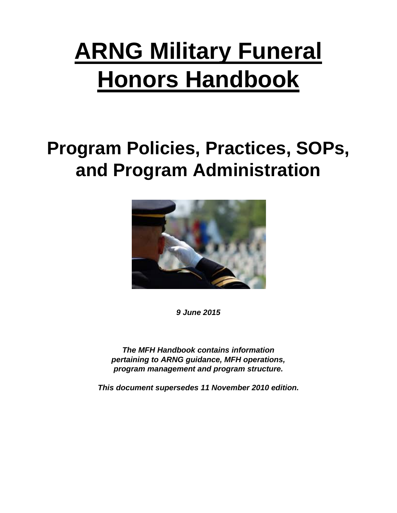# **ARNG Military Funeral Honors Handbook**

# **Program Policies, Practices, SOPs, and Program Administration**



*9 June 2015*

*The MFH Handbook contains information pertaining to ARNG guidance, MFH operations, program management and program structure.*

*This document supersedes 11 November 2010 edition.*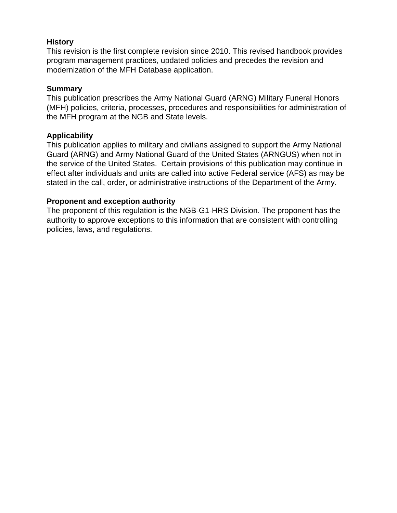# **History**

This revision is the first complete revision since 2010. This revised handbook provides program management practices, updated policies and precedes the revision and modernization of the MFH Database application.

#### **Summary**

This publication prescribes the Army National Guard (ARNG) Military Funeral Honors (MFH) policies, criteria, processes, procedures and responsibilities for administration of the MFH program at the NGB and State levels.

# **Applicability**

This publication applies to military and civilians assigned to support the Army National Guard (ARNG) and Army National Guard of the United States (ARNGUS) when not in the service of the United States. Certain provisions of this publication may continue in effect after individuals and units are called into active Federal service (AFS) as may be stated in the call, order, or administrative instructions of the Department of the Army.

### **Proponent and exception authority**

The proponent of this regulation is the NGB-G1-HRS Division. The proponent has the authority to approve exceptions to this information that are consistent with controlling policies, laws, and regulations.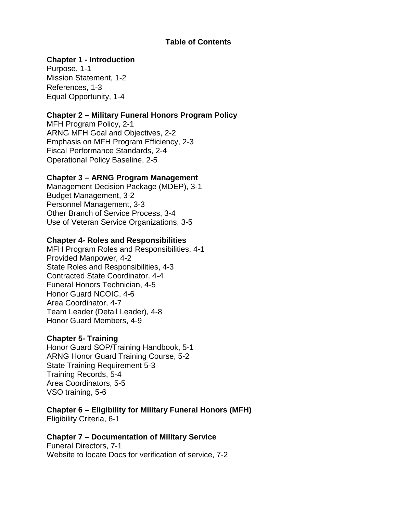#### **Table of Contents**

### **Chapter 1 - Introduction**

Purpose, 1-1 Mission Statement, 1-2 References, 1-3 Equal Opportunity, 1-4

# **Chapter 2 – Military Funeral Honors Program Policy**

MFH Program Policy, 2-1 ARNG MFH Goal and Objectives, 2-2 Emphasis on MFH Program Efficiency, 2-3 Fiscal Performance Standards, 2-4 Operational Policy Baseline, 2-5

#### **Chapter 3 – ARNG Program Management**

Management Decision Package (MDEP), 3-1 Budget Management, 3-2 Personnel Management, 3-3 Other Branch of Service Process, 3-4 Use of Veteran Service Organizations, 3-5

#### **Chapter 4- Roles and Responsibilities**

MFH Program Roles and Responsibilities, 4-1 Provided Manpower, 4-2 State Roles and Responsibilities, 4-3 Contracted State Coordinator, 4-4 Funeral Honors Technician, 4-5 Honor Guard NCOIC, 4-6 Area Coordinator, 4-7 Team Leader (Detail Leader), 4-8 Honor Guard Members, 4-9

#### **Chapter 5- Training**

Honor Guard SOP/Training Handbook, 5-1 ARNG Honor Guard Training Course, 5-2 State Training Requirement 5-3 Training Records, 5-4 Area Coordinators, 5-5 VSO training, 5-6

#### **Chapter 6 – Eligibility for Military Funeral Honors (MFH)** Eligibility Criteria, 6-1

#### **Chapter 7 – Documentation of Military Service**

Funeral Directors, 7-1 Website to locate Docs for verification of service, 7-2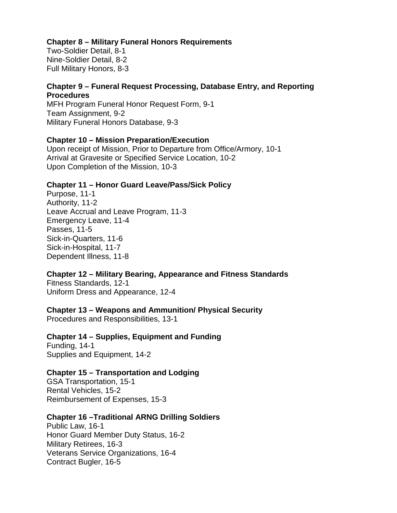#### **Chapter 8 – Military Funeral Honors Requirements**

Two-Soldier Detail, 8-1 Nine-Soldier Detail, 8-2 Full Military Honors, 8-3

# **Chapter 9 – Funeral Request Processing, Database Entry, and Reporting Procedures**

MFH Program Funeral Honor Request Form, 9-1 Team Assignment, 9-2 Military Funeral Honors Database, 9-3

### **Chapter 10 – Mission Preparation/Execution**

Upon receipt of Mission, Prior to Departure from Office/Armory, 10-1 Arrival at Gravesite or Specified Service Location, 10-2 Upon Completion of the Mission, 10-3

### **Chapter 11 – Honor Guard Leave/Pass/Sick Policy**

Purpose, 11-1 Authority, 11-2 Leave Accrual and Leave Program, 11-3 Emergency Leave, 11-4 Passes, 11-5 Sick-in-Quarters, 11-6 Sick-in-Hospital, 11-7 Dependent Illness, 11-8

# **Chapter 12 – Military Bearing, Appearance and Fitness Standards**

Fitness Standards, 12-1 Uniform Dress and Appearance, 12-4

#### **Chapter 13 – Weapons and Ammunition/ Physical Security**

Procedures and Responsibilities, 13-1

# **Chapter 14 – Supplies, Equipment and Funding**

Funding, 14-1 Supplies and Equipment, 14-2

#### **Chapter 15 – Transportation and Lodging**

GSA Transportation, 15-1 Rental Vehicles, 15-2 Reimbursement of Expenses, 15-3

#### **Chapter 16 –Traditional ARNG Drilling Soldiers**

Public Law, 16-1 Honor Guard Member Duty Status, 16-2 Military Retirees, 16-3 Veterans Service Organizations, 16-4 Contract Bugler, 16-5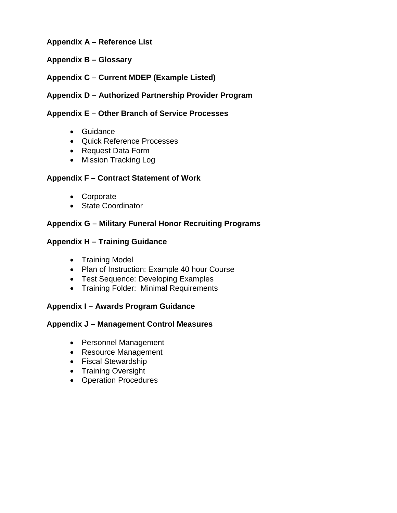# **Appendix A – Reference List**

### **Appendix B – Glossary**

# **Appendix C – Current MDEP (Example Listed)**

# **Appendix D – Authorized Partnership Provider Program**

#### **Appendix E – Other Branch of Service Processes**

- Guidance
- Quick Reference Processes
- Request Data Form
- Mission Tracking Log

### **Appendix F – Contract Statement of Work**

- Corporate
- State Coordinator

### **Appendix G – Military Funeral Honor Recruiting Programs**

#### **Appendix H – Training Guidance**

- Training Model
- Plan of Instruction: Example 40 hour Course
- Test Sequence: Developing Examples
- Training Folder: Minimal Requirements

# **Appendix I – Awards Program Guidance**

#### **Appendix J – Management Control Measures**

- Personnel Management
- Resource Management
- Fiscal Stewardship
- Training Oversight
- Operation Procedures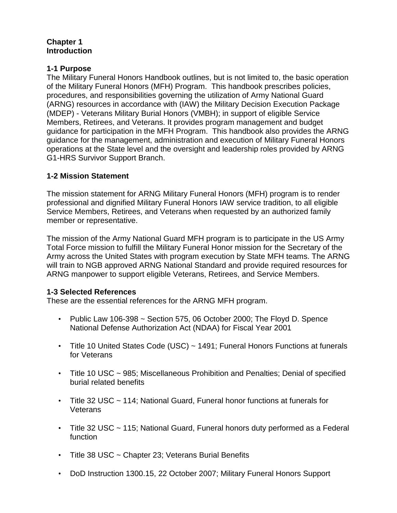# **Chapter 1 Introduction**

# **1-1 Purpose**

The Military Funeral Honors Handbook outlines, but is not limited to, the basic operation of the Military Funeral Honors (MFH) Program. This handbook prescribes policies, procedures, and responsibilities governing the utilization of Army National Guard (ARNG) resources in accordance with (IAW) the Military Decision Execution Package (MDEP) - Veterans Military Burial Honors (VMBH); in support of eligible Service Members, Retirees, and Veterans. It provides program management and budget guidance for participation in the MFH Program. This handbook also provides the ARNG guidance for the management, administration and execution of Military Funeral Honors operations at the State level and the oversight and leadership roles provided by ARNG G1-HRS Survivor Support Branch.

# **1-2 Mission Statement**

The mission statement for ARNG Military Funeral Honors (MFH) program is to render professional and dignified Military Funeral Honors IAW service tradition, to all eligible Service Members, Retirees, and Veterans when requested by an authorized family member or representative.

The mission of the Army National Guard MFH program is to participate in the US Army Total Force mission to fulfill the Military Funeral Honor mission for the Secretary of the Army across the United States with program execution by State MFH teams. The ARNG will train to NGB approved ARNG National Standard and provide required resources for ARNG manpower to support eligible Veterans, Retirees, and Service Members.

# **1-3 Selected References**

These are the essential references for the ARNG MFH program.

- Public Law 106-398 ~ Section 575, 06 October 2000; The Floyd D. Spence National Defense Authorization Act (NDAA) for Fiscal Year 2001
- Title 10 United States Code (USC) ~ 1491; Funeral Honors Functions at funerals for Veterans
- Title 10 USC ~ 985; Miscellaneous Prohibition and Penalties; Denial of specified burial related benefits
- Title 32 USC ~ 114; National Guard, Funeral honor functions at funerals for **Veterans**
- Title 32 USC ~ 115; National Guard, Funeral honors duty performed as a Federal function
- Title 38 USC ~ Chapter 23; Veterans Burial Benefits
- DoD Instruction 1300.15, 22 October 2007; Military Funeral Honors Support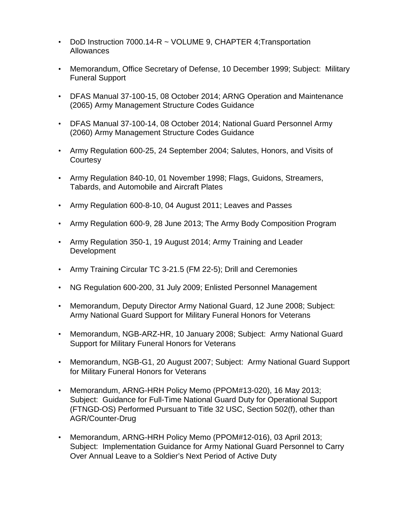- DoD Instruction 7000.14-R ~ VOLUME 9, CHAPTER 4; Transportation Allowances
- Memorandum, Office Secretary of Defense, 10 December 1999; Subject: Military Funeral Support
- DFAS Manual 37-100-15, 08 October 2014; ARNG Operation and Maintenance (2065) Army Management Structure Codes Guidance
- DFAS Manual 37-100-14, 08 October 2014; National Guard Personnel Army (2060) Army Management Structure Codes Guidance
- Army Regulation 600-25, 24 September 2004; Salutes, Honors, and Visits of **Courtesy**
- Army Regulation 840-10, 01 November 1998; Flags, Guidons, Streamers, Tabards, and Automobile and Aircraft Plates
- Army Regulation 600-8-10, 04 August 2011; Leaves and Passes
- Army Regulation 600-9, 28 June 2013; The Army Body Composition Program
- Army Regulation 350-1, 19 August 2014; Army Training and Leader **Development**
- Army Training Circular TC 3-21.5 (FM 22-5); Drill and Ceremonies
- NG Regulation 600-200, 31 July 2009; Enlisted Personnel Management
- Memorandum, Deputy Director Army National Guard, 12 June 2008; Subject: Army National Guard Support for Military Funeral Honors for Veterans
- Memorandum, NGB-ARZ-HR, 10 January 2008; Subject: Army National Guard Support for Military Funeral Honors for Veterans
- Memorandum, NGB-G1, 20 August 2007; Subject: Army National Guard Support for Military Funeral Honors for Veterans
- Memorandum, ARNG-HRH Policy Memo (PPOM#13-020), 16 May 2013; Subject: Guidance for Full-Time National Guard Duty for Operational Support (FTNGD-OS) Performed Pursuant to Title 32 USC, Section 502(f), other than AGR/Counter-Drug
- Memorandum, ARNG-HRH Policy Memo (PPOM#12-016), 03 April 2013; Subject: Implementation Guidance for Army National Guard Personnel to Carry Over Annual Leave to a Soldier's Next Period of Active Duty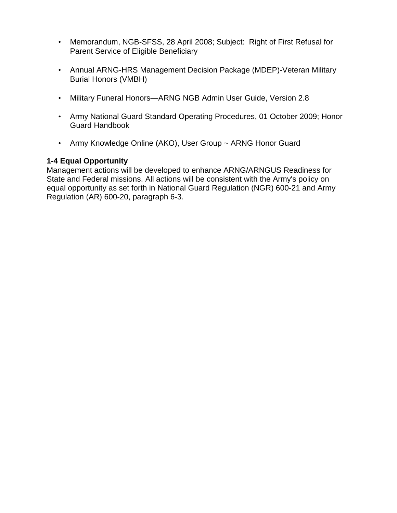- Memorandum, NGB-SFSS, 28 April 2008; Subject: Right of First Refusal for Parent Service of Eligible Beneficiary
- Annual ARNG-HRS Management Decision Package (MDEP)-Veteran Military Burial Honors (VMBH)
- Military Funeral Honors—ARNG NGB Admin User Guide, Version 2.8
- Army National Guard Standard Operating Procedures, 01 October 2009; Honor Guard Handbook
- Army Knowledge Online (AKO), User Group ~ ARNG Honor Guard

### **1-4 Equal Opportunity**

Management actions will be developed to enhance ARNG/ARNGUS Readiness for State and Federal missions. All actions will be consistent with the Army's policy on equal opportunity as set forth in National Guard Regulation (NGR) 600-21 and Army Regulation (AR) 600-20, paragraph 6-3.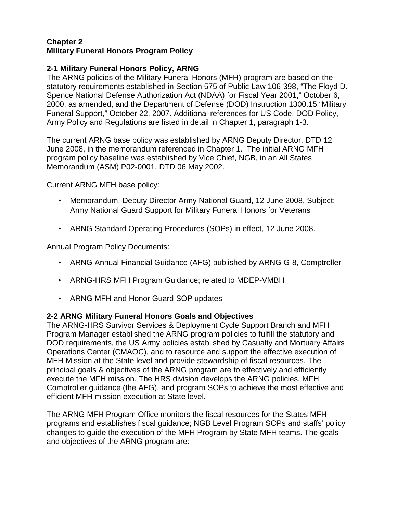#### **Chapter 2 Military Funeral Honors Program Policy**

# **2-1 Military Funeral Honors Policy, ARNG**

The ARNG policies of the Military Funeral Honors (MFH) program are based on the statutory requirements established in Section 575 of Public Law 106-398, "The Floyd D. Spence National Defense Authorization Act (NDAA) for Fiscal Year 2001," October 6, 2000, as amended, and the Department of Defense (DOD) Instruction 1300.15 "Military Funeral Support," October 22, 2007. Additional references for US Code, DOD Policy, Army Policy and Regulations are listed in detail in Chapter 1, paragraph 1-3.

The current ARNG base policy was established by ARNG Deputy Director, DTD 12 June 2008, in the memorandum referenced in Chapter 1. The initial ARNG MFH program policy baseline was established by Vice Chief, NGB, in an All States Memorandum (ASM) P02-0001, DTD 06 May 2002.

Current ARNG MFH base policy:

- Memorandum, Deputy Director Army National Guard, 12 June 2008, Subject: Army National Guard Support for Military Funeral Honors for Veterans
- ARNG Standard Operating Procedures (SOPs) in effect, 12 June 2008.

Annual Program Policy Documents:

- ARNG Annual Financial Guidance (AFG) published by ARNG G-8, Comptroller
- ARNG-HRS MFH Program Guidance; related to MDEP-VMBH
- ARNG MFH and Honor Guard SOP updates

#### **2-2 ARNG Military Funeral Honors Goals and Objectives**

The ARNG-HRS Survivor Services & Deployment Cycle Support Branch and MFH Program Manager established the ARNG program policies to fulfill the statutory and DOD requirements, the US Army policies established by Casualty and Mortuary Affairs Operations Center (CMAOC), and to resource and support the effective execution of MFH Mission at the State level and provide stewardship of fiscal resources. The principal goals & objectives of the ARNG program are to effectively and efficiently execute the MFH mission. The HRS division develops the ARNG policies, MFH Comptroller guidance (the AFG), and program SOPs to achieve the most effective and efficient MFH mission execution at State level.

The ARNG MFH Program Office monitors the fiscal resources for the States MFH programs and establishes fiscal guidance; NGB Level Program SOPs and staffs' policy changes to guide the execution of the MFH Program by State MFH teams. The goals and objectives of the ARNG program are: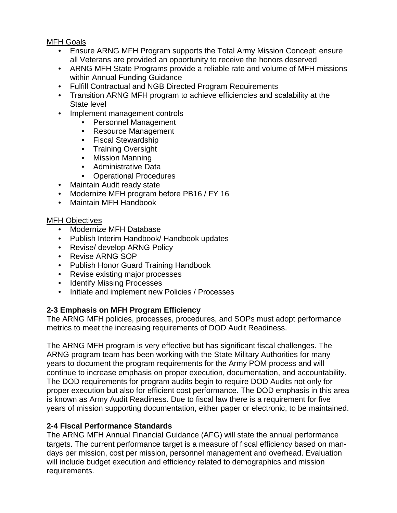MFH Goals

- Ensure ARNG MFH Program supports the Total Army Mission Concept; ensure all Veterans are provided an opportunity to receive the honors deserved
- ARNG MFH State Programs provide a reliable rate and volume of MFH missions within Annual Funding Guidance
- Fulfill Contractual and NGB Directed Program Requirements
- Transition ARNG MFH program to achieve efficiencies and scalability at the State level
- Implement management controls
	- Personnel Management
	- Resource Management
	- Fiscal Stewardship
	- Training Oversight
	- Mission Manning
	- Administrative Data
	- Operational Procedures
- Maintain Audit ready state
- Modernize MFH program before PB16 / FY 16
- Maintain MFH Handbook

#### MFH Objectives

- Modernize MFH Database
- Publish Interim Handbook/ Handbook updates
- Revise/ develop ARNG Policy
- Revise ARNG SOP
- Publish Honor Guard Training Handbook
- Revise existing major processes
- Identify Missing Processes
- Initiate and implement new Policies / Processes

# **2-3 Emphasis on MFH Program Efficiency**

The ARNG MFH policies, processes, procedures, and SOPs must adopt performance metrics to meet the increasing requirements of DOD Audit Readiness.

The ARNG MFH program is very effective but has significant fiscal challenges. The ARNG program team has been working with the State Military Authorities for many years to document the program requirements for the Army POM process and will continue to increase emphasis on proper execution, documentation, and accountability. The DOD requirements for program audits begin to require DOD Audits not only for proper execution but also for efficient cost performance. The DOD emphasis in this area is known as Army Audit Readiness. Due to fiscal law there is a requirement for five years of mission supporting documentation, either paper or electronic, to be maintained.

#### **2-4 Fiscal Performance Standards**

The ARNG MFH Annual Financial Guidance (AFG) will state the annual performance targets. The current performance target is a measure of fiscal efficiency based on mandays per mission, cost per mission, personnel management and overhead. Evaluation will include budget execution and efficiency related to demographics and mission requirements.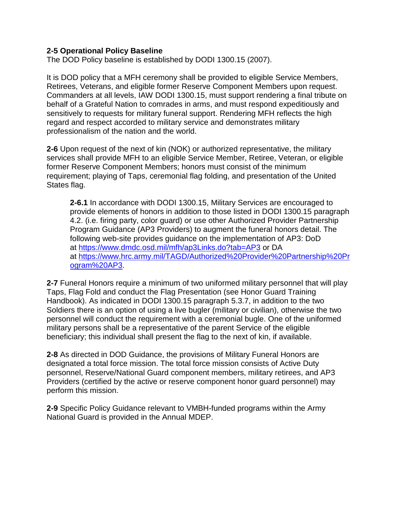#### **2-5 Operational Policy Baseline**

The DOD Policy baseline is established by DODI 1300.15 (2007).

It is DOD policy that a MFH ceremony shall be provided to eligible Service Members, Retirees, Veterans, and eligible former Reserve Component Members upon request. Commanders at all levels, IAW DODI 1300.15, must support rendering a final tribute on behalf of a Grateful Nation to comrades in arms, and must respond expeditiously and sensitively to requests for military funeral support. Rendering MFH reflects the high regard and respect accorded to military service and demonstrates military professionalism of the nation and the world.

**2-6** Upon request of the next of kin (NOK) or authorized representative, the military services shall provide MFH to an eligible Service Member, Retiree, Veteran, or eligible former Reserve Component Members; honors must consist of the minimum requirement; playing of Taps, ceremonial flag folding, and presentation of the United States flag.

**2-6.1** In accordance with DODI 1300.15, Military Services are encouraged to provide elements of honors in addition to those listed in DODI 1300.15 paragraph 4.2. (i.e. firing party, color guard) or use other Authorized Provider Partnership Program Guidance (AP3 Providers) to augment the funeral honors detail. The following web-site provides guidance on the implementation of AP3: DoD at<https://www.dmdc.osd.mil/mfh/ap3Links.do?tab=AP3> or DA at [https://www.hrc.army.mil/TAGD/Authorized%20Provider%20Partnership%20Pr](https://www.hrc.army.mil/TAGD/Authorized%20Provider%20Partnership%20Program%20AP3) [ogram%20AP3.](https://www.hrc.army.mil/TAGD/Authorized%20Provider%20Partnership%20Program%20AP3)

**2-7** Funeral Honors require a minimum of two uniformed military personnel that will play Taps, Flag Fold and conduct the Flag Presentation (see Honor Guard Training Handbook). As indicated in DODI 1300.15 paragraph 5.3.7, in addition to the two Soldiers there is an option of using a live bugler (military or civilian), otherwise the two personnel will conduct the requirement with a ceremonial bugle. One of the uniformed military persons shall be a representative of the parent Service of the eligible beneficiary; this individual shall present the flag to the next of kin, if available.

**2-8** As directed in DOD Guidance, the provisions of Military Funeral Honors are designated a total force mission. The total force mission consists of Active Duty personnel, Reserve/National Guard component members, military retirees, and AP3 Providers (certified by the active or reserve component honor guard personnel) may perform this mission.

**2-9** Specific Policy Guidance relevant to VMBH-funded programs within the Army National Guard is provided in the Annual MDEP.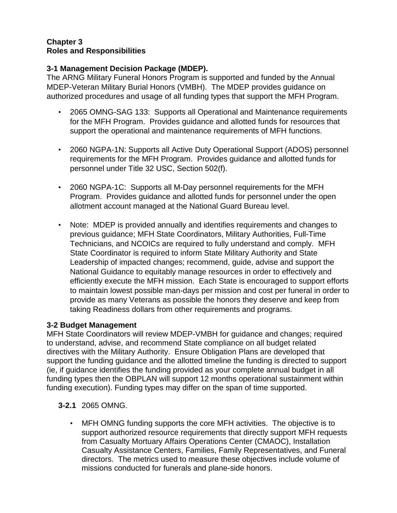#### **Chapter 3 Roles and Responsibilities**

# **3-1 Management Decision Package (MDEP).**

The ARNG Military Funeral Honors Program is supported and funded by the Annual MDEP-Veteran Military Burial Honors (VMBH). The MDEP provides guidance on authorized procedures and usage of all funding types that support the MFH Program.

- 2065 OMNG-SAG 133: Supports all Operational and Maintenance requirements for the MFH Program. Provides guidance and allotted funds for resources that support the operational and maintenance requirements of MFH functions.
- 2060 NGPA-1N: Supports all Active Duty Operational Support (ADOS) personnel requirements for the MFH Program. Provides guidance and allotted funds for personnel under Title 32 USC, Section 502(f).
- 2060 NGPA-1C: Supports all M-Day personnel requirements for the MFH Program. Provides guidance and allotted funds for personnel under the open allotment account managed at the National Guard Bureau level.
- Note: MDEP is provided annually and identifies requirements and changes to previous guidance; MFH State Coordinators, Military Authorities, Full-Time Technicians, and NCOICs are required to fully understand and comply. MFH State Coordinator is required to inform State Military Authority and State Leadership of impacted changes; recommend, guide, advise and support the National Guidance to equitably manage resources in order to effectively and efficiently execute the MFH mission. Each State is encouraged to support efforts to maintain lowest possible man-days per mission and cost per funeral in order to provide as many Veterans as possible the honors they deserve and keep from taking Readiness dollars from other requirements and programs.

# **3-2 Budget Management**

MFH State Coordinators will review MDEP-VMBH for guidance and changes; required to understand, advise, and recommend State compliance on all budget related directives with the Military Authority. Ensure Obligation Plans are developed that support the funding guidance and the allotted timeline the funding is directed to support (ie, if guidance identifies the funding provided as your complete annual budget in all funding types then the OBPLAN will support 12 months operational sustainment within funding execution). Funding types may differ on the span of time supported.

- **3-2.1** 2065 OMNG.
	- MFH OMNG funding supports the core MFH activities. The objective is to support authorized resource requirements that directly support MFH requests from Casualty Mortuary Affairs Operations Center (CMAOC), Installation Casualty Assistance Centers, Families, Family Representatives, and Funeral directors. The metrics used to measure these objectives include volume of missions conducted for funerals and plane-side honors.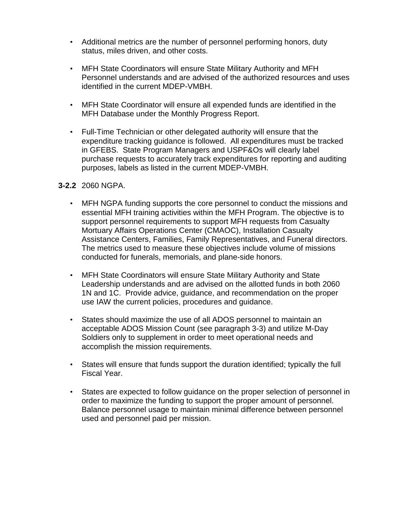- Additional metrics are the number of personnel performing honors, duty status, miles driven, and other costs.
- MFH State Coordinators will ensure State Military Authority and MFH Personnel understands and are advised of the authorized resources and uses identified in the current MDEP-VMBH.
- MFH State Coordinator will ensure all expended funds are identified in the MFH Database under the Monthly Progress Report.
- Full-Time Technician or other delegated authority will ensure that the expenditure tracking guidance is followed. All expenditures must be tracked in GFEBS. State Program Managers and USPF&Os will clearly label purchase requests to accurately track expenditures for reporting and auditing purposes, labels as listed in the current MDEP-VMBH.

#### **3-2.2** 2060 NGPA.

- MFH NGPA funding supports the core personnel to conduct the missions and essential MFH training activities within the MFH Program. The objective is to support personnel requirements to support MFH requests from Casualty Mortuary Affairs Operations Center (CMAOC), Installation Casualty Assistance Centers, Families, Family Representatives, and Funeral directors. The metrics used to measure these objectives include volume of missions conducted for funerals, memorials, and plane-side honors.
- MFH State Coordinators will ensure State Military Authority and State Leadership understands and are advised on the allotted funds in both 2060 1N and 1C. Provide advice, guidance, and recommendation on the proper use IAW the current policies, procedures and guidance.
- States should maximize the use of all ADOS personnel to maintain an acceptable ADOS Mission Count (see paragraph 3-3) and utilize M-Day Soldiers only to supplement in order to meet operational needs and accomplish the mission requirements.
- States will ensure that funds support the duration identified; typically the full Fiscal Year.
- States are expected to follow guidance on the proper selection of personnel in order to maximize the funding to support the proper amount of personnel. Balance personnel usage to maintain minimal difference between personnel used and personnel paid per mission.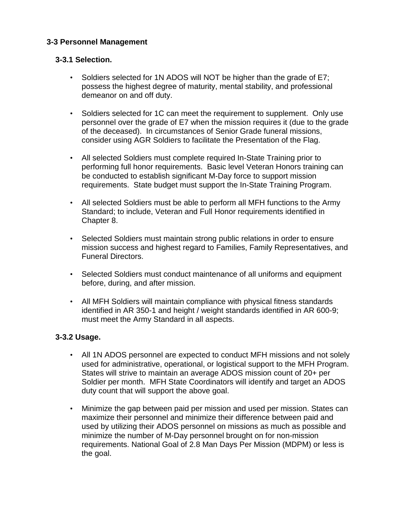# **3-3 Personnel Management**

#### **3-3.1 Selection.**

- Soldiers selected for 1N ADOS will NOT be higher than the grade of E7; possess the highest degree of maturity, mental stability, and professional demeanor on and off duty.
- Soldiers selected for 1C can meet the requirement to supplement. Only use personnel over the grade of E7 when the mission requires it (due to the grade of the deceased). In circumstances of Senior Grade funeral missions, consider using AGR Soldiers to facilitate the Presentation of the Flag.
- All selected Soldiers must complete required In-State Training prior to performing full honor requirements. Basic level Veteran Honors training can be conducted to establish significant M-Day force to support mission requirements. State budget must support the In-State Training Program.
- All selected Soldiers must be able to perform all MFH functions to the Army Standard; to include, Veteran and Full Honor requirements identified in Chapter 8.
- Selected Soldiers must maintain strong public relations in order to ensure mission success and highest regard to Families, Family Representatives, and Funeral Directors.
- Selected Soldiers must conduct maintenance of all uniforms and equipment before, during, and after mission.
- All MFH Soldiers will maintain compliance with physical fitness standards identified in AR 350-1 and height / weight standards identified in AR 600-9; must meet the Army Standard in all aspects.

#### **3-3.2 Usage.**

- All 1N ADOS personnel are expected to conduct MFH missions and not solely used for administrative, operational, or logistical support to the MFH Program. States will strive to maintain an average ADOS mission count of 20+ per Soldier per month. MFH State Coordinators will identify and target an ADOS duty count that will support the above goal.
- Minimize the gap between paid per mission and used per mission. States can maximize their personnel and minimize their difference between paid and used by utilizing their ADOS personnel on missions as much as possible and minimize the number of M-Day personnel brought on for non-mission requirements. National Goal of 2.8 Man Days Per Mission (MDPM) or less is the goal.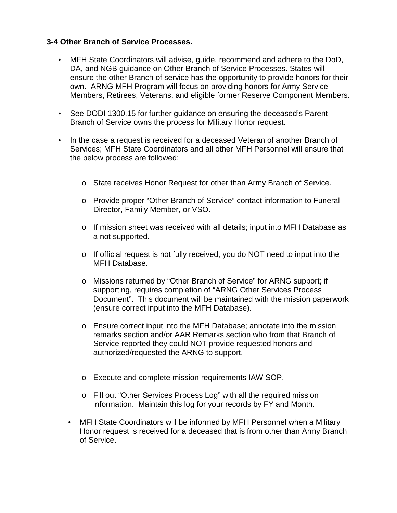#### **3-4 Other Branch of Service Processes.**

- MFH State Coordinators will advise, guide, recommend and adhere to the DoD, DA, and NGB guidance on Other Branch of Service Processes. States will ensure the other Branch of service has the opportunity to provide honors for their own. ARNG MFH Program will focus on providing honors for Army Service Members, Retirees, Veterans, and eligible former Reserve Component Members.
- See DODI 1300.15 for further guidance on ensuring the deceased's Parent Branch of Service owns the process for Military Honor request.
- In the case a request is received for a deceased Veteran of another Branch of Services; MFH State Coordinators and all other MFH Personnel will ensure that the below process are followed:
	- o State receives Honor Request for other than Army Branch of Service.
	- o Provide proper "Other Branch of Service" contact information to Funeral Director, Family Member, or VSO.
	- o If mission sheet was received with all details; input into MFH Database as a not supported.
	- o If official request is not fully received, you do NOT need to input into the MFH Database.
	- o Missions returned by "Other Branch of Service" for ARNG support; if supporting, requires completion of "ARNG Other Services Process Document". This document will be maintained with the mission paperwork (ensure correct input into the MFH Database).
	- o Ensure correct input into the MFH Database; annotate into the mission remarks section and/or AAR Remarks section who from that Branch of Service reported they could NOT provide requested honors and authorized/requested the ARNG to support.
	- o Execute and complete mission requirements IAW SOP.
	- o Fill out "Other Services Process Log" with all the required mission information. Maintain this log for your records by FY and Month.
	- MFH State Coordinators will be informed by MFH Personnel when a Military Honor request is received for a deceased that is from other than Army Branch of Service.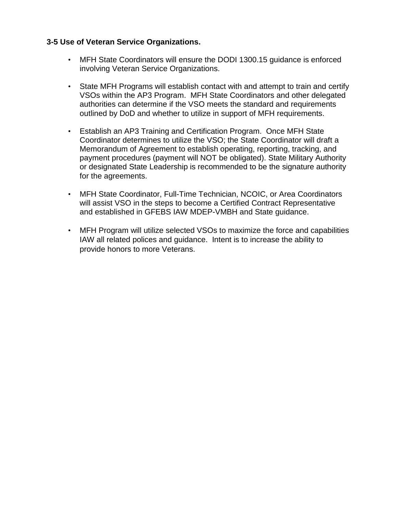#### **3-5 Use of Veteran Service Organizations.**

- MFH State Coordinators will ensure the DODI 1300.15 guidance is enforced involving Veteran Service Organizations.
- State MFH Programs will establish contact with and attempt to train and certify VSOs within the AP3 Program. MFH State Coordinators and other delegated authorities can determine if the VSO meets the standard and requirements outlined by DoD and whether to utilize in support of MFH requirements.
- Establish an AP3 Training and Certification Program. Once MFH State Coordinator determines to utilize the VSO; the State Coordinator will draft a Memorandum of Agreement to establish operating, reporting, tracking, and payment procedures (payment will NOT be obligated). State Military Authority or designated State Leadership is recommended to be the signature authority for the agreements.
- MFH State Coordinator, Full-Time Technician, NCOIC, or Area Coordinators will assist VSO in the steps to become a Certified Contract Representative and established in GFEBS IAW MDEP-VMBH and State guidance.
- MFH Program will utilize selected VSOs to maximize the force and capabilities IAW all related polices and guidance. Intent is to increase the ability to provide honors to more Veterans.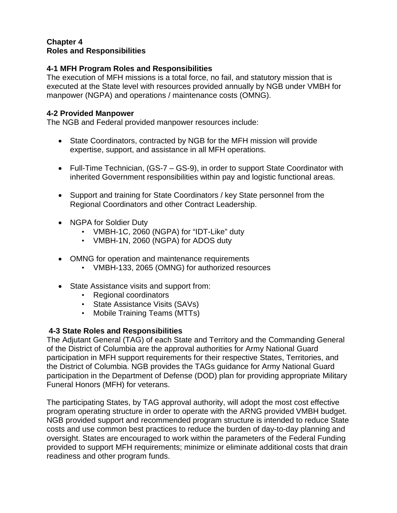### **Chapter 4 Roles and Responsibilities**

# **4-1 MFH Program Roles and Responsibilities**

The execution of MFH missions is a total force, no fail, and statutory mission that is executed at the State level with resources provided annually by NGB under VMBH for manpower (NGPA) and operations / maintenance costs (OMNG).

#### **4-2 Provided Manpower**

The NGB and Federal provided manpower resources include:

- State Coordinators, contracted by NGB for the MFH mission will provide expertise, support, and assistance in all MFH operations.
- Full-Time Technician, (GS-7 GS-9), in order to support State Coordinator with inherited Government responsibilities within pay and logistic functional areas.
- Support and training for State Coordinators / key State personnel from the Regional Coordinators and other Contract Leadership.
- NGPA for Soldier Duty
	- VMBH-1C, 2060 (NGPA) for "IDT-Like" duty
	- VMBH-1N, 2060 (NGPA) for ADOS duty
- OMNG for operation and maintenance requirements
	- VMBH-133, 2065 (OMNG) for authorized resources
- State Assistance visits and support from:
	- Regional coordinators
	- State Assistance Visits (SAVs)
	- Mobile Training Teams (MTTs)

#### **4-3 State Roles and Responsibilities**

The Adjutant General (TAG) of each State and Territory and the Commanding General of the District of Columbia are the approval authorities for Army National Guard participation in MFH support requirements for their respective States, Territories, and the District of Columbia. NGB provides the TAGs guidance for Army National Guard participation in the Department of Defense (DOD) plan for providing appropriate Military Funeral Honors (MFH) for veterans.

The participating States, by TAG approval authority, will adopt the most cost effective program operating structure in order to operate with the ARNG provided VMBH budget. NGB provided support and recommended program structure is intended to reduce State costs and use common best practices to reduce the burden of day-to-day planning and oversight. States are encouraged to work within the parameters of the Federal Funding provided to support MFH requirements; minimize or eliminate additional costs that drain readiness and other program funds.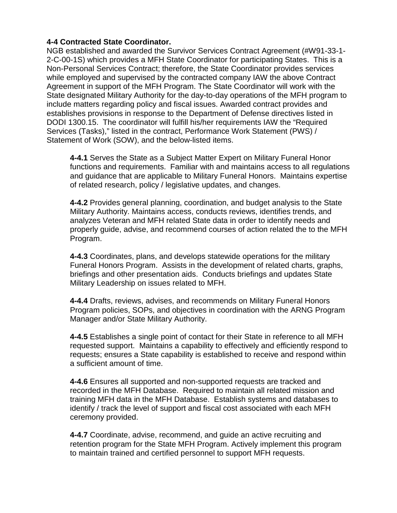### **4-4 Contracted State Coordinator.**

NGB established and awarded the Survivor Services Contract Agreement (#W91-33-1- 2-C-00-1S) which provides a MFH State Coordinator for participating States. This is a Non-Personal Services Contract; therefore, the State Coordinator provides services while employed and supervised by the contracted company IAW the above Contract Agreement in support of the MFH Program. The State Coordinator will work with the State designated Military Authority for the day-to-day operations of the MFH program to include matters regarding policy and fiscal issues. Awarded contract provides and establishes provisions in response to the Department of Defense directives listed in DODI 1300.15. The coordinator will fulfill his/her requirements IAW the "Required Services (Tasks)," listed in the contract, Performance Work Statement (PWS) / Statement of Work (SOW), and the below-listed items.

**4-4.1** Serves the State as a Subject Matter Expert on Military Funeral Honor functions and requirements. Familiar with and maintains access to all regulations and guidance that are applicable to Military Funeral Honors. Maintains expertise of related research, policy / legislative updates, and changes.

**4-4.2** Provides general planning, coordination, and budget analysis to the State Military Authority. Maintains access, conducts reviews, identifies trends, and analyzes Veteran and MFH related State data in order to identify needs and properly guide, advise, and recommend courses of action related the to the MFH Program.

**4-4.3** Coordinates, plans, and develops statewide operations for the military Funeral Honors Program. Assists in the development of related charts, graphs, briefings and other presentation aids. Conducts briefings and updates State Military Leadership on issues related to MFH.

**4-4.4** Drafts, reviews, advises, and recommends on Military Funeral Honors Program policies, SOPs, and objectives in coordination with the ARNG Program Manager and/or State Military Authority.

**4-4.5** Establishes a single point of contact for their State in reference to all MFH requested support. Maintains a capability to effectively and efficiently respond to requests; ensures a State capability is established to receive and respond within a sufficient amount of time.

**4-4.6** Ensures all supported and non-supported requests are tracked and recorded in the MFH Database. Required to maintain all related mission and training MFH data in the MFH Database. Establish systems and databases to identify / track the level of support and fiscal cost associated with each MFH ceremony provided.

**4-4.7** Coordinate, advise, recommend, and guide an active recruiting and retention program for the State MFH Program. Actively implement this program to maintain trained and certified personnel to support MFH requests.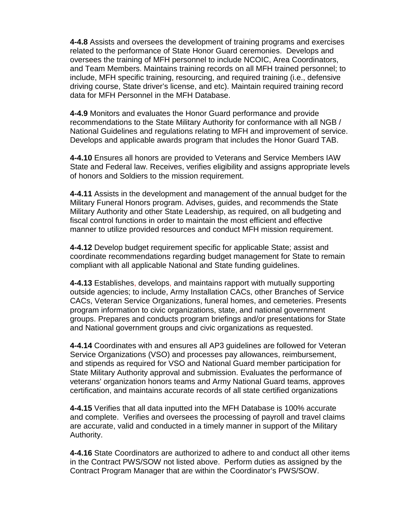**4-4.8** Assists and oversees the development of training programs and exercises related to the performance of State Honor Guard ceremonies. Develops and oversees the training of MFH personnel to include NCOIC, Area Coordinators, and Team Members. Maintains training records on all MFH trained personnel; to include, MFH specific training, resourcing, and required training (i.e., defensive driving course, State driver's license, and etc). Maintain required training record data for MFH Personnel in the MFH Database.

**4-4.9** Monitors and evaluates the Honor Guard performance and provide recommendations to the State Military Authority for conformance with all NGB / National Guidelines and regulations relating to MFH and improvement of service. Develops and applicable awards program that includes the Honor Guard TAB.

**4-4.10** Ensures all honors are provided to Veterans and Service Members IAW State and Federal law. Receives, verifies eligibility and assigns appropriate levels of honors and Soldiers to the mission requirement.

**4-4.11** Assists in the development and management of the annual budget for the Military Funeral Honors program. Advises, guides, and recommends the State Military Authority and other State Leadership, as required, on all budgeting and fiscal control functions in order to maintain the most efficient and effective manner to utilize provided resources and conduct MFH mission requirement.

**4-4.12** Develop budget requirement specific for applicable State; assist and coordinate recommendations regarding budget management for State to remain compliant with all applicable National and State funding guidelines.

**4-4.13** Establishes, develops, and maintains rapport with mutually supporting outside agencies; to include, Army Installation CACs, other Branches of Service CACs, Veteran Service Organizations, funeral homes, and cemeteries. Presents program information to civic organizations, state, and national government groups. Prepares and conducts program briefings and/or presentations for State and National government groups and civic organizations as requested.

**4-4.14** Coordinates with and ensures all AP3 guidelines are followed for Veteran Service Organizations (VSO) and processes pay allowances, reimbursement, and stipends as required for VSO and National Guard member participation for State Military Authority approval and submission. Evaluates the performance of veterans' organization honors teams and Army National Guard teams, approves certification, and maintains accurate records of all state certified organizations

**4-4.15** Verifies that all data inputted into the MFH Database is 100% accurate and complete. Verifies and oversees the processing of payroll and travel claims are accurate, valid and conducted in a timely manner in support of the Military Authority.

**4-4.16** State Coordinators are authorized to adhere to and conduct all other items in the Contract PWS/SOW not listed above. Perform duties as assigned by the Contract Program Manager that are within the Coordinator's PWS/SOW.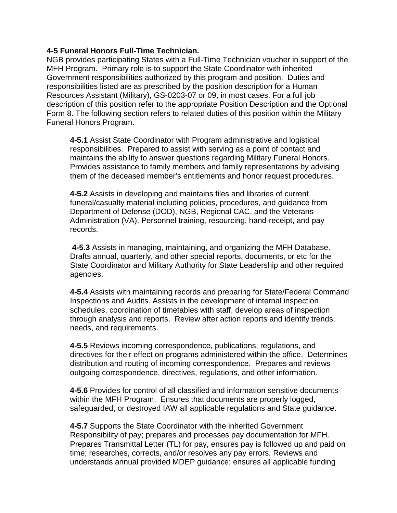#### **4-5 Funeral Honors Full-Time Technician.**

NGB provides participating States with a Full-Time Technician voucher in support of the MFH Program. Primary role is to support the State Coordinator with inherited Government responsibilities authorized by this program and position. Duties and responsibilities listed are as prescribed by the position description for a Human Resources Assistant (Military), GS-0203-07 or 09, in most cases. For a full job description of this position refer to the appropriate Position Description and the Optional Form 8. The following section refers to related duties of this position within the Military Funeral Honors Program.

**4-5.1** Assist State Coordinator with Program administrative and logistical responsibilities. Prepared to assist with serving as a point of contact and maintains the ability to answer questions regarding Military Funeral Honors. Provides assistance to family members and family representations by advising them of the deceased member's entitlements and honor request procedures.

**4-5.2** Assists in developing and maintains files and libraries of current funeral/casualty material including policies, procedures, and guidance from Department of Defense (DOD), NGB, Regional CAC, and the Veterans Administration (VA). Personnel training, resourcing, hand-receipt, and pay records.

**4-5.3** Assists in managing, maintaining, and organizing the MFH Database. Drafts annual, quarterly, and other special reports, documents, or etc for the State Coordinator and Military Authority for State Leadership and other required agencies.

**4-5.4** Assists with maintaining records and preparing for State/Federal Command Inspections and Audits. Assists in the development of internal inspection schedules, coordination of timetables with staff, develop areas of inspection through analysis and reports. Review after action reports and identify trends, needs, and requirements.

**4-5.5** Reviews incoming correspondence, publications, regulations, and directives for their effect on programs administered within the office. Determines distribution and routing of incoming correspondence. Prepares and reviews outgoing correspondence, directives, regulations, and other information.

**4-5.6** Provides for control of all classified and information sensitive documents within the MFH Program. Ensures that documents are properly logged, safeguarded, or destroyed IAW all applicable regulations and State guidance.

**4-5.7** Supports the State Coordinator with the inherited Government Responsibility of pay; prepares and processes pay documentation for MFH. Prepares Transmittal Letter (TL) for pay, ensures pay is followed up and paid on time; researches, corrects, and/or resolves any pay errors. Reviews and understands annual provided MDEP guidance; ensures all applicable funding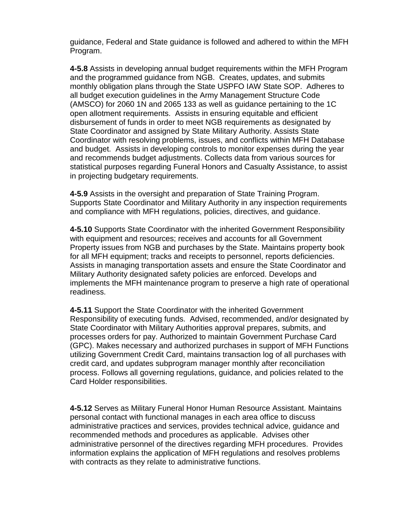guidance, Federal and State guidance is followed and adhered to within the MFH Program.

**4-5.8** Assists in developing annual budget requirements within the MFH Program and the programmed guidance from NGB. Creates, updates, and submits monthly obligation plans through the State USPFO IAW State SOP. Adheres to all budget execution guidelines in the Army Management Structure Code (AMSCO) for 2060 1N and 2065 133 as well as guidance pertaining to the 1C open allotment requirements. Assists in ensuring equitable and efficient disbursement of funds in order to meet NGB requirements as designated by State Coordinator and assigned by State Military Authority. Assists State Coordinator with resolving problems, issues, and conflicts within MFH Database and budget. Assists in developing controls to monitor expenses during the year and recommends budget adjustments. Collects data from various sources for statistical purposes regarding Funeral Honors and Casualty Assistance, to assist in projecting budgetary requirements.

**4-5.9** Assists in the oversight and preparation of State Training Program. Supports State Coordinator and Military Authority in any inspection requirements and compliance with MFH regulations, policies, directives, and guidance.

**4-5.10** Supports State Coordinator with the inherited Government Responsibility with equipment and resources; receives and accounts for all Government Property issues from NGB and purchases by the State. Maintains property book for all MFH equipment; tracks and receipts to personnel, reports deficiencies. Assists in managing transportation assets and ensure the State Coordinator and Military Authority designated safety policies are enforced. Develops and implements the MFH maintenance program to preserve a high rate of operational readiness.

**4-5.11** Support the State Coordinator with the inherited Government Responsibility of executing funds. Advised, recommended, and/or designated by State Coordinator with Military Authorities approval prepares, submits, and processes orders for pay. Authorized to maintain Government Purchase Card (GPC). Makes necessary and authorized purchases in support of MFH Functions utilizing Government Credit Card, maintains transaction log of all purchases with credit card, and updates subprogram manager monthly after reconciliation process. Follows all governing regulations, guidance, and policies related to the Card Holder responsibilities.

**4-5.12** Serves as Military Funeral Honor Human Resource Assistant. Maintains personal contact with functional manages in each area office to discuss administrative practices and services, provides technical advice, guidance and recommended methods and procedures as applicable. Advises other administrative personnel of the directives regarding MFH procedures. Provides information explains the application of MFH regulations and resolves problems with contracts as they relate to administrative functions.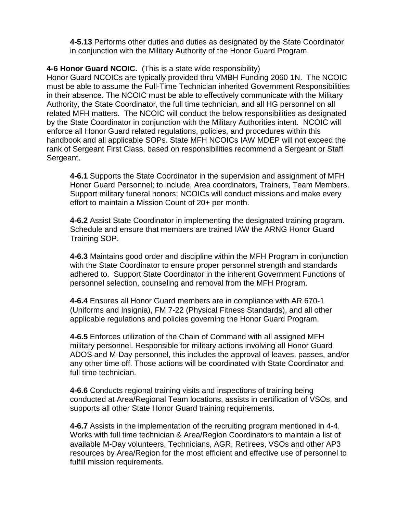**4-5.13** Performs other duties and duties as designated by the State Coordinator in conjunction with the Military Authority of the Honor Guard Program.

**4-6 Honor Guard NCOIC.** (This is a state wide responsibility)

Honor Guard NCOICs are typically provided thru VMBH Funding 2060 1N. The NCOIC must be able to assume the Full-Time Technician inherited Government Responsibilities in their absence. The NCOIC must be able to effectively communicate with the Military Authority, the State Coordinator, the full time technician, and all HG personnel on all related MFH matters. The NCOIC will conduct the below responsibilities as designated by the State Coordinator in conjunction with the Military Authorities intent. NCOIC will enforce all Honor Guard related regulations, policies, and procedures within this handbook and all applicable SOPs. State MFH NCOICs IAW MDEP will not exceed the rank of Sergeant First Class, based on responsibilities recommend a Sergeant or Staff Sergeant.

**4-6.1** Supports the State Coordinator in the supervision and assignment of MFH Honor Guard Personnel; to include, Area coordinators, Trainers, Team Members. Support military funeral honors; NCOICs will conduct missions and make every effort to maintain a Mission Count of 20+ per month.

**4-6.2** Assist State Coordinator in implementing the designated training program. Schedule and ensure that members are trained IAW the ARNG Honor Guard Training SOP.

**4-6.3** Maintains good order and discipline within the MFH Program in conjunction with the State Coordinator to ensure proper personnel strength and standards adhered to. Support State Coordinator in the inherent Government Functions of personnel selection, counseling and removal from the MFH Program.

**4-6.4** Ensures all Honor Guard members are in compliance with AR 670-1 (Uniforms and Insignia), FM 7-22 (Physical Fitness Standards), and all other applicable regulations and policies governing the Honor Guard Program.

**4-6.5** Enforces utilization of the Chain of Command with all assigned MFH military personnel. Responsible for military actions involving all Honor Guard ADOS and M-Day personnel, this includes the approval of leaves, passes, and/or any other time off. Those actions will be coordinated with State Coordinator and full time technician.

**4-6.6** Conducts regional training visits and inspections of training being conducted at Area/Regional Team locations, assists in certification of VSOs, and supports all other State Honor Guard training requirements.

**4-6.7** Assists in the implementation of the recruiting program mentioned in 4-4. Works with full time technician & Area/Region Coordinators to maintain a list of available M-Day volunteers, Technicians, AGR, Retirees, VSOs and other AP3 resources by Area/Region for the most efficient and effective use of personnel to fulfill mission requirements.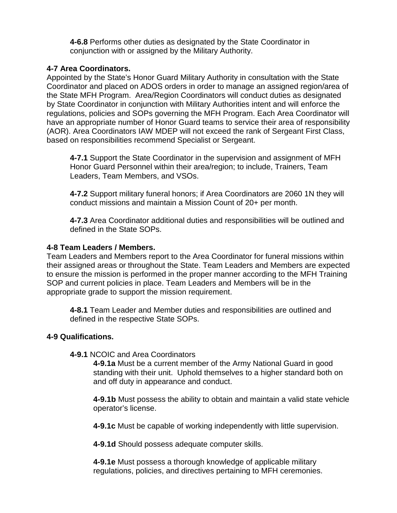**4-6.8** Performs other duties as designated by the State Coordinator in conjunction with or assigned by the Military Authority.

#### **4-7 Area Coordinators.**

Appointed by the State's Honor Guard Military Authority in consultation with the State Coordinator and placed on ADOS orders in order to manage an assigned region/area of the State MFH Program. Area/Region Coordinators will conduct duties as designated by State Coordinator in conjunction with Military Authorities intent and will enforce the regulations, policies and SOPs governing the MFH Program. Each Area Coordinator will have an appropriate number of Honor Guard teams to service their area of responsibility (AOR). Area Coordinators IAW MDEP will not exceed the rank of Sergeant First Class, based on responsibilities recommend Specialist or Sergeant.

**4-7.1** Support the State Coordinator in the supervision and assignment of MFH Honor Guard Personnel within their area/region; to include, Trainers, Team Leaders, Team Members, and VSOs.

**4-7.2** Support military funeral honors; if Area Coordinators are 2060 1N they will conduct missions and maintain a Mission Count of 20+ per month.

**4-7.3** Area Coordinator additional duties and responsibilities will be outlined and defined in the State SOPs.

#### **4-8 Team Leaders / Members.**

Team Leaders and Members report to the Area Coordinator for funeral missions within their assigned areas or throughout the State. Team Leaders and Members are expected to ensure the mission is performed in the proper manner according to the MFH Training SOP and current policies in place. Team Leaders and Members will be in the appropriate grade to support the mission requirement.

**4-8.1** Team Leader and Member duties and responsibilities are outlined and defined in the respective State SOPs.

#### **4-9 Qualifications.**

#### **4-9.1** NCOIC and Area Coordinators

**4-9.1a** Must be a current member of the Army National Guard in good standing with their unit. Uphold themselves to a higher standard both on and off duty in appearance and conduct.

**4-9.1b** Must possess the ability to obtain and maintain a valid state vehicle operator's license.

**4-9.1c** Must be capable of working independently with little supervision.

**4-9.1d** Should possess adequate computer skills.

**4-9.1e** Must possess a thorough knowledge of applicable military regulations, policies, and directives pertaining to MFH ceremonies.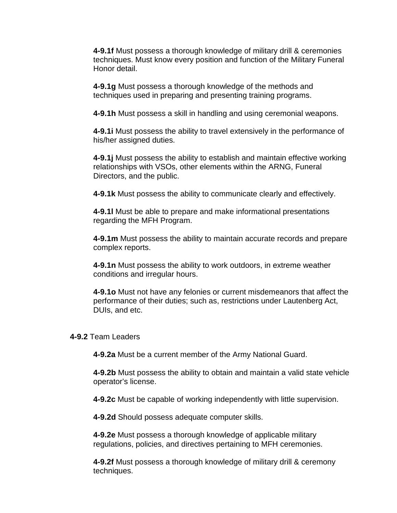**4-9.1f** Must possess a thorough knowledge of military drill & ceremonies techniques. Must know every position and function of the Military Funeral Honor detail.

**4-9.1g** Must possess a thorough knowledge of the methods and techniques used in preparing and presenting training programs.

**4-9.1h** Must possess a skill in handling and using ceremonial weapons.

**4-9.1i** Must possess the ability to travel extensively in the performance of his/her assigned duties.

**4-9.1j** Must possess the ability to establish and maintain effective working relationships with VSOs, other elements within the ARNG, Funeral Directors, and the public.

**4-9.1k** Must possess the ability to communicate clearly and effectively.

**4-9.1l** Must be able to prepare and make informational presentations regarding the MFH Program.

**4-9.1m** Must possess the ability to maintain accurate records and prepare complex reports.

**4-9.1n** Must possess the ability to work outdoors, in extreme weather conditions and irregular hours.

**4-9.1o** Must not have any felonies or current misdemeanors that affect the performance of their duties; such as, restrictions under Lautenberg Act, DUIs, and etc.

#### **4-9.2** Team Leaders

**4-9.2a** Must be a current member of the Army National Guard.

**4-9.2b** Must possess the ability to obtain and maintain a valid state vehicle operator's license.

**4-9.2c** Must be capable of working independently with little supervision.

**4-9.2d** Should possess adequate computer skills.

**4-9.2e** Must possess a thorough knowledge of applicable military regulations, policies, and directives pertaining to MFH ceremonies.

**4-9.2f** Must possess a thorough knowledge of military drill & ceremony techniques.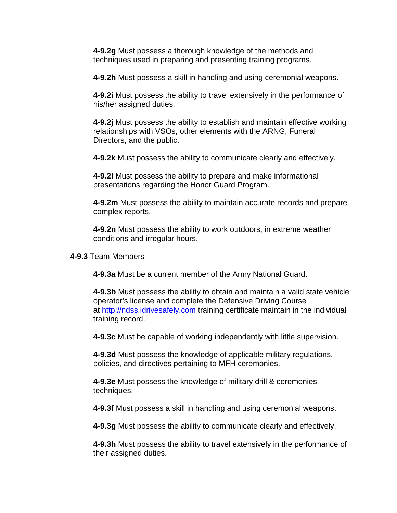**4-9.2g** Must possess a thorough knowledge of the methods and techniques used in preparing and presenting training programs.

**4-9.2h** Must possess a skill in handling and using ceremonial weapons.

**4-9.2i** Must possess the ability to travel extensively in the performance of his/her assigned duties.

**4-9.2j** Must possess the ability to establish and maintain effective working relationships with VSOs, other elements with the ARNG, Funeral Directors, and the public.

**4-9.2k** Must possess the ability to communicate clearly and effectively.

**4-9.2l** Must possess the ability to prepare and make informational presentations regarding the Honor Guard Program.

**4-9.2m** Must possess the ability to maintain accurate records and prepare complex reports.

**4-9.2n** Must possess the ability to work outdoors, in extreme weather conditions and irregular hours.

**4-9.3** Team Members

**4-9.3a** Must be a current member of the Army National Guard.

**4-9.3b** Must possess the ability to obtain and maintain a valid state vehicle operator's license and complete the Defensive Driving Course at [http://ndss.idrivesafely.com](http://ndss.idrivesafely.com/) training certificate maintain in the individual training record.

**4-9.3c** Must be capable of working independently with little supervision.

**4-9.3d** Must possess the knowledge of applicable military regulations, policies, and directives pertaining to MFH ceremonies.

**4-9.3e** Must possess the knowledge of military drill & ceremonies techniques.

**4-9.3f** Must possess a skill in handling and using ceremonial weapons.

**4-9.3g** Must possess the ability to communicate clearly and effectively.

**4-9.3h** Must possess the ability to travel extensively in the performance of their assigned duties.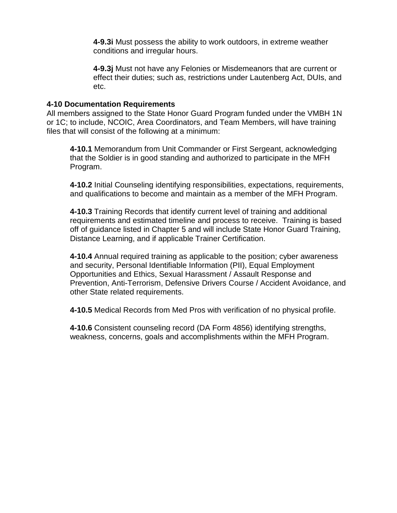**4-9.3i** Must possess the ability to work outdoors, in extreme weather conditions and irregular hours.

**4-9.3j** Must not have any Felonies or Misdemeanors that are current or effect their duties; such as, restrictions under Lautenberg Act, DUIs, and etc.

#### **4-10 Documentation Requirements**

All members assigned to the State Honor Guard Program funded under the VMBH 1N or 1C; to include, NCOIC, Area Coordinators, and Team Members, will have training files that will consist of the following at a minimum:

**4-10.1** Memorandum from Unit Commander or First Sergeant, acknowledging that the Soldier is in good standing and authorized to participate in the MFH Program.

**4-10.2** Initial Counseling identifying responsibilities, expectations, requirements, and qualifications to become and maintain as a member of the MFH Program.

**4-10.3** Training Records that identify current level of training and additional requirements and estimated timeline and process to receive. Training is based off of guidance listed in Chapter 5 and will include State Honor Guard Training, Distance Learning, and if applicable Trainer Certification.

**4-10.4** Annual required training as applicable to the position; cyber awareness and security, Personal Identifiable Information (PII), Equal Employment Opportunities and Ethics, Sexual Harassment / Assault Response and Prevention, Anti-Terrorism, Defensive Drivers Course / Accident Avoidance, and other State related requirements.

**4-10.5** Medical Records from Med Pros with verification of no physical profile.

**4-10.6** Consistent counseling record (DA Form 4856) identifying strengths, weakness, concerns, goals and accomplishments within the MFH Program.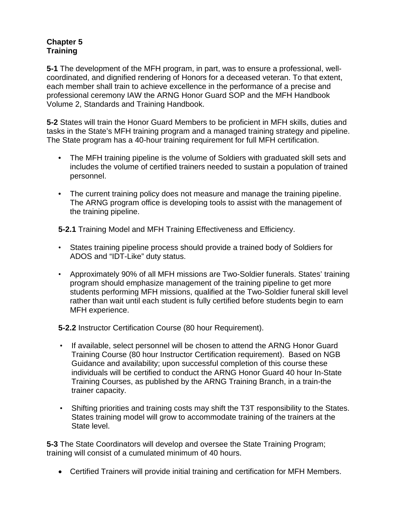# **Chapter 5 Training**

**5-1** The development of the MFH program, in part, was to ensure a professional, wellcoordinated, and dignified rendering of Honors for a deceased veteran. To that extent, each member shall train to achieve excellence in the performance of a precise and professional ceremony IAW the ARNG Honor Guard SOP and the MFH Handbook Volume 2, Standards and Training Handbook.

**5-2** States will train the Honor Guard Members to be proficient in MFH skills, duties and tasks in the State's MFH training program and a managed training strategy and pipeline. The State program has a 40-hour training requirement for full MFH certification.

- The MFH training pipeline is the volume of Soldiers with graduated skill sets and includes the volume of certified trainers needed to sustain a population of trained personnel.
- The current training policy does not measure and manage the training pipeline. The ARNG program office is developing tools to assist with the management of the training pipeline.

**5-2.1** Training Model and MFH Training Effectiveness and Efficiency.

- States training pipeline process should provide a trained body of Soldiers for ADOS and "IDT-Like" duty status.
- Approximately 90% of all MFH missions are Two-Soldier funerals. States' training program should emphasize management of the training pipeline to get more students performing MFH missions, qualified at the Two-Soldier funeral skill level rather than wait until each student is fully certified before students begin to earn MFH experience.

**5-2.2** Instructor Certification Course (80 hour Requirement).

- If available, select personnel will be chosen to attend the ARNG Honor Guard Training Course (80 hour Instructor Certification requirement). Based on NGB Guidance and availability; upon successful completion of this course these individuals will be certified to conduct the ARNG Honor Guard 40 hour In-State Training Courses, as published by the ARNG Training Branch, in a train-the trainer capacity.
- Shifting priorities and training costs may shift the T3T responsibility to the States. States training model will grow to accommodate training of the trainers at the State level.

**5-3** The State Coordinators will develop and oversee the State Training Program; training will consist of a cumulated minimum of 40 hours.

• Certified Trainers will provide initial training and certification for MFH Members.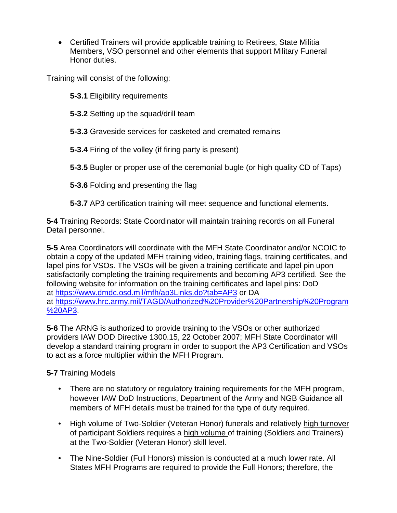• Certified Trainers will provide applicable training to Retirees, State Militia Members, VSO personnel and other elements that support Military Funeral Honor duties.

Training will consist of the following:

- **5-3.1** Eligibility requirements
- **5-3.2** Setting up the squad/drill team
- **5-3.3** Graveside services for casketed and cremated remains
- **5-3.4** Firing of the volley (if firing party is present)
- **5-3.5** Bugler or proper use of the ceremonial bugle (or high quality CD of Taps)
- **5-3.6** Folding and presenting the flag
- **5-3.7** AP3 certification training will meet sequence and functional elements.

**5-4** Training Records: State Coordinator will maintain training records on all Funeral Detail personnel.

**5-5** Area Coordinators will coordinate with the MFH State Coordinator and/or NCOIC to obtain a copy of the updated MFH training video, training flags, training certificates, and lapel pins for VSOs. The VSOs will be given a training certificate and lapel pin upon satisfactorily completing the training requirements and becoming AP3 certified. See the following website for information on the training certificates and lapel pins: DoD at<https://www.dmdc.osd.mil/mfh/ap3Links.do?tab=AP3> or DA at [https://www.hrc.army.mil/TAGD/Authorized%20Provider%20Partnership%20Program](https://www.hrc.army.mil/TAGD/Authorized%20Provider%20Partnership%20Program%20AP3) [%20AP3.](https://www.hrc.army.mil/TAGD/Authorized%20Provider%20Partnership%20Program%20AP3)

**5-6** The ARNG is authorized to provide training to the VSOs or other authorized providers IAW DOD Directive 1300.15, 22 October 2007; MFH State Coordinator will develop a standard training program in order to support the AP3 Certification and VSOs to act as a force multiplier within the MFH Program.

# **5-7** Training Models

- There are no statutory or regulatory training requirements for the MFH program, however IAW DoD Instructions, Department of the Army and NGB Guidance all members of MFH details must be trained for the type of duty required.
- High volume of Two-Soldier (Veteran Honor) funerals and relatively high turnover of participant Soldiers requires a high volume of training (Soldiers and Trainers) at the Two-Soldier (Veteran Honor) skill level.
- The Nine-Soldier (Full Honors) mission is conducted at a much lower rate. All States MFH Programs are required to provide the Full Honors; therefore, the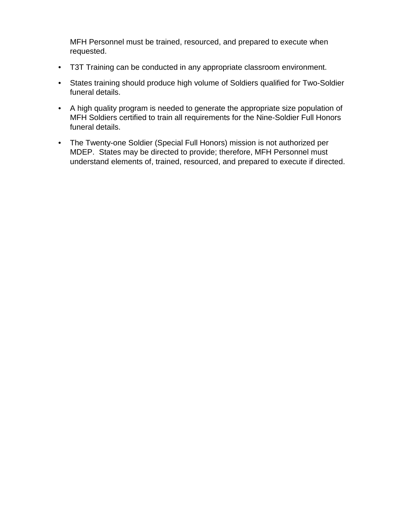MFH Personnel must be trained, resourced, and prepared to execute when requested.

- T3T Training can be conducted in any appropriate classroom environment.
- States training should produce high volume of Soldiers qualified for Two-Soldier funeral details.
- A high quality program is needed to generate the appropriate size population of MFH Soldiers certified to train all requirements for the Nine-Soldier Full Honors funeral details.
- The Twenty-one Soldier (Special Full Honors) mission is not authorized per MDEP. States may be directed to provide; therefore, MFH Personnel must understand elements of, trained, resourced, and prepared to execute if directed.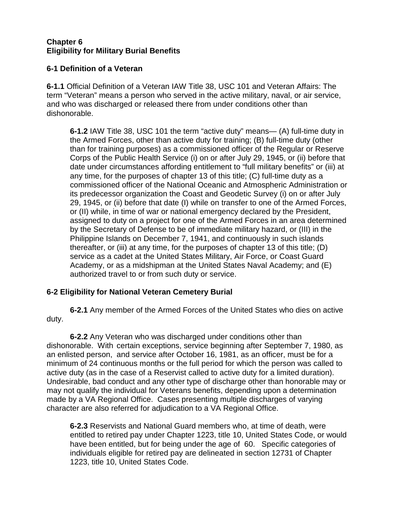# **Chapter 6 Eligibility for Military Burial Benefits**

# **6-1 Definition of a Veteran**

**6-1.1** Official Definition of a Veteran IAW Title 38, USC 101 and Veteran Affairs: The term "Veteran" means a person who served in the active military, naval, or air service, and who was discharged or released there from under conditions other than dishonorable.

**6-1.2** IAW Title 38, USC 101 the term "active duty" means— (A) full-time duty in the Armed Forces, other than active duty for training; (B) full-time duty (other than for training purposes) as a commissioned officer of the Regular or Reserve Corps of the Public Health Service (i) on or after July 29, 1945, or (ii) before that date under circumstances affording entitlement to "full military benefits" or (iii) at any time, for the purposes of chapter 13 of this title; (C) full-time duty as a commissioned officer of the National Oceanic and Atmospheric Administration or its predecessor organization the Coast and Geodetic Survey (i) on or after July 29, 1945, or (ii) before that date (I) while on transfer to one of the Armed Forces, or (II) while, in time of war or national emergency declared by the President, assigned to duty on a project for one of the Armed Forces in an area determined by the Secretary of Defense to be of immediate military hazard, or (III) in the Philippine Islands on December 7, 1941, and continuously in such islands thereafter, or (iii) at any time, for the purposes of chapter 13 of this title; (D) service as a cadet at the United States Military, Air Force, or Coast Guard Academy, or as a midshipman at the United States Naval Academy; and (E) authorized travel to or from such duty or service.

# **6-2 Eligibility for National Veteran Cemetery Burial**

**6-2.1** Any member of the Armed Forces of the United States who dies on active duty.

**6-2.2** Any Veteran who was discharged under conditions other than dishonorable. With certain exceptions, service beginning after September 7, 1980, as an enlisted person, and service after October 16, 1981, as an officer, must be for a minimum of 24 continuous months or the full period for which the person was called to active duty (as in the case of a Reservist called to active duty for a limited duration). Undesirable, bad conduct and any other type of discharge other than honorable may or may not qualify the individual for Veterans benefits, depending upon a determination made by a VA Regional Office. Cases presenting multiple discharges of varying character are also referred for adjudication to a VA Regional Office.

**6-2.3** Reservists and National Guard members who, at time of death, were entitled to retired pay under Chapter 1223, title 10, United States Code, or would have been entitled, but for being under the age of 60. Specific categories of individuals eligible for retired pay are delineated in section 12731 of Chapter 1223, title 10, United States Code.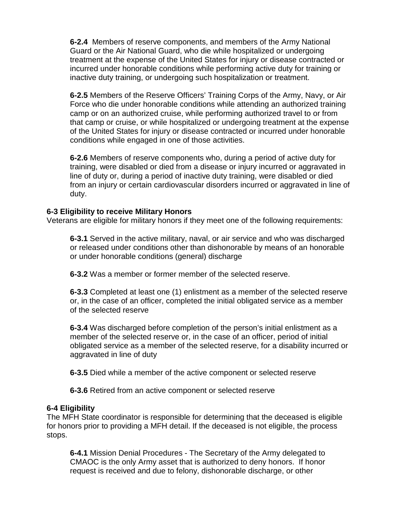**6-2.4** Members of reserve components, and members of the Army National Guard or the Air National Guard, who die while hospitalized or undergoing treatment at the expense of the United States for injury or disease contracted or incurred under honorable conditions while performing active duty for training or inactive duty training, or undergoing such hospitalization or treatment.

**6-2.5** Members of the Reserve Officers' Training Corps of the Army, Navy, or Air Force who die under honorable conditions while attending an authorized training camp or on an authorized cruise, while performing authorized travel to or from that camp or cruise, or while hospitalized or undergoing treatment at the expense of the United States for injury or disease contracted or incurred under honorable conditions while engaged in one of those activities.

**6-2.6** Members of reserve components who, during a period of active duty for training, were disabled or died from a disease or injury incurred or aggravated in line of duty or, during a period of inactive duty training, were disabled or died from an injury or certain cardiovascular disorders incurred or aggravated in line of duty.

#### **6-3 Eligibility to receive Military Honors**

Veterans are eligible for military honors if they meet one of the following requirements:

**6-3.1** Served in the active military, naval, or air service and who was discharged or released under conditions other than dishonorable by means of an honorable or under honorable conditions (general) discharge

**6-3.2** Was a member or former member of the selected reserve.

**6-3.3** Completed at least one (1) enlistment as a member of the selected reserve or, in the case of an officer, completed the initial obligated service as a member of the selected reserve

**6-3.4** Was discharged before completion of the person's initial enlistment as a member of the selected reserve or, in the case of an officer, period of initial obligated service as a member of the selected reserve, for a disability incurred or aggravated in line of duty

**6-3.5** Died while a member of the active component or selected reserve

**6-3.6** Retired from an active component or selected reserve

#### **6-4 Eligibility**

The MFH State coordinator is responsible for determining that the deceased is eligible for honors prior to providing a MFH detail. If the deceased is not eligible, the process stops.

**6-4.1** Mission Denial Procedures - The Secretary of the Army delegated to CMAOC is the only Army asset that is authorized to deny honors. If honor request is received and due to felony, dishonorable discharge, or other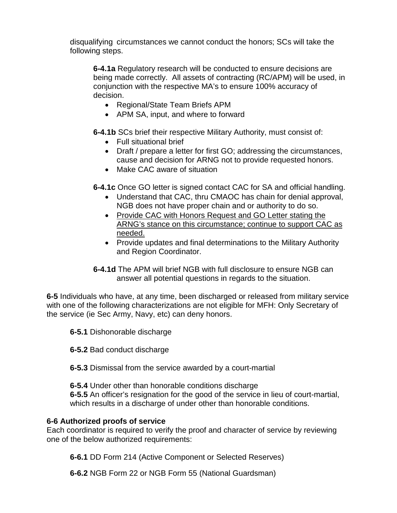disqualifying circumstances we cannot conduct the honors; SCs will take the following steps.

**6-4.1a** Regulatory research will be conducted to ensure decisions are being made correctly. All assets of contracting (RC/APM) will be used, in conjunction with the respective MA's to ensure 100% accuracy of decision.

- Regional/State Team Briefs APM
- APM SA, input, and where to forward

**6-4.1b** SCs brief their respective Military Authority, must consist of:

- Full situational brief
- Draft / prepare a letter for first GO; addressing the circumstances, cause and decision for ARNG not to provide requested honors.
- Make CAC aware of situation

**6-4.1c** Once GO letter is signed contact CAC for SA and official handling.

- Understand that CAC, thru CMAOC has chain for denial approval, NGB does not have proper chain and or authority to do so.
- Provide CAC with Honors Request and GO Letter stating the ARNG's stance on this circumstance; continue to support CAC as needed.
- Provide updates and final determinations to the Military Authority and Region Coordinator.
- **6-4.1d** The APM will brief NGB with full disclosure to ensure NGB can answer all potential questions in regards to the situation.

**6-5** Individuals who have, at any time, been discharged or released from military service with one of the following characterizations are not eligible for MFH: Only Secretary of the service (ie Sec Army, Navy, etc) can deny honors.

- **6-5.1** Dishonorable discharge
- **6-5.2** Bad conduct discharge
- **6-5.3** Dismissal from the service awarded by a court-martial
- **6-5.4** Under other than honorable conditions discharge

**6-5.5** An officer's resignation for the good of the service in lieu of court-martial, which results in a discharge of under other than honorable conditions.

# **6-6 Authorized proofs of service**

Each coordinator is required to verify the proof and character of service by reviewing one of the below authorized requirements:

**6-6.1** DD Form 214 (Active Component or Selected Reserves)

**6-6.2** NGB Form 22 or NGB Form 55 (National Guardsman)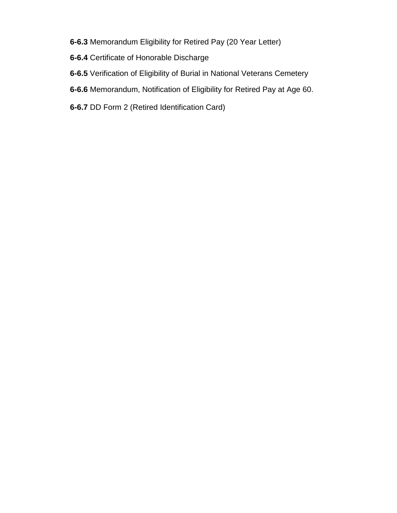- **6-6.3** Memorandum Eligibility for Retired Pay (20 Year Letter)
- **6-6.4** Certificate of Honorable Discharge
- **6-6.5** Verification of Eligibility of Burial in National Veterans Cemetery
- **6-6.6** Memorandum, Notification of Eligibility for Retired Pay at Age 60.
- **6-6.7** DD Form 2 (Retired Identification Card)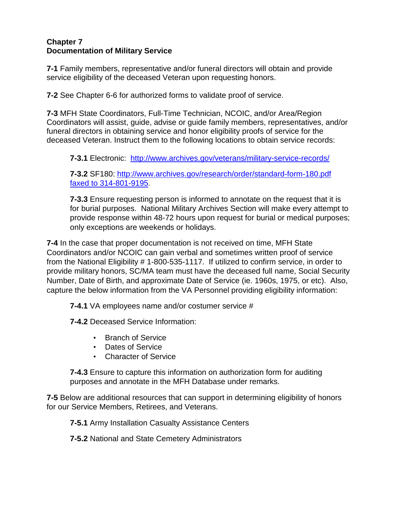#### **Chapter 7 Documentation of Military Service**

**7-1** Family members, representative and/or funeral directors will obtain and provide service eligibility of the deceased Veteran upon requesting honors.

**7-2** See Chapter 6-6 for authorized forms to validate proof of service.

**7-3** MFH State Coordinators, Full-Time Technician, NCOIC, and/or Area/Region Coordinators will assist, guide, advise or guide family members, representatives, and/or funeral directors in obtaining service and honor eligibility proofs of service for the deceased Veteran. Instruct them to the following locations to obtain service records:

**7-3.1** Electronic: <http://www.archives.gov/veterans/military-service-records/>

**7-3.2** SF180: [http://www.archives.gov/research/order/standard-form-180.pdf](http://www.archives.gov/research/order/standard-form-180.pdf%20faxed%20to%20314-801-9195)  [faxed to 314-801-9195.](http://www.archives.gov/research/order/standard-form-180.pdf%20faxed%20to%20314-801-9195)

**7-3.3** Ensure requesting person is informed to annotate on the request that it is for burial purposes. National Military Archives Section will make every attempt to provide response within 48-72 hours upon request for burial or medical purposes; only exceptions are weekends or holidays.

**7-4** In the case that proper documentation is not received on time, MFH State Coordinators and/or NCOIC can gain verbal and sometimes written proof of service from the National Eligibility # 1-800-535-1117. If utilized to confirm service, in order to provide military honors, SC/MA team must have the deceased full name, Social Security Number, Date of Birth, and approximate Date of Service (ie. 1960s, 1975, or etc). Also, capture the below information from the VA Personnel providing eligibility information:

**7-4.1** VA employees name and/or costumer service #

**7-4.2** Deceased Service Information:

- Branch of Service
- Dates of Service
- Character of Service

**7-4.3** Ensure to capture this information on authorization form for auditing purposes and annotate in the MFH Database under remarks.

**7-5** Below are additional resources that can support in determining eligibility of honors for our Service Members, Retirees, and Veterans.

**7-5.1** Army Installation Casualty Assistance Centers

**7-5.2** National and State Cemetery Administrators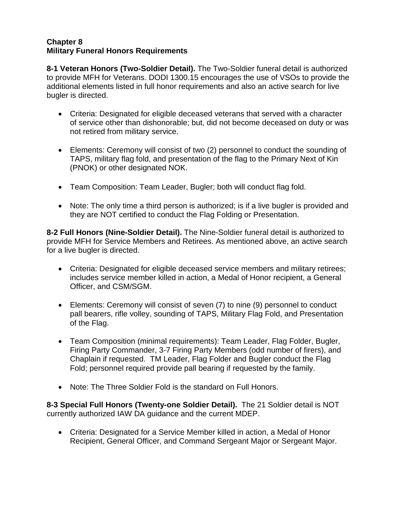#### **Chapter 8 Military Funeral Honors Requirements**

**8-1 Veteran Honors (Two-Soldier Detail).** The Two-Soldier funeral detail is authorized to provide MFH for Veterans. DODI 1300.15 encourages the use of VSOs to provide the additional elements listed in full honor requirements and also an active search for live bugler is directed.

- Criteria: Designated for eligible deceased veterans that served with a character of service other than dishonorable; but, did not become deceased on duty or was not retired from military service.
- Elements: Ceremony will consist of two (2) personnel to conduct the sounding of TAPS, military flag fold, and presentation of the flag to the Primary Next of Kin (PNOK) or other designated NOK.
- Team Composition: Team Leader, Bugler; both will conduct flag fold.
- Note: The only time a third person is authorized; is if a live bugler is provided and they are NOT certified to conduct the Flag Folding or Presentation.

**8-2 Full Honors (Nine-Soldier Detail).** The Nine-Soldier funeral detail is authorized to provide MFH for Service Members and Retirees. As mentioned above, an active search for a live bugler is directed.

- Criteria: Designated for eligible deceased service members and military retirees; includes service member killed in action, a Medal of Honor recipient, a General Officer, and CSM/SGM.
- Elements: Ceremony will consist of seven (7) to nine (9) personnel to conduct pall bearers, rifle volley, sounding of TAPS, Military Flag Fold, and Presentation of the Flag.
- Team Composition (minimal requirements): Team Leader, Flag Folder, Bugler, Firing Party Commander, 3-7 Firing Party Members (odd number of firers), and Chaplain if requested. TM Leader, Flag Folder and Bugler conduct the Flag Fold; personnel required provide pall bearing if requested by the family.
- Note: The Three Soldier Fold is the standard on Full Honors.

**8-3 Special Full Honors (Twenty-one Soldier Detail).** The 21 Soldier detail is NOT currently authorized IAW DA guidance and the current MDEP.

• Criteria: Designated for a Service Member killed in action, a Medal of Honor Recipient, General Officer, and Command Sergeant Major or Sergeant Major.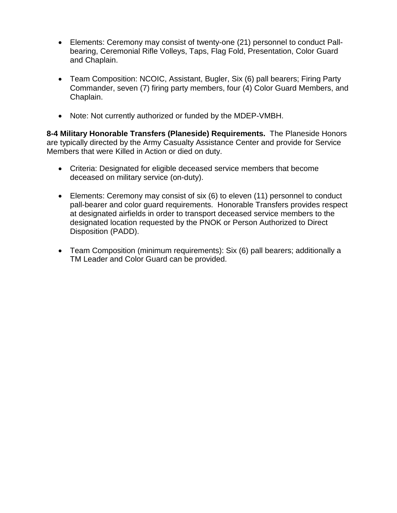- Elements: Ceremony may consist of twenty-one (21) personnel to conduct Pallbearing, Ceremonial Rifle Volleys, Taps, Flag Fold, Presentation, Color Guard and Chaplain.
- Team Composition: NCOIC, Assistant, Bugler, Six (6) pall bearers; Firing Party Commander, seven (7) firing party members, four (4) Color Guard Members, and Chaplain.
- Note: Not currently authorized or funded by the MDEP-VMBH.

**8-4 Military Honorable Transfers (Planeside) Requirements.** The Planeside Honors are typically directed by the Army Casualty Assistance Center and provide for Service Members that were Killed in Action or died on duty.

- Criteria: Designated for eligible deceased service members that become deceased on military service (on-duty).
- Elements: Ceremony may consist of six (6) to eleven (11) personnel to conduct pall-bearer and color guard requirements. Honorable Transfers provides respect at designated airfields in order to transport deceased service members to the designated location requested by the PNOK or Person Authorized to Direct Disposition (PADD).
- Team Composition (minimum requirements): Six (6) pall bearers; additionally a TM Leader and Color Guard can be provided.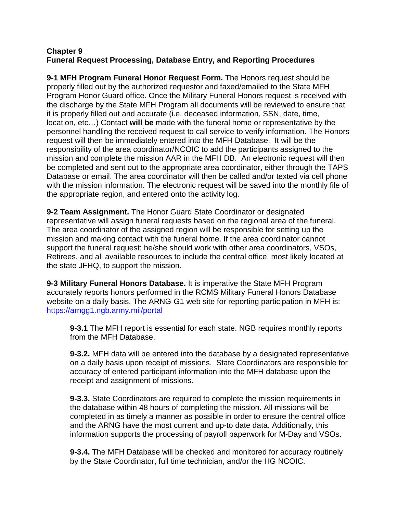#### **Chapter 9 Funeral Request Processing, Database Entry, and Reporting Procedures**

**9-1 MFH Program Funeral Honor Request Form.** The Honors request should be properly filled out by the authorized requestor and faxed/emailed to the State MFH Program Honor Guard office. Once the Military Funeral Honors request is received with the discharge by the State MFH Program all documents will be reviewed to ensure that it is properly filled out and accurate (i.e. deceased information, SSN, date, time, location, etc…) Contact **will be** made with the funeral home or representative by the personnel handling the received request to call service to verify information. The Honors request will then be immediately entered into the MFH Database. It will be the responsibility of the area coordinator/NCOIC to add the participants assigned to the mission and complete the mission AAR in the MFH DB. An electronic request will then be completed and sent out to the appropriate area coordinator, either through the TAPS Database or email. The area coordinator will then be called and/or texted via cell phone with the mission information. The electronic request will be saved into the monthly file of the appropriate region, and entered onto the activity log.

**9-2 Team Assignment.** The Honor Guard State Coordinator or designated representative will assign funeral requests based on the regional area of the funeral. The area coordinator of the assigned region will be responsible for setting up the mission and making contact with the funeral home. If the area coordinator cannot support the funeral request; he/she should work with other area coordinators, VSOs, Retirees, and all available resources to include the central office, most likely located at the state JFHQ, to support the mission.

**9-3 Military Funeral Honors Database.** It is imperative the State MFH Program accurately reports honors performed in the RCMS Military Funeral Honors Database website on a daily basis. The ARNG-G1 web site for reporting participation in MFH is: https://arngg1.ngb.army.mil/portal

**9-3.1** The MFH report is essential for each state. NGB requires monthly reports from the MFH Database.

**9-3.2.** MFH data will be entered into the database by a designated representative on a daily basis upon receipt of missions. State Coordinators are responsible for accuracy of entered participant information into the MFH database upon the receipt and assignment of missions.

**9-3.3.** State Coordinators are required to complete the mission requirements in the database within 48 hours of completing the mission. All missions will be completed in as timely a manner as possible in order to ensure the central office and the ARNG have the most current and up-to date data. Additionally, this information supports the processing of payroll paperwork for M-Day and VSOs.

**9-3.4.** The MFH Database will be checked and monitored for accuracy routinely by the State Coordinator, full time technician, and/or the HG NCOIC.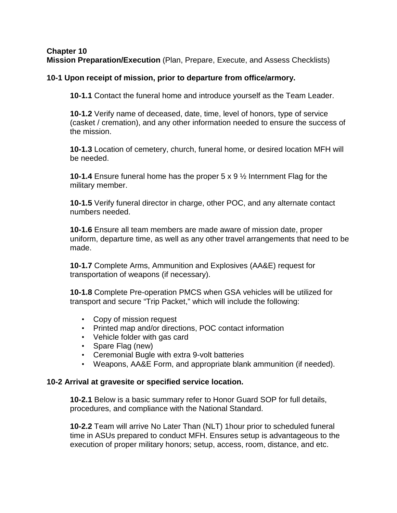#### **Chapter 10 Mission Preparation/Execution** (Plan, Prepare, Execute, and Assess Checklists)

## **10-1 Upon receipt of mission, prior to departure from office/armory.**

**10-1.1** Contact the funeral home and introduce yourself as the Team Leader.

**10-1.2** Verify name of deceased, date, time, level of honors, type of service (casket / cremation), and any other information needed to ensure the success of the mission.

**10-1.3** Location of cemetery, church, funeral home, or desired location MFH will be needed.

**10-1.4** Ensure funeral home has the proper 5 x 9 ½ Internment Flag for the military member.

**10-1.5** Verify funeral director in charge, other POC, and any alternate contact numbers needed.

**10-1.6** Ensure all team members are made aware of mission date, proper uniform, departure time, as well as any other travel arrangements that need to be made.

**10-1.7** Complete Arms, Ammunition and Explosives (AA&E) request for transportation of weapons (if necessary).

**10-1.8** Complete Pre-operation PMCS when GSA vehicles will be utilized for transport and secure "Trip Packet," which will include the following:

- Copy of mission request
- Printed map and/or directions, POC contact information
- Vehicle folder with gas card
- Spare Flag (new)
- Ceremonial Bugle with extra 9-volt batteries
- Weapons, AA&E Form, and appropriate blank ammunition (if needed).

#### **10-2 Arrival at gravesite or specified service location.**

**10-2.1** Below is a basic summary refer to Honor Guard SOP for full details, procedures, and compliance with the National Standard.

**10-2.2** Team will arrive No Later Than (NLT) 1hour prior to scheduled funeral time in ASUs prepared to conduct MFH. Ensures setup is advantageous to the execution of proper military honors; setup, access, room, distance, and etc.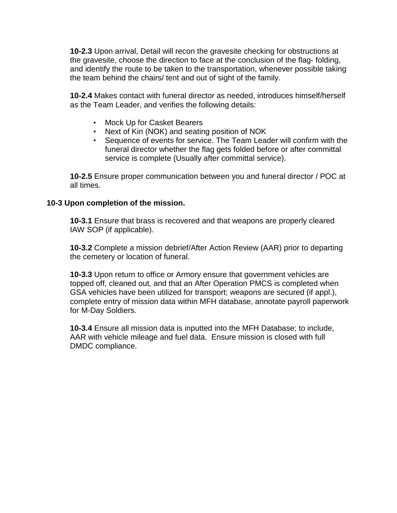**10-2.3** Upon arrival, Detail will recon the gravesite checking for obstructions at the gravesite, choose the direction to face at the conclusion of the flag- folding, and identify the route to be taken to the transportation, whenever possible taking the team behind the chairs/ tent and out of sight of the family.

**10-2.4** Makes contact with funeral director as needed, introduces himself/herself as the Team Leader, and verifies the following details:

- Mock Up for Casket Bearers
- Next of Kin (NOK) and seating position of NOK
- Sequence of events for service. The Team Leader will confirm with the funeral director whether the flag gets folded before or after committal service is complete (Usually after committal service).

**10-2.5** Ensure proper communication between you and funeral director / POC at all times.

#### **10-3 Upon completion of the mission.**

**10-3.1** Ensure that brass is recovered and that weapons are properly cleared IAW SOP (if applicable).

**10-3.2** Complete a mission debrief/After Action Review (AAR) prior to departing the cemetery or location of funeral.

**10-3.3** Upon return to office or Armory ensure that government vehicles are topped off, cleaned out, and that an After Operation PMCS is completed when GSA vehicles have been utilized for transport; weapons are secured (if appl.), complete entry of mission data within MFH database, annotate payroll paperwork for M-Day Soldiers.

**10-3.4** Ensure all mission data is inputted into the MFH Database; to include, AAR with vehicle mileage and fuel data. Ensure mission is closed with full DMDC compliance.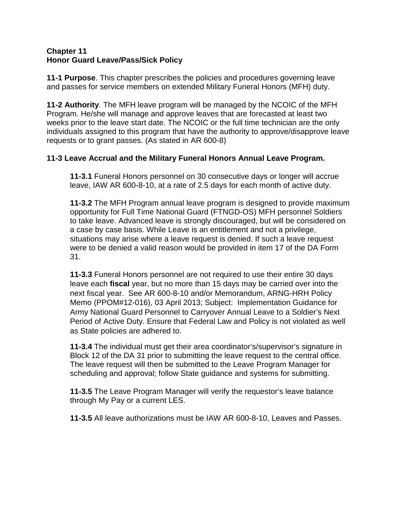#### **Chapter 11 Honor Guard Leave/Pass/Sick Policy**

**11-1 Purpose**. This chapter prescribes the policies and procedures governing leave and passes for service members on extended Military Funeral Honors (MFH) duty.

**11-2 Authority**. The MFH leave program will be managed by the NCOIC of the MFH Program. He/she will manage and approve leaves that are forecasted at least two weeks prior to the leave start date. The NCOIC or the full time technician are the only individuals assigned to this program that have the authority to approve/disapprove leave requests or to grant passes. (As stated in AR 600-8)

# **11-3 Leave Accrual and the Military Funeral Honors Annual Leave Program.**

**11-3.1** Funeral Honors personnel on 30 consecutive days or longer will accrue leave, IAW AR 600-8-10, at a rate of 2.5 days for each month of active duty.

**11-3.2** The MFH Program annual leave program is designed to provide maximum opportunity for Full Time National Guard (FTNGD-OS) MFH personnel Soldiers to take leave. Advanced leave is strongly discouraged, but will be considered on a case by case basis. While Leave is an entitlement and not a privilege, situations may arise where a leave request is denied. If such a leave request were to be denied a valid reason would be provided in item 17 of the DA Form 31.

**11-3.3** Funeral Honors personnel are not required to use their entire 30 days leave each **fiscal** year, but no more than 15 days may be carried over into the next fiscal year. See AR 600-8-10 and/or Memorandum, ARNG-HRH Policy Memo (PPOM#12-016), 03 April 2013; Subject: Implementation Guidance for Army National Guard Personnel to Carryover Annual Leave to a Soldier's Next Period of Active Duty. Ensure that Federal Law and Policy is not violated as well as State policies are adhered to.

**11-3.4** The individual must get their area coordinator's/supervisor's signature in Block 12 of the DA 31 prior to submitting the leave request to the central office. The leave request will then be submitted to the Leave Program Manager for scheduling and approval; follow State guidance and systems for submitting.

**11-3.5** The Leave Program Manager will verify the requestor's leave balance through My Pay or a current LES.

**11-3.5** All leave authorizations must be IAW AR 600-8-10, Leaves and Passes.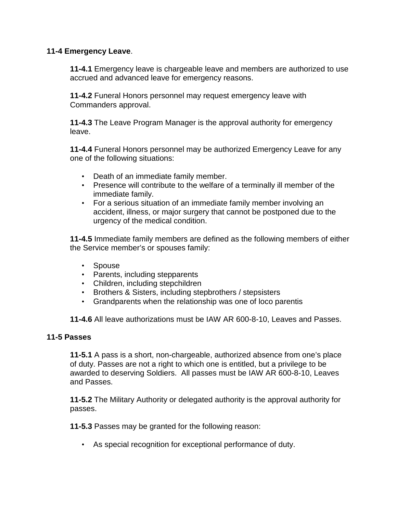#### **11-4 Emergency Leave**.

**11-4.1** Emergency leave is chargeable leave and members are authorized to use accrued and advanced leave for emergency reasons.

**11-4.2** Funeral Honors personnel may request emergency leave with Commanders approval.

**11-4.3** The Leave Program Manager is the approval authority for emergency leave.

**11-4.4** Funeral Honors personnel may be authorized Emergency Leave for any one of the following situations:

- Death of an immediate family member.
- Presence will contribute to the welfare of a terminally ill member of the immediate family.
- For a serious situation of an immediate family member involving an accident, illness, or major surgery that cannot be postponed due to the urgency of the medical condition.

**11-4.5** Immediate family members are defined as the following members of either the Service member's or spouses family:

- Spouse
- Parents, including stepparents
- Children, including stepchildren
- Brothers & Sisters, including stepbrothers / stepsisters
- Grandparents when the relationship was one of loco parentis

**11-4.6** All leave authorizations must be IAW AR 600-8-10, Leaves and Passes.

#### **11-5 Passes**

**11-5.1** A pass is a short, non-chargeable, authorized absence from one's place of duty. Passes are not a right to which one is entitled, but a privilege to be awarded to deserving Soldiers. All passes must be IAW AR 600-8-10, Leaves and Passes.

**11-5.2** The Military Authority or delegated authority is the approval authority for passes.

**11-5.3** Passes may be granted for the following reason:

• As special recognition for exceptional performance of duty.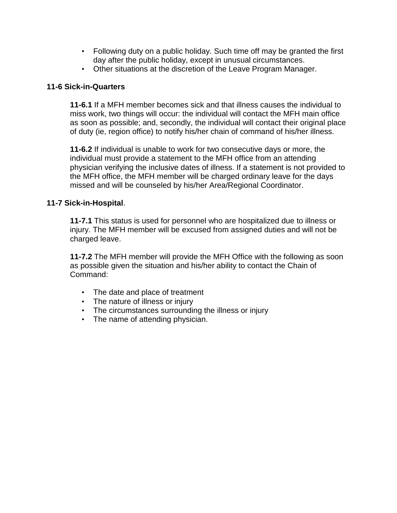- Following duty on a public holiday. Such time off may be granted the first day after the public holiday, except in unusual circumstances.
- Other situations at the discretion of the Leave Program Manager.

## **11-6 Sick-in-Quarters**

**11-6.1** If a MFH member becomes sick and that illness causes the individual to miss work, two things will occur: the individual will contact the MFH main office as soon as possible; and, secondly, the individual will contact their original place of duty (ie, region office) to notify his/her chain of command of his/her illness.

**11-6.2** If individual is unable to work for two consecutive days or more, the individual must provide a statement to the MFH office from an attending physician verifying the inclusive dates of illness. If a statement is not provided to the MFH office, the MFH member will be charged ordinary leave for the days missed and will be counseled by his/her Area/Regional Coordinator.

#### **11-7 Sick-in-Hospital**.

**11-7.1** This status is used for personnel who are hospitalized due to illness or injury. The MFH member will be excused from assigned duties and will not be charged leave.

**11-7.2** The MFH member will provide the MFH Office with the following as soon as possible given the situation and his/her ability to contact the Chain of Command:

- The date and place of treatment
- The nature of illness or injury
- The circumstances surrounding the illness or injury
- The name of attending physician.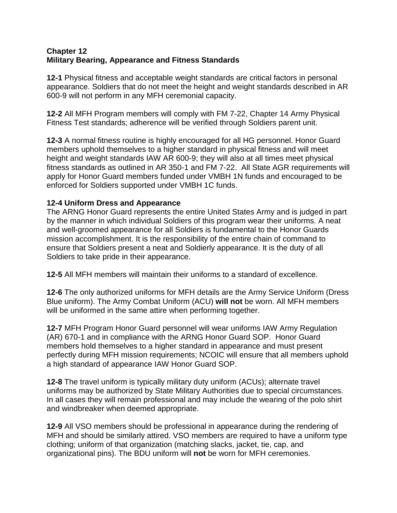#### **Chapter 12 Military Bearing, Appearance and Fitness Standards**

**12-1** Physical fitness and acceptable weight standards are critical factors in personal appearance. Soldiers that do not meet the height and weight standards described in AR 600-9 will not perform in any MFH ceremonial capacity.

**12-2** All MFH Program members will comply with FM 7-22, Chapter 14 Army Physical Fitness Test standards; adherence will be verified through Soldiers parent unit.

**12-3** A normal fitness routine is highly encouraged for all HG personnel. Honor Guard members uphold themselves to a higher standard in physical fitness and will meet height and weight standards IAW AR 600-9; they will also at all times meet physical fitness standards as outlined in AR 350-1 and FM 7-22. All State AGR requirements will apply for Honor Guard members funded under VMBH 1N funds and encouraged to be enforced for Soldiers supported under VMBH 1C funds.

## **12-4 Uniform Dress and Appearance**

The ARNG Honor Guard represents the entire United States Army and is judged in part by the manner in which individual Soldiers of this program wear their uniforms. A neat and well-groomed appearance for all Soldiers is fundamental to the Honor Guards mission accomplishment. It is the responsibility of the entire chain of command to ensure that Soldiers present a neat and Soldierly appearance. It is the duty of all Soldiers to take pride in their appearance.

**12-5** All MFH members will maintain their uniforms to a standard of excellence.

**12-6** The only authorized uniforms for MFH details are the Army Service Uniform (Dress Blue uniform). The Army Combat Uniform (ACU) **will not** be worn. All MFH members will be uniformed in the same attire when performing together.

**12-7** MFH Program Honor Guard personnel will wear uniforms IAW Army Regulation (AR) 670-1 and in compliance with the ARNG Honor Guard SOP. Honor Guard members hold themselves to a higher standard in appearance and must present perfectly during MFH mission requirements; NCOIC will ensure that all members uphold a high standard of appearance IAW Honor Guard SOP.

**12-8** The travel uniform is typically military duty uniform (ACUs); alternate travel uniforms may be authorized by State Military Authorities due to special circumstances. In all cases they will remain professional and may include the wearing of the polo shirt and windbreaker when deemed appropriate.

**12-9** All VSO members should be professional in appearance during the rendering of MFH and should be similarly attired. VSO members are required to have a uniform type clothing; uniform of that organization (matching slacks, jacket, tie, cap, and organizational pins). The BDU uniform will **not** be worn for MFH ceremonies.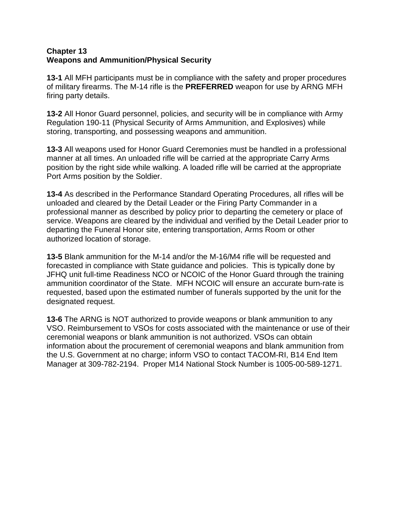#### **Chapter 13 Weapons and Ammunition/Physical Security**

**13-1** All MFH participants must be in compliance with the safety and proper procedures of military firearms. The M-14 rifle is the **PREFERRED** weapon for use by ARNG MFH firing party details.

**13-2** All Honor Guard personnel, policies, and security will be in compliance with Army Regulation 190-11 (Physical Security of Arms Ammunition, and Explosives) while storing, transporting, and possessing weapons and ammunition.

**13-3** All weapons used for Honor Guard Ceremonies must be handled in a professional manner at all times. An unloaded rifle will be carried at the appropriate Carry Arms position by the right side while walking. A loaded rifle will be carried at the appropriate Port Arms position by the Soldier.

**13-4** As described in the Performance Standard Operating Procedures, all rifles will be unloaded and cleared by the Detail Leader or the Firing Party Commander in a professional manner as described by policy prior to departing the cemetery or place of service. Weapons are cleared by the individual and verified by the Detail Leader prior to departing the Funeral Honor site, entering transportation, Arms Room or other authorized location of storage.

**13-5** Blank ammunition for the M-14 and/or the M-16/M4 rifle will be requested and forecasted in compliance with State guidance and policies. This is typically done by JFHQ unit full-time Readiness NCO or NCOIC of the Honor Guard through the training ammunition coordinator of the State. MFH NCOIC will ensure an accurate burn-rate is requested, based upon the estimated number of funerals supported by the unit for the designated request.

**13-6** The ARNG is NOT authorized to provide weapons or blank ammunition to any VSO. Reimbursement to VSOs for costs associated with the maintenance or use of their ceremonial weapons or blank ammunition is not authorized. VSOs can obtain information about the procurement of ceremonial weapons and blank ammunition from the U.S. Government at no charge; inform VSO to contact TACOM-RI, B14 End Item Manager at 309-782-2194. Proper M14 National Stock Number is 1005-00-589-1271.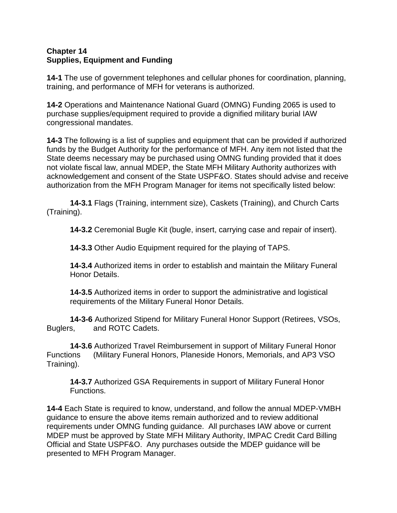#### **Chapter 14 Supplies, Equipment and Funding**

**14-1** The use of government telephones and cellular phones for coordination, planning, training, and performance of MFH for veterans is authorized.

**14-2** Operations and Maintenance National Guard (OMNG) Funding 2065 is used to purchase supplies/equipment required to provide a dignified military burial IAW congressional mandates.

**14-3** The following is a list of supplies and equipment that can be provided if authorized funds by the Budget Authority for the performance of MFH. Any item not listed that the State deems necessary may be purchased using OMNG funding provided that it does not violate fiscal law, annual MDEP, the State MFH Military Authority authorizes with acknowledgement and consent of the State USPF&O. States should advise and receive authorization from the MFH Program Manager for items not specifically listed below:

**14-3.1** Flags (Training, internment size), Caskets (Training), and Church Carts (Training).

**14-3.2** Ceremonial Bugle Kit (bugle, insert, carrying case and repair of insert).

**14-3.3** Other Audio Equipment required for the playing of TAPS.

**14-3.4** Authorized items in order to establish and maintain the Military Funeral Honor Details.

**14-3.5** Authorized items in order to support the administrative and logistical requirements of the Military Funeral Honor Details.

**14-3-6** Authorized Stipend for Military Funeral Honor Support (Retirees, VSOs, Buglers, and ROTC Cadets. and ROTC Cadets.

**14-3.6** Authorized Travel Reimbursement in support of Military Funeral Honor Functions (Military Funeral Honors, Planeside Honors, Memorials, and AP3 VSO Training).

**14-3.7** Authorized GSA Requirements in support of Military Funeral Honor Functions.

**14-4** Each State is required to know, understand, and follow the annual MDEP-VMBH guidance to ensure the above items remain authorized and to review additional requirements under OMNG funding guidance. All purchases IAW above or current MDEP must be approved by State MFH Military Authority, IMPAC Credit Card Billing Official and State USPF&O. Any purchases outside the MDEP guidance will be presented to MFH Program Manager.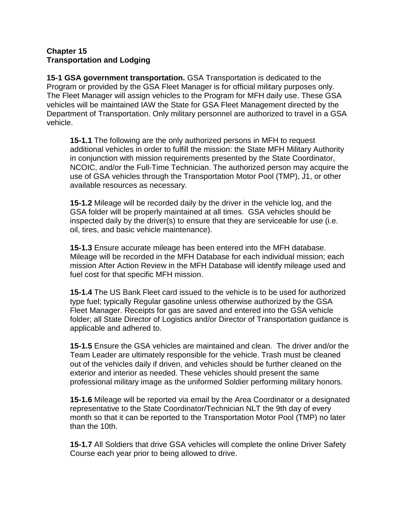#### **Chapter 15 Transportation and Lodging**

**15-1 GSA government transportation.** GSA Transportation is dedicated to the Program or provided by the GSA Fleet Manager is for official military purposes only. The Fleet Manager will assign vehicles to the Program for MFH daily use. These GSA vehicles will be maintained IAW the State for GSA Fleet Management directed by the Department of Transportation. Only military personnel are authorized to travel in a GSA vehicle.

**15-1.1** The following are the only authorized persons in MFH to request additional vehicles in order to fulfill the mission: the State MFH Military Authority in conjunction with mission requirements presented by the State Coordinator, NCOIC, and/or the Full-Time Technician. The authorized person may acquire the use of GSA vehicles through the Transportation Motor Pool (TMP), J1, or other available resources as necessary.

**15-1.2** Mileage will be recorded daily by the driver in the vehicle log, and the GSA folder will be properly maintained at all times. GSA vehicles should be inspected daily by the driver(s) to ensure that they are serviceable for use (i.e. oil, tires, and basic vehicle maintenance).

**15-1.3** Ensure accurate mileage has been entered into the MFH database. Mileage will be recorded in the MFH Database for each individual mission; each mission After Action Review in the MFH Database will identify mileage used and fuel cost for that specific MFH mission.

**15-1.4** The US Bank Fleet card issued to the vehicle is to be used for authorized type fuel; typically Regular gasoline unless otherwise authorized by the GSA Fleet Manager. Receipts for gas are saved and entered into the GSA vehicle folder; all State Director of Logistics and/or Director of Transportation guidance is applicable and adhered to.

**15-1.5** Ensure the GSA vehicles are maintained and clean.The driver and/or the Team Leader are ultimately responsible for the vehicle. Trash must be cleaned out of the vehicles daily if driven, and vehicles should be further cleaned on the exterior and interior as needed. These vehicles should present the same professional military image as the uniformed Soldier performing military honors.

**15-1.6** Mileage will be reported via email by the Area Coordinator or a designated representative to the State Coordinator/Technician NLT the 9th day of every month so that it can be reported to the Transportation Motor Pool (TMP) no later than the 10th.

**15-1.7** All Soldiers that drive GSA vehicles will complete the online Driver Safety Course each year prior to being allowed to drive.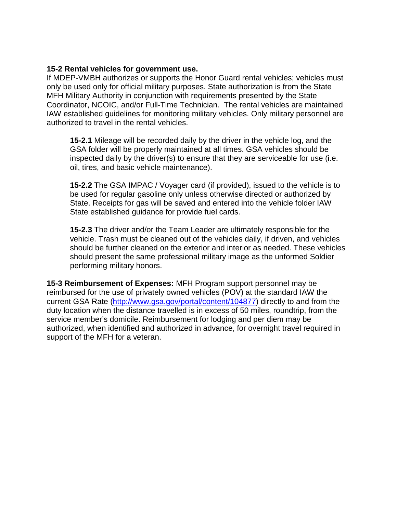#### **15-2 Rental vehicles for government use.**

If MDEP-VMBH authorizes or supports the Honor Guard rental vehicles; vehicles must only be used only for official military purposes. State authorization is from the State MFH Military Authority in conjunction with requirements presented by the State Coordinator, NCOIC, and/or Full-Time Technician. The rental vehicles are maintained IAW established guidelines for monitoring military vehicles. Only military personnel are authorized to travel in the rental vehicles.

**15-2.1** Mileage will be recorded daily by the driver in the vehicle log, and the GSA folder will be properly maintained at all times. GSA vehicles should be inspected daily by the driver(s) to ensure that they are serviceable for use (i.e. oil, tires, and basic vehicle maintenance).

**15-2.2** The GSA IMPAC / Voyager card (if provided), issued to the vehicle is to be used for regular gasoline only unless otherwise directed or authorized by State. Receipts for gas will be saved and entered into the vehicle folder IAW State established guidance for provide fuel cards.

**15-2.3** The driver and/or the Team Leader are ultimately responsible for the vehicle. Trash must be cleaned out of the vehicles daily, if driven, and vehicles should be further cleaned on the exterior and interior as needed. These vehicles should present the same professional military image as the unformed Soldier performing military honors.

**15-3 Reimbursement of Expenses:** MFH Program support personnel may be reimbursed for the use of privately owned vehicles (POV) at the standard IAW the current GSA Rate [\(http://www.gsa.gov/portal/content/104877\)](http://www.gsa.gov/portal/content/104877) directly to and from the duty location when the distance travelled is in excess of 50 miles, roundtrip, from the service member's domicile. Reimbursement for lodging and per diem may be authorized, when identified and authorized in advance, for overnight travel required in support of the MFH for a veteran.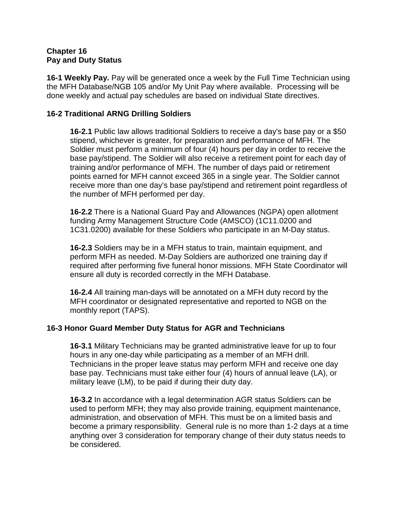#### **Chapter 16 Pay and Duty Status**

**16-1 Weekly Pay.** Pay will be generated once a week by the Full Time Technician using the MFH Database/NGB 105 and/or My Unit Pay where available. Processing will be done weekly and actual pay schedules are based on individual State directives.

## **16-2 Traditional ARNG Drilling Soldiers**

**16-2.1** Public law allows traditional Soldiers to receive a day's base pay or a \$50 stipend, whichever is greater, for preparation and performance of MFH. The Soldier must perform a minimum of four (4) hours per day in order to receive the base pay/stipend. The Soldier will also receive a retirement point for each day of training and/or performance of MFH. The number of days paid or retirement points earned for MFH cannot exceed 365 in a single year. The Soldier cannot receive more than one day's base pay/stipend and retirement point regardless of the number of MFH performed per day.

**16-2.2** There is a National Guard Pay and Allowances (NGPA) open allotment funding Army Management Structure Code (AMSCO) (1C11.0200 and 1C31.0200) available for these Soldiers who participate in an M-Day status.

**16-2.3** Soldiers may be in a MFH status to train, maintain equipment, and perform MFH as needed. M-Day Soldiers are authorized one training day if required after performing five funeral honor missions. MFH State Coordinator will ensure all duty is recorded correctly in the MFH Database.

**16-2.4** All training man-days will be annotated on a MFH duty record by the MFH coordinator or designated representative and reported to NGB on the monthly report (TAPS).

#### **16-3 Honor Guard Member Duty Status for AGR and Technicians**

**16-3.1** Military Technicians may be granted administrative leave for up to four hours in any one-day while participating as a member of an MFH drill. Technicians in the proper leave status may perform MFH and receive one day base pay. Technicians must take either four (4) hours of annual leave (LA), or military leave (LM), to be paid if during their duty day.

**16-3.2** In accordance with a legal determination AGR status Soldiers can be used to perform MFH; they may also provide training, equipment maintenance, administration, and observation of MFH. This must be on a limited basis and become a primary responsibility. General rule is no more than 1-2 days at a time anything over 3 consideration for temporary change of their duty status needs to be considered.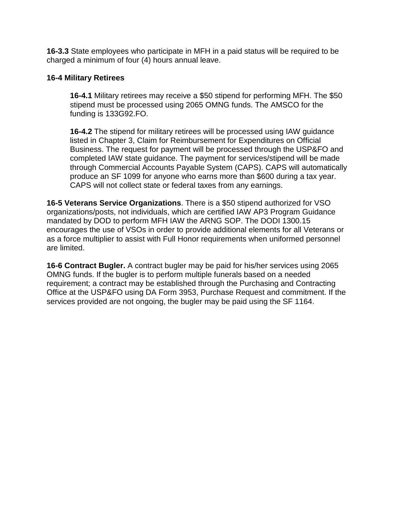**16-3.3** State employees who participate in MFH in a paid status will be required to be charged a minimum of four (4) hours annual leave.

#### **16-4 Military Retirees**

**16-4.1** Military retirees may receive a \$50 stipend for performing MFH. The \$50 stipend must be processed using 2065 OMNG funds. The AMSCO for the funding is 133G92.FO.

**16-4.2** The stipend for military retirees will be processed using IAW guidance listed in Chapter 3, Claim for Reimbursement for Expenditures on Official Business. The request for payment will be processed through the USP&FO and completed IAW state guidance. The payment for services/stipend will be made through Commercial Accounts Payable System (CAPS). CAPS will automatically produce an SF 1099 for anyone who earns more than \$600 during a tax year. CAPS will not collect state or federal taxes from any earnings.

**16-5 Veterans Service Organizations**. There is a \$50 stipend authorized for VSO organizations/posts, not individuals, which are certified IAW AP3 Program Guidance mandated by DOD to perform MFH IAW the ARNG SOP. The DODI 1300.15 encourages the use of VSOs in order to provide additional elements for all Veterans or as a force multiplier to assist with Full Honor requirements when uniformed personnel are limited.

**16-6 Contract Bugler.** A contract bugler may be paid for his/her services using 2065 OMNG funds. If the bugler is to perform multiple funerals based on a needed requirement; a contract may be established through the Purchasing and Contracting Office at the USP&FO using DA Form 3953, Purchase Request and commitment. If the services provided are not ongoing, the bugler may be paid using the SF 1164.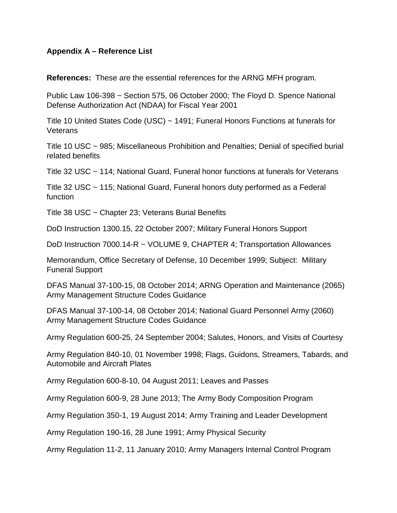#### **Appendix A – Reference List**

**References:** These are the essential references for the ARNG MFH program.

Public Law 106-398 ~ Section 575, 06 October 2000; The Floyd D. Spence National Defense Authorization Act (NDAA) for Fiscal Year 2001

Title 10 United States Code (USC) ~ 1491; Funeral Honors Functions at funerals for **Veterans** 

Title 10 USC ~ 985; Miscellaneous Prohibition and Penalties; Denial of specified burial related benefits

Title 32 USC ~ 114; National Guard, Funeral honor functions at funerals for Veterans

Title 32 USC ~ 115; National Guard, Funeral honors duty performed as a Federal function

Title 38 USC ~ Chapter 23; Veterans Burial Benefits

DoD Instruction 1300.15, 22 October 2007; Military Funeral Honors Support

DoD Instruction 7000.14-R ~ VOLUME 9, CHAPTER 4; Transportation Allowances

Memorandum, Office Secretary of Defense, 10 December 1999; Subject: Military Funeral Support

DFAS Manual 37-100-15, 08 October 2014; ARNG Operation and Maintenance (2065) Army Management Structure Codes Guidance

DFAS Manual 37-100-14, 08 October 2014; National Guard Personnel Army (2060) Army Management Structure Codes Guidance

Army Regulation 600-25, 24 September 2004; Salutes, Honors, and Visits of Courtesy

Army Regulation 840-10, 01 November 1998; Flags, Guidons, Streamers, Tabards, and Automobile and Aircraft Plates

Army Regulation 600-8-10, 04 August 2011; Leaves and Passes

Army Regulation 600-9, 28 June 2013; The Army Body Composition Program

Army Regulation 350-1, 19 August 2014; Army Training and Leader Development

Army Regulation 190-16, 28 June 1991; Army Physical Security

Army Regulation 11-2, 11 January 2010; Army Managers Internal Control Program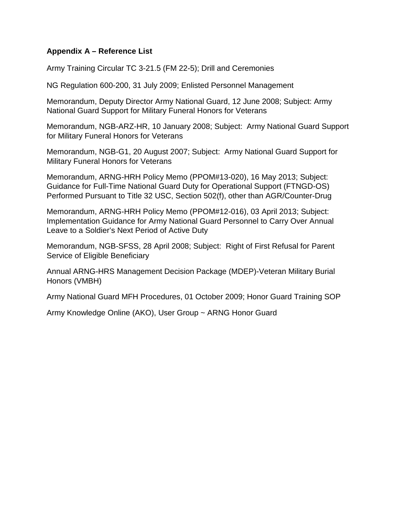## **Appendix A – Reference List**

Army Training Circular TC 3-21.5 (FM 22-5); Drill and Ceremonies

NG Regulation 600-200, 31 July 2009; Enlisted Personnel Management

Memorandum, Deputy Director Army National Guard, 12 June 2008; Subject: Army National Guard Support for Military Funeral Honors for Veterans

Memorandum, NGB-ARZ-HR, 10 January 2008; Subject: Army National Guard Support for Military Funeral Honors for Veterans

Memorandum, NGB-G1, 20 August 2007; Subject: Army National Guard Support for Military Funeral Honors for Veterans

Memorandum, ARNG-HRH Policy Memo (PPOM#13-020), 16 May 2013; Subject: Guidance for Full-Time National Guard Duty for Operational Support (FTNGD-OS) Performed Pursuant to Title 32 USC, Section 502(f), other than AGR/Counter-Drug

Memorandum, ARNG-HRH Policy Memo (PPOM#12-016), 03 April 2013; Subject: Implementation Guidance for Army National Guard Personnel to Carry Over Annual Leave to a Soldier's Next Period of Active Duty

Memorandum, NGB-SFSS, 28 April 2008; Subject: Right of First Refusal for Parent Service of Eligible Beneficiary

Annual ARNG-HRS Management Decision Package (MDEP)-Veteran Military Burial Honors (VMBH)

Army National Guard MFH Procedures, 01 October 2009; Honor Guard Training SOP

Army Knowledge Online (AKO), User Group ~ ARNG Honor Guard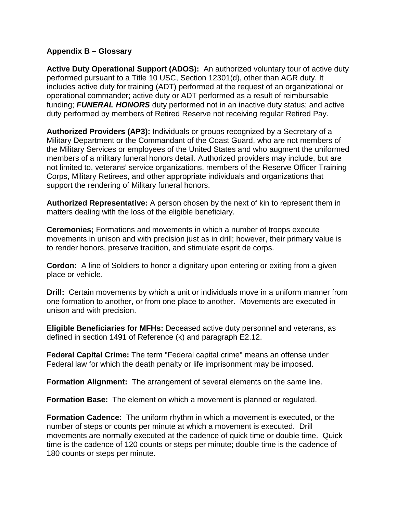## **Appendix B – Glossary**

**Active Duty Operational Support (ADOS):** An authorized voluntary tour of active duty performed pursuant to a Title 10 USC, Section 12301(d), other than AGR duty. It includes active duty for training (ADT) performed at the request of an organizational or operational commander; active duty or ADT performed as a result of reimbursable funding; *FUNERAL HONORS* duty performed not in an inactive duty status; and active duty performed by members of Retired Reserve not receiving regular Retired Pay.

**Authorized Providers (AP3):** Individuals or groups recognized by a Secretary of a Military Department or the Commandant of the Coast Guard, who are not members of the Military Services or employees of the United States and who augment the uniformed members of a military funeral honors detail. Authorized providers may include, but are not limited to, veterans' service organizations, members of the Reserve Officer Training Corps, Military Retirees, and other appropriate individuals and organizations that support the rendering of Military funeral honors.

**Authorized Representative:** A person chosen by the next of kin to represent them in matters dealing with the loss of the eligible beneficiary.

**Ceremonies;** Formations and movements in which a number of troops execute movements in unison and with precision just as in drill; however, their primary value is to render honors, preserve tradition, and stimulate esprit de corps.

**Cordon:** A line of Soldiers to honor a dignitary upon entering or exiting from a given place or vehicle.

**Drill:** Certain movements by which a unit or individuals move in a uniform manner from one formation to another, or from one place to another. Movements are executed in unison and with precision.

**Eligible Beneficiaries for MFHs:** Deceased active duty personnel and veterans, as defined in section 1491 of Reference (k) and paragraph E2.12.

**Federal Capital Crime:** The term "Federal capital crime" means an offense under Federal law for which the death penalty or life imprisonment may be imposed.

**Formation Alignment:** The arrangement of several elements on the same line.

**Formation Base:** The element on which a movement is planned or regulated.

**Formation Cadence:** The uniform rhythm in which a movement is executed, or the number of steps or counts per minute at which a movement is executed. Drill movements are normally executed at the cadence of quick time or double time. Quick time is the cadence of 120 counts or steps per minute; double time is the cadence of 180 counts or steps per minute.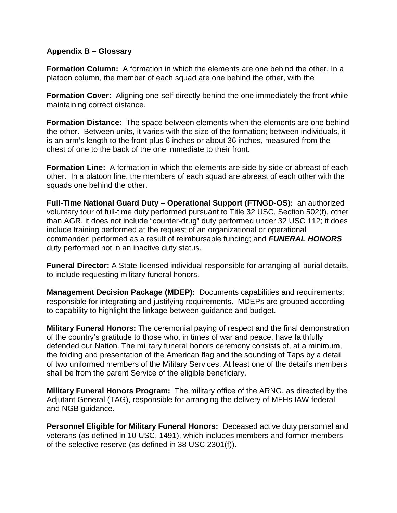#### **Appendix B – Glossary**

**Formation Column:** A formation in which the elements are one behind the other. In a platoon column, the member of each squad are one behind the other, with the

**Formation Cover:** Aligning one-self directly behind the one immediately the front while maintaining correct distance.

**Formation Distance:** The space between elements when the elements are one behind the other. Between units, it varies with the size of the formation; between individuals, it is an arm's length to the front plus 6 inches or about 36 inches, measured from the chest of one to the back of the one immediate to their front.

**Formation Line:** A formation in which the elements are side by side or abreast of each other. In a platoon line, the members of each squad are abreast of each other with the squads one behind the other.

**Full-Time National Guard Duty – Operational Support (FTNGD-OS):** an authorized voluntary tour of full-time duty performed pursuant to Title 32 USC, Section 502(f), other than AGR, it does not include "counter-drug" duty performed under 32 USC 112; it does include training performed at the request of an organizational or operational commander; performed as a result of reimbursable funding; and *FUNERAL HONORS* duty performed not in an inactive duty status.

**Funeral Director:** A State-licensed individual responsible for arranging all burial details, to include requesting military funeral honors.

**Management Decision Package (MDEP):** Documents capabilities and requirements; responsible for integrating and justifying requirements. MDEPs are grouped according to capability to highlight the linkage between guidance and budget.

**Military Funeral Honors:** The ceremonial paying of respect and the final demonstration of the country's gratitude to those who, in times of war and peace, have faithfully defended our Nation. The military funeral honors ceremony consists of, at a minimum, the folding and presentation of the American flag and the sounding of Taps by a detail of two uniformed members of the Military Services. At least one of the detail's members shall be from the parent Service of the eligible beneficiary.

**Military Funeral Honors Program:** The military office of the ARNG, as directed by the Adjutant General (TAG), responsible for arranging the delivery of MFHs IAW federal and NGB guidance.

**Personnel Eligible for Military Funeral Honors:** Deceased active duty personnel and veterans (as defined in 10 USC, 1491), which includes members and former members of the selective reserve (as defined in 38 USC 2301(f)).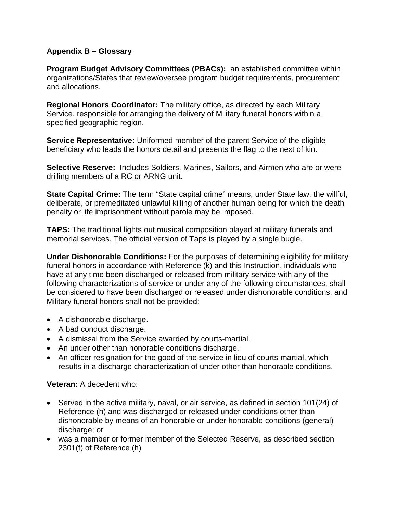# **Appendix B – Glossary**

**Program Budget Advisory Committees (PBACs):** an established committee within organizations/States that review/oversee program budget requirements, procurement and allocations.

**Regional Honors Coordinator:** The military office, as directed by each Military Service, responsible for arranging the delivery of Military funeral honors within a specified geographic region.

**Service Representative:** Uniformed member of the parent Service of the eligible beneficiary who leads the honors detail and presents the flag to the next of kin.

**Selective Reserve:** Includes Soldiers, Marines, Sailors, and Airmen who are or were drilling members of a RC or ARNG unit.

**State Capital Crime:** The term "State capital crime" means, under State law, the willful, deliberate, or premeditated unlawful killing of another human being for which the death penalty or life imprisonment without parole may be imposed.

**TAPS:** The traditional lights out musical composition played at military funerals and memorial services. The official version of Taps is played by a single bugle.

**Under Dishonorable Conditions:** For the purposes of determining eligibility for military funeral honors in accordance with Reference (k) and this Instruction, individuals who have at any time been discharged or released from military service with any of the following characterizations of service or under any of the following circumstances, shall be considered to have been discharged or released under dishonorable conditions, and Military funeral honors shall not be provided:

- A dishonorable discharge.
- A bad conduct discharge.
- A dismissal from the Service awarded by courts-martial.
- An under other than honorable conditions discharge.
- An officer resignation for the good of the service in lieu of courts-martial, which results in a discharge characterization of under other than honorable conditions.

#### **Veteran:** A decedent who:

- Served in the active military, naval, or air service, as defined in section 101(24) of Reference (h) and was discharged or released under conditions other than dishonorable by means of an honorable or under honorable conditions (general) discharge; or
- was a member or former member of the Selected Reserve, as described section 2301(f) of Reference (h)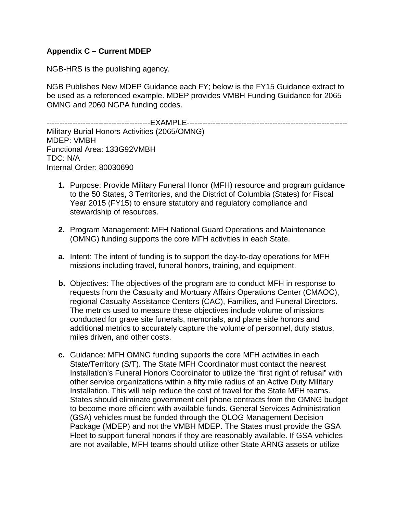NGB-HRS is the publishing agency.

NGB Publishes New MDEP Guidance each FY; below is the FY15 Guidance extract to be used as a referenced example. MDEP provides VMBH Funding Guidance for 2065 OMNG and 2060 NGPA funding codes.

----------------------------------------EXAMPLE-------------------------------------------------------------- Military Burial Honors Activities (2065/OMNG) MDEP: VMBH Functional Area: 133G92VMBH TDC: N/A Internal Order: 80030690

- **1.** Purpose: Provide Military Funeral Honor (MFH) resource and program guidance to the 50 States, 3 Territories, and the District of Columbia (States) for Fiscal Year 2015 (FY15) to ensure statutory and regulatory compliance and stewardship of resources.
- **2.** Program Management: MFH National Guard Operations and Maintenance (OMNG) funding supports the core MFH activities in each State.
- **a.** Intent: The intent of funding is to support the day-to-day operations for MFH missions including travel, funeral honors, training, and equipment.
- **b.** Objectives: The objectives of the program are to conduct MFH in response to requests from the Casualty and Mortuary Affairs Operations Center (CMAOC), regional Casualty Assistance Centers (CAC), Families, and Funeral Directors. The metrics used to measure these objectives include volume of missions conducted for grave site funerals, memorials, and plane side honors and additional metrics to accurately capture the volume of personnel, duty status, miles driven, and other costs.
- **c.** Guidance: MFH OMNG funding supports the core MFH activities in each State/Territory (S/T). The State MFH Coordinator must contact the nearest Installation's Funeral Honors Coordinator to utilize the "first right of refusal" with other service organizations within a fifty mile radius of an Active Duty Military Installation. This will help reduce the cost of travel for the State MFH teams. States should eliminate government cell phone contracts from the OMNG budget to become more efficient with available funds. General Services Administration (GSA) vehicles must be funded through the QLOG Management Decision Package (MDEP) and not the VMBH MDEP. The States must provide the GSA Fleet to support funeral honors if they are reasonably available. If GSA vehicles are not available, MFH teams should utilize other State ARNG assets or utilize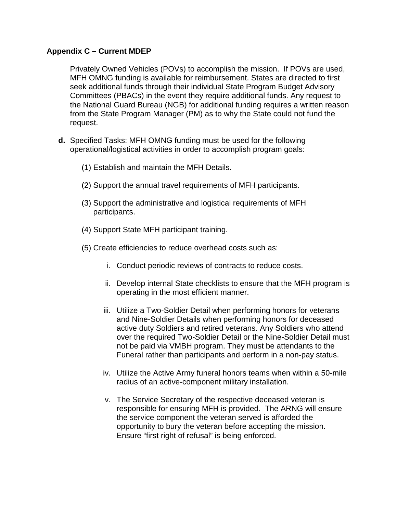Privately Owned Vehicles (POVs) to accomplish the mission. If POVs are used, MFH OMNG funding is available for reimbursement. States are directed to first seek additional funds through their individual State Program Budget Advisory Committees (PBACs) in the event they require additional funds. Any request to the National Guard Bureau (NGB) for additional funding requires a written reason from the State Program Manager (PM) as to why the State could not fund the request.

- **d.** Specified Tasks: MFH OMNG funding must be used for the following operational/logistical activities in order to accomplish program goals:
	- (1) Establish and maintain the MFH Details.
	- (2) Support the annual travel requirements of MFH participants.
	- (3) Support the administrative and logistical requirements of MFH participants.
	- (4) Support State MFH participant training.
	- (5) Create efficiencies to reduce overhead costs such as:
		- i. Conduct periodic reviews of contracts to reduce costs.
		- ii. Develop internal State checklists to ensure that the MFH program is operating in the most efficient manner.
		- iii. Utilize a Two-Soldier Detail when performing honors for veterans and Nine-Soldier Details when performing honors for deceased active duty Soldiers and retired veterans. Any Soldiers who attend over the required Two-Soldier Detail or the Nine-Soldier Detail must not be paid via VMBH program. They must be attendants to the Funeral rather than participants and perform in a non-pay status.
		- iv. Utilize the Active Army funeral honors teams when within a 50-mile radius of an active-component military installation.
		- v. The Service Secretary of the respective deceased veteran is responsible for ensuring MFH is provided. The ARNG will ensure the service component the veteran served is afforded the opportunity to bury the veteran before accepting the mission. Ensure "first right of refusal" is being enforced.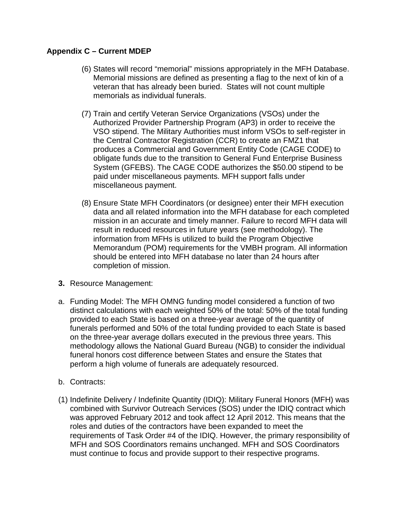- (6) States will record "memorial" missions appropriately in the MFH Database. Memorial missions are defined as presenting a flag to the next of kin of a veteran that has already been buried. States will not count multiple memorials as individual funerals.
- (7) Train and certify Veteran Service Organizations (VSOs) under the Authorized Provider Partnership Program (AP3) in order to receive the VSO stipend. The Military Authorities must inform VSOs to self-register in the Central Contractor Registration (CCR) to create an FMZ1 that produces a Commercial and Government Entity Code (CAGE CODE) to obligate funds due to the transition to General Fund Enterprise Business System (GFEBS). The CAGE CODE authorizes the \$50.00 stipend to be paid under miscellaneous payments. MFH support falls under miscellaneous payment.
- (8) Ensure State MFH Coordinators (or designee) enter their MFH execution data and all related information into the MFH database for each completed mission in an accurate and timely manner. Failure to record MFH data will result in reduced resources in future years (see methodology). The information from MFHs is utilized to build the Program Objective Memorandum (POM) requirements for the VMBH program. All information should be entered into MFH database no later than 24 hours after completion of mission.
- **3.** Resource Management:
- a. Funding Model: The MFH OMNG funding model considered a function of two distinct calculations with each weighted 50% of the total: 50% of the total funding provided to each State is based on a three-year average of the quantity of funerals performed and 50% of the total funding provided to each State is based on the three-year average dollars executed in the previous three years. This methodology allows the National Guard Bureau (NGB) to consider the individual funeral honors cost difference between States and ensure the States that perform a high volume of funerals are adequately resourced.
- b. Contracts:
- (1) Indefinite Delivery / Indefinite Quantity (IDIQ): Military Funeral Honors (MFH) was combined with Survivor Outreach Services (SOS) under the IDIQ contract which was approved February 2012 and took affect 12 April 2012. This means that the roles and duties of the contractors have been expanded to meet the requirements of Task Order #4 of the IDIQ. However, the primary responsibility of MFH and SOS Coordinators remains unchanged. MFH and SOS Coordinators must continue to focus and provide support to their respective programs.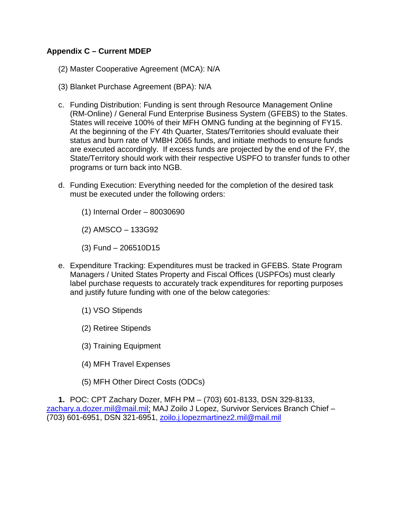- (2) Master Cooperative Agreement (MCA): N/A
- (3) Blanket Purchase Agreement (BPA): N/A
- c. Funding Distribution: Funding is sent through Resource Management Online (RM-Online) / General Fund Enterprise Business System (GFEBS) to the States. States will receive 100% of their MFH OMNG funding at the beginning of FY15. At the beginning of the FY 4th Quarter, States/Territories should evaluate their status and burn rate of VMBH 2065 funds, and initiate methods to ensure funds are executed accordingly. If excess funds are projected by the end of the FY, the State/Territory should work with their respective USPFO to transfer funds to other programs or turn back into NGB.
- d. Funding Execution: Everything needed for the completion of the desired task must be executed under the following orders:
	- (1) Internal Order 80030690
	- (2) AMSCO 133G92
	- (3) Fund 206510D15
- e. Expenditure Tracking: Expenditures must be tracked in GFEBS. State Program Managers / United States Property and Fiscal Offices (USPFOs) must clearly label purchase requests to accurately track expenditures for reporting purposes and justify future funding with one of the below categories:
	- (1) VSO Stipends
	- (2) Retiree Stipends
	- (3) Training Equipment
	- (4) MFH Travel Expenses
	- (5) MFH Other Direct Costs (ODCs)

**1.** POC: CPT Zachary Dozer, MFH PM – (703) 601-8133, DSN 329-8133, [zachary.a.dozer.mil@mail.mil;](mailto:zachary.a.dozer.mil@mail.mil) MAJ Zoilo J Lopez, Survivor Services Branch Chief -(703) 601-6951, DSN 321-6951, [zoilo.j.lopezmartinez2.mil@mail.mil](mailto:zoilo.j.lopezmartinez2.mil@mail.mil)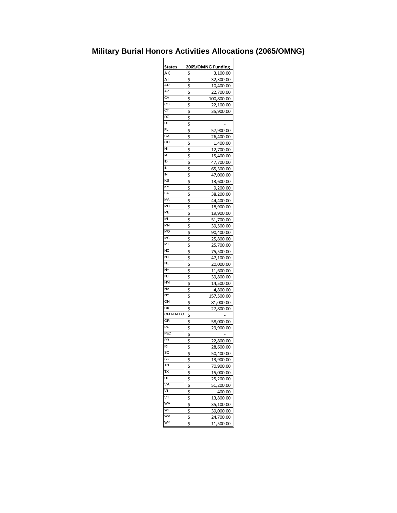# **Military Burial Honors Activities Allocations (2065/OMNG)**

| States                 | 2065/OMNG Funding      |            |  |
|------------------------|------------------------|------------|--|
| АΚ                     | \$                     | 3,100.00   |  |
| AL                     | \$                     | 32,300.00  |  |
| ĀR                     | \$                     | 10,400.00  |  |
| ΑZ                     | \$                     |            |  |
| CA                     |                        | 22,700.00  |  |
| $\overline{\text{co}}$ | \$                     | 100,800.00 |  |
| CT                     | $\overline{\xi}$       | 22,100.00  |  |
|                        | \$                     | 35,900.00  |  |
| $\overline{DC}$        | \$                     |            |  |
| DE                     | \$                     |            |  |
| FL                     | \$                     | 57,900.00  |  |
| GA                     | $\overline{\varsigma}$ | 26,400.00  |  |
| GU                     | \$                     | 1,400.00   |  |
| HI                     | \$                     | 12,700.00  |  |
| IA                     | \$                     | 15,400.00  |  |
| ID                     |                        | 47,700.00  |  |
| L                      | $\frac{1}{2}$          | 65,300.00  |  |
| IN                     | \$                     | 47,000.00  |  |
| KS                     | \$                     |            |  |
| ΚY                     | \$                     | 13,600.00  |  |
| LA                     |                        | 9,200.00   |  |
| MA                     | \$                     | 38,200.00  |  |
|                        | \$                     | 44,400.00  |  |
| <b>MD</b>              | ş                      | 18,900.00  |  |
| ME                     | \$                     | 19,900.00  |  |
| М                      | \$                     | 51,700.00  |  |
| MN                     | \$                     | 39,500.00  |  |
| <b>MO</b>              | \$                     | 90,400.00  |  |
| <b>MS</b>              | \$                     | 25,800.00  |  |
| MТ                     | \$                     | 25,700.00  |  |
| NC                     | \$                     | 75,500.00  |  |
| <b>ND</b>              | \$                     | 47,100.00  |  |
| <b>NE</b>              | \$                     | 20,000.00  |  |
| NΗ                     |                        | 11,600.00  |  |
| NJ                     | $rac{5}{5}$            | 39,800.00  |  |
| <b>NM</b>              | \$                     | 14,500.00  |  |
| <b>NV</b>              | \$                     |            |  |
| $\overline{NY}$        | \$                     | 4,800.00   |  |
| OH                     |                        | 157,500.00 |  |
| OK                     | \$                     | 81,000.00  |  |
|                        | \$                     | 27,800.00  |  |
| <b>OPEN ALLO</b>       | \$                     |            |  |
| <b>OR</b>              | $rac{5}{5}$            | 58,000.00  |  |
| PA                     |                        | 29,900.00  |  |
| PEC                    | \$                     |            |  |
| PR                     | \$                     | 22,800.00  |  |
| RI                     | ς                      | 28,600.00  |  |
| SC                     | \$                     | 50,400.00  |  |
| SD                     | \$                     | 13,900.00  |  |
| TN                     | \$                     | 70,900.00  |  |
| ТX                     | \$                     |            |  |
| UT                     |                        | 15,000.00  |  |
| VA                     | \$                     | 25,200.00  |  |
|                        | \$                     | 51,200.00  |  |
| ٧I                     | \$                     | 400.00     |  |
| VT                     | \$                     | 13,800.00  |  |
| WA                     | \$                     | 35,100.00  |  |
| WI                     | $rac{1}{2}$            | 39,000.00  |  |
| W                      |                        | 24,700.00  |  |
| WY                     | \$                     | 11,500.00  |  |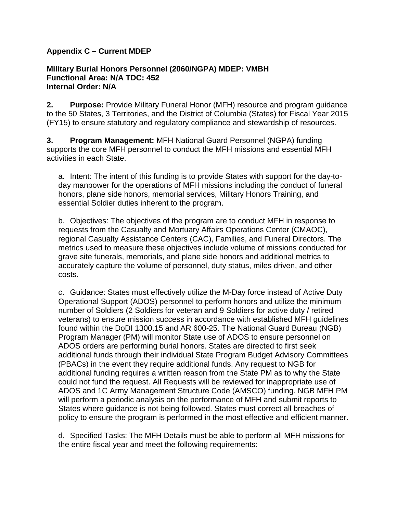#### **Military Burial Honors Personnel (2060/NGPA) MDEP: VMBH Functional Area: N/A TDC: 452 Internal Order: N/A**

**2. Purpose:** Provide Military Funeral Honor (MFH) resource and program guidance to the 50 States, 3 Territories, and the District of Columbia (States) for Fiscal Year 2015 (FY15) to ensure statutory and regulatory compliance and stewardship of resources.

**3. Program Management:** MFH National Guard Personnel (NGPA) funding supports the core MFH personnel to conduct the MFH missions and essential MFH activities in each State.

a. Intent: The intent of this funding is to provide States with support for the day-today manpower for the operations of MFH missions including the conduct of funeral honors, plane side honors, memorial services, Military Honors Training, and essential Soldier duties inherent to the program.

b. Objectives: The objectives of the program are to conduct MFH in response to requests from the Casualty and Mortuary Affairs Operations Center (CMAOC), regional Casualty Assistance Centers (CAC), Families, and Funeral Directors. The metrics used to measure these objectives include volume of missions conducted for grave site funerals, memorials, and plane side honors and additional metrics to accurately capture the volume of personnel, duty status, miles driven, and other costs.

c. Guidance: States must effectively utilize the M-Day force instead of Active Duty Operational Support (ADOS) personnel to perform honors and utilize the minimum number of Soldiers (2 Soldiers for veteran and 9 Soldiers for active duty / retired veterans) to ensure mission success in accordance with established MFH guidelines found within the DoDI 1300.15 and AR 600-25. The National Guard Bureau (NGB) Program Manager (PM) will monitor State use of ADOS to ensure personnel on ADOS orders are performing burial honors. States are directed to first seek additional funds through their individual State Program Budget Advisory Committees (PBACs) in the event they require additional funds. Any request to NGB for additional funding requires a written reason from the State PM as to why the State could not fund the request. All Requests will be reviewed for inappropriate use of ADOS and 1C Army Management Structure Code (AMSCO) funding. NGB MFH PM will perform a periodic analysis on the performance of MFH and submit reports to States where guidance is not being followed. States must correct all breaches of policy to ensure the program is performed in the most effective and efficient manner.

d. Specified Tasks: The MFH Details must be able to perform all MFH missions for the entire fiscal year and meet the following requirements: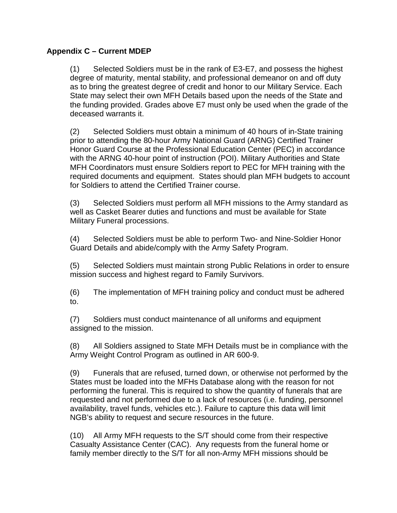(1) Selected Soldiers must be in the rank of E3-E7, and possess the highest degree of maturity, mental stability, and professional demeanor on and off duty as to bring the greatest degree of credit and honor to our Military Service. Each State may select their own MFH Details based upon the needs of the State and the funding provided. Grades above E7 must only be used when the grade of the deceased warrants it.

(2) Selected Soldiers must obtain a minimum of 40 hours of in-State training prior to attending the 80-hour Army National Guard (ARNG) Certified Trainer Honor Guard Course at the Professional Education Center (PEC) in accordance with the ARNG 40-hour point of instruction (POI). Military Authorities and State MFH Coordinators must ensure Soldiers report to PEC for MFH training with the required documents and equipment. States should plan MFH budgets to account for Soldiers to attend the Certified Trainer course.

(3) Selected Soldiers must perform all MFH missions to the Army standard as well as Casket Bearer duties and functions and must be available for State Military Funeral processions.

(4) Selected Soldiers must be able to perform Two- and Nine-Soldier Honor Guard Details and abide/comply with the Army Safety Program.

(5) Selected Soldiers must maintain strong Public Relations in order to ensure mission success and highest regard to Family Survivors.

(6) The implementation of MFH training policy and conduct must be adhered to.

(7) Soldiers must conduct maintenance of all uniforms and equipment assigned to the mission.

(8) All Soldiers assigned to State MFH Details must be in compliance with the Army Weight Control Program as outlined in AR 600-9.

(9) Funerals that are refused, turned down, or otherwise not performed by the States must be loaded into the MFHs Database along with the reason for not performing the funeral. This is required to show the quantity of funerals that are requested and not performed due to a lack of resources (i.e. funding, personnel availability, travel funds, vehicles etc.). Failure to capture this data will limit NGB's ability to request and secure resources in the future.

(10) All Army MFH requests to the S/T should come from their respective Casualty Assistance Center (CAC). Any requests from the funeral home or family member directly to the S/T for all non-Army MFH missions should be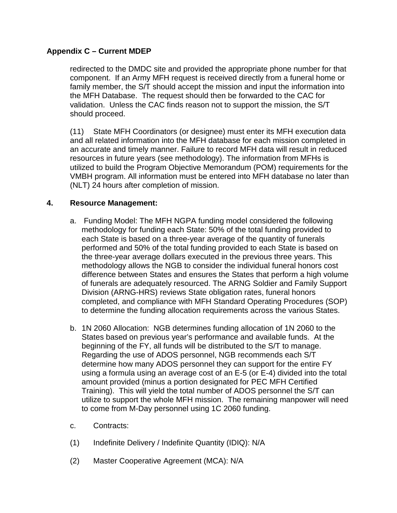redirected to the DMDC site and provided the appropriate phone number for that component. If an Army MFH request is received directly from a funeral home or family member, the S/T should accept the mission and input the information into the MFH Database. The request should then be forwarded to the CAC for validation. Unless the CAC finds reason not to support the mission, the S/T should proceed.

(11) State MFH Coordinators (or designee) must enter its MFH execution data and all related information into the MFH database for each mission completed in an accurate and timely manner. Failure to record MFH data will result in reduced resources in future years (see methodology). The information from MFHs is utilized to build the Program Objective Memorandum (POM) requirements for the VMBH program. All information must be entered into MFH database no later than (NLT) 24 hours after completion of mission.

## **4. Resource Management:**

- a. Funding Model: The MFH NGPA funding model considered the following methodology for funding each State: 50% of the total funding provided to each State is based on a three-year average of the quantity of funerals performed and 50% of the total funding provided to each State is based on the three-year average dollars executed in the previous three years. This methodology allows the NGB to consider the individual funeral honors cost difference between States and ensures the States that perform a high volume of funerals are adequately resourced. The ARNG Soldier and Family Support Division (ARNG-HRS) reviews State obligation rates, funeral honors completed, and compliance with MFH Standard Operating Procedures (SOP) to determine the funding allocation requirements across the various States.
- b. 1N 2060 Allocation: NGB determines funding allocation of 1N 2060 to the States based on previous year's performance and available funds. At the beginning of the FY, all funds will be distributed to the S/T to manage. Regarding the use of ADOS personnel, NGB recommends each S/T determine how many ADOS personnel they can support for the entire FY using a formula using an average cost of an E-5 (or E-4) divided into the total amount provided (minus a portion designated for PEC MFH Certified Training). This will yield the total number of ADOS personnel the S/T can utilize to support the whole MFH mission. The remaining manpower will need to come from M-Day personnel using 1C 2060 funding.
- c. Contracts:
- (1) Indefinite Delivery / Indefinite Quantity (IDIQ): N/A
- (2) Master Cooperative Agreement (MCA): N/A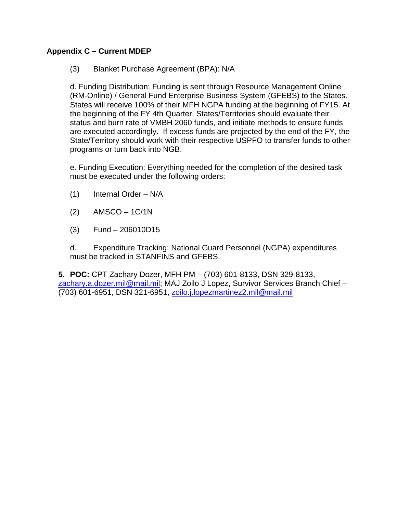## (3) Blanket Purchase Agreement (BPA): N/A

d. Funding Distribution: Funding is sent through Resource Management Online (RM-Online) / General Fund Enterprise Business System (GFEBS) to the States. States will receive 100% of their MFH NGPA funding at the beginning of FY15. At the beginning of the FY 4th Quarter, States/Territories should evaluate their status and burn rate of VMBH 2060 funds, and initiate methods to ensure funds are executed accordingly. If excess funds are projected by the end of the FY, the State/Territory should work with their respective USPFO to transfer funds to other programs or turn back into NGB.

e. Funding Execution: Everything needed for the completion of the desired task must be executed under the following orders:

- (1) Internal Order N/A
- $(2)$  AMSCO 1C/1N
- (3) Fund 206010D15

d. Expenditure Tracking: National Guard Personnel (NGPA) expenditures must be tracked in STANFINS and GFEBS.

**5. POC:** CPT Zachary Dozer, MFH PM – (703) 601-8133, DSN 329-8133, [zachary.a.dozer.mil@mail.mil;](mailto:zachary.a.dozer.mil@mail.mil) MAJ Zoilo J Lopez, Survivor Services Branch Chief -(703) 601-6951, DSN 321-6951, [zoilo.j.lopezmartinez2.mil@mail.mil](mailto:zoilo.j.lopezmartinez2.mil@mail.mil)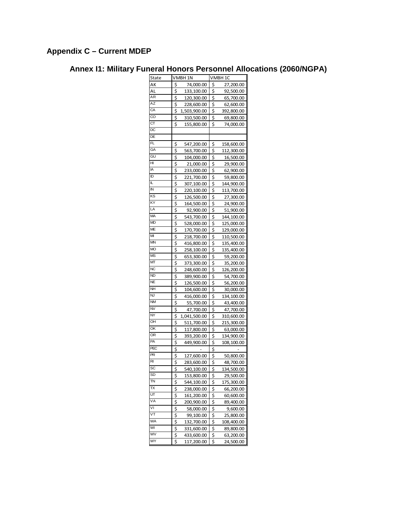# **Annex I1: Military Funeral Honors Personnel Allocations (2060/NGPA)**

| State                   | VMBH 1N |              | VMBH 1C |                         |
|-------------------------|---------|--------------|---------|-------------------------|
| АK                      | \$      | 74,000.00    | \$      | 27,200.00               |
| AL                      | \$      | 133,100.00   | \$      | 92,500.00               |
| AR                      | \$      | 120,300.00   | \$      | 65,700.00               |
| ΑZ                      | \$      | 228,600.00   | \$      | 62,600.00               |
| СA                      | \$      | 1,503,900.00 | \$      | 392,800.00              |
| CO                      | \$      | 310,500.00   | \$      | 69,800.00               |
| $\overline{\text{CT}}$  |         |              |         |                         |
| DC                      | \$      | 155,800.00   | \$      | 74,000.00               |
| DE                      |         |              |         |                         |
| FL                      |         |              |         |                         |
| GA                      | \$      | 547,200.00   | \$      | 158,600.00              |
| GU                      | \$      | 563,700.00   | \$      | 112,300.00              |
| HI                      | \$      | 104,000.00   | \$      | 16,500.00               |
|                         | \$      | 21,000.00    | \$      | 29,900.00               |
| IA                      | \$      | 233,000.00   | \$      | 62,900.00               |
| ID                      | \$      | 221,700.00   | \$      | 59,800.00               |
| L                       | \$      | 307,100.00   | \$      | 144,900.00              |
| IN                      | \$      | 220,100.00   | \$      | 113,700.00              |
| ΚS                      | \$      | 126,500.00   | \$      | 27,300.00               |
| ΚY                      | \$      | 164,500.00   | \$      | 24,900.00               |
| LA                      | \$      | 92,900.00    | \$      | 51,900.00               |
| MA                      | \$      | 543,700.00   | ş       | 144,100.00              |
| ΜD                      | \$      | 528,000.00   | \$      | 125,000.00              |
| МE                      | \$      | 170,700.00   | \$      | 129,000.00              |
| М                       | \$      | 218,700.00   | \$      | 110,500.00              |
| MN                      | \$      | 416,800.00   | \$      | 135,400.00              |
| <b>MO</b>               | \$      | 258,100.00   | \$      | 135,400.00              |
| <b>MS</b>               | \$      | 653,300.00   | \$      | 59,200.00               |
| МT                      | \$      | 373,300.00   | \$      | 35,200.00               |
| <b>NC</b>               | \$      | 248,600.00   | \$      | 126,200.00              |
| <b>ND</b>               | \$      | 389,900.00   | \$      | 54,700.00               |
| NE                      | \$      | 126,500.00   | \$      | 56,200.00               |
| NΗ                      | \$      | 104,600.00   | \$      | 30,000.00               |
| ÑĴ                      | \$      | 416,000.00   | \$      | 134,100.00              |
| NM                      | \$      | 55,700.00    | \$      | 43,400.00               |
| NV                      | \$      | 47,700.00    | \$      | 47,700.00               |
| NY                      | \$      | 1,041,500.00 | \$      | 310,600.00              |
| OH                      | \$      | 511,700.00   | \$      | 215,300.00              |
| ОK                      | \$      | 117,800.00   | \$      | 63,000.00               |
| <b>OR</b>               | \$      | 393,200.00   | \$      | 134,900.00              |
| PA                      | \$      | 449,900.00   | \$      | 108,100.00              |
| PEC                     | \$      |              | \$      |                         |
| PR                      | \$      | 127,600.00   | \$      | 50,800.00               |
| $\overline{R}$          | \$      | 283,600.00   | \$      | 48,700.00               |
| SC                      | \$      | 540,100.00   | \$      | 134,500.00              |
| SD                      | \$      | 153,800.00   | \$      | 29,500.00               |
| $\overline{\mathsf{I}}$ | \$      | 544,100.00   | \$      | 175,300.00              |
| ТX                      | \$      | 238,000.00   | \$      | 66,200.00               |
| UT                      | \$      | 161,200.00   | \$      | 60,600.00               |
| VA                      | \$      | 200,900.00   | \$      | 89,400.00               |
| ٨I                      | \$      | 58,000.00    | \$      | 9,600.00                |
| VT                      | \$      |              | \$      | 25,800.00               |
| WA                      | \$      | 99,100.00    | \$      |                         |
| WI                      | \$      | 132,700.00   | \$      | 108,400.00<br>89,800.00 |
| WV                      |         | 331,600.00   |         |                         |
| WY                      | \$      | 433,600.00   | \$      | 63,200.00               |
|                         | \$      | 117,200.00   | \$      | 24,500.00               |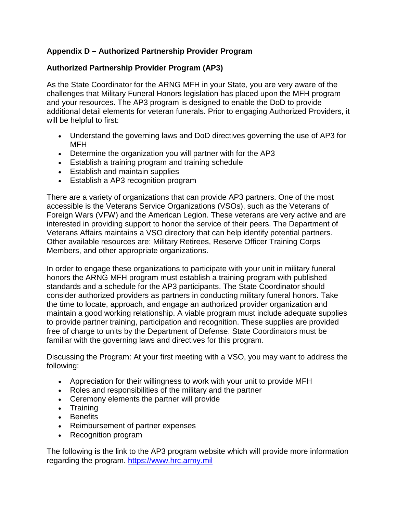# **Authorized Partnership Provider Program (AP3)**

As the State Coordinator for the ARNG MFH in your State, you are very aware of the challenges that Military Funeral Honors legislation has placed upon the MFH program and your resources. The AP3 program is designed to enable the DoD to provide additional detail elements for veteran funerals. Prior to engaging Authorized Providers, it will be helpful to first:

- Understand the governing laws and DoD directives governing the use of AP3 for MFH
- Determine the organization you will partner with for the AP3
- Establish a training program and training schedule
- Establish and maintain supplies
- Establish a AP3 recognition program

There are a variety of organizations that can provide AP3 partners. One of the most accessible is the Veterans Service Organizations (VSOs), such as the Veterans of Foreign Wars (VFW) and the American Legion. These veterans are very active and are interested in providing support to honor the service of their peers. The Department of Veterans Affairs maintains a [VSO](http://www.va.gov/vso/) directory that can help identify potential partners. Other available resources are: Military Retirees, Reserve Officer Training Corps Members, and other appropriate organizations.

In order to engage these organizations to participate with your unit in military funeral honors the ARNG MFH program must establish a training program with published standards and a schedule for the AP3 participants. The State Coordinator should consider authorized providers as partners in conducting military funeral honors. Take the time to locate, approach, and engage an authorized provider organization and maintain a good working relationship. A viable program must include adequate supplies to provide partner training, participation and recognition. These supplies are provided free of charge to units by the Department of Defense. State Coordinators must be familiar with the governing laws and directives for this program.

Discussing the Program: At your first meeting with a VSO, you may want to address the following:

- Appreciation for their willingness to work with your unit to provide MFH
- Roles and responsibilities of the military and the partner
- Ceremony elements the partner will provide
- Training
- Benefits
- Reimbursement of partner expenses
- Recognition program

The following is the link to the AP3 program website which will provide more information regarding the program. [https://www.hrc.army.mil](https://www.hrc.army.mil/)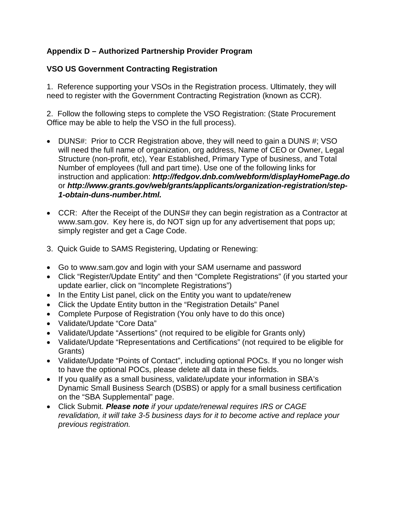# **VSO US Government Contracting Registration**

1. Reference supporting your VSOs in the Registration process. Ultimately, they will need to register with the Government Contracting Registration (known as CCR).

2. Follow the following steps to complete the VSO Registration: (State Procurement Office may be able to help the VSO in the full process).

- DUNS#: Prior to CCR Registration above, they will need to gain a DUNS #; VSO will need the full name of organization, org address, Name of CEO or Owner, Legal Structure (non-profit, etc), Year Established, Primary Type of business, and Total Number of employees (full and part time). Use one of the following links for instruction and application: *<http://fedgov.dnb.com/webform/displayHomePage.do>* or *[http://www.grants.gov/web/grants/applicants/organization-registration/step-](http://www.grants.gov/web/grants/applicants/organization-registration/step-1-obtain-duns-number.html)[1-obtain-duns-number.html.](http://www.grants.gov/web/grants/applicants/organization-registration/step-1-obtain-duns-number.html)*
- CCR: After the Receipt of the DUNS# they can begin registration as a Contractor at [www.sam.gov.](http://www.sam.gov/) Key here is, do NOT sign up for any advertisement that pops up; simply register and get a Cage Code.
- 3. Quick Guide to SAMS Registering, Updating or Renewing:
- Go to www.sam.gov and login with your SAM username and password
- Click "Register/Update Entity" and then "Complete Registrations" (if you started your update earlier, click on "Incomplete Registrations")
- In the Entity List panel, click on the Entity you want to update/renew
- Click the Update Entity button in the "Registration Details" Panel
- Complete Purpose of Registration (You only have to do this once)
- Validate/Update "Core Data"
- Validate/Update "Assertions" (not required to be eligible for Grants only)
- Validate/Update "Representations and Certifications" (not required to be eligible for Grants)
- Validate/Update "Points of Contact", including optional POCs. If you no longer wish to have the optional POCs, please delete all data in these fields.
- If you qualify as a small business, validate/update your information in SBA's Dynamic Small Business Search (DSBS) or apply for a small business certification on the "SBA Supplemental" page.
- Click Submit. *Please note if your update/renewal requires IRS or CAGE revalidation, it will take 3-5 business days for it to become active and replace your previous registration.*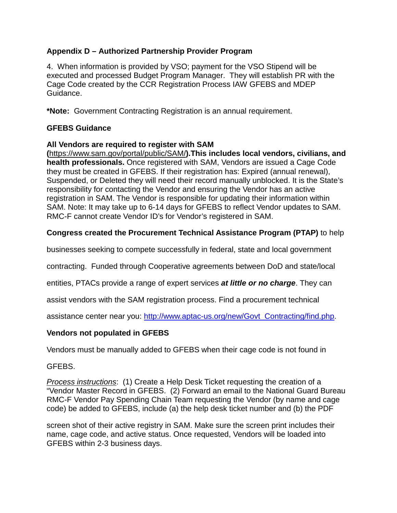4. When information is provided by VSO; payment for the VSO Stipend will be executed and processed Budget Program Manager. They will establish PR with the Cage Code created by the CCR Registration Process IAW GFEBS and MDEP Guidance.

**\*Note:** Government Contracting Registration is an annual requirement.

## **GFEBS Guidance**

#### **All Vendors are required to register with SAM**

**(**https://www.sam.gov/portal/public/SAM/**).This includes local vendors, civilians, and health professionals.** Once registered with SAM, Vendors are issued a Cage Code they must be created in GFEBS. If their registration has: Expired (annual renewal), Suspended, or Deleted they will need their record manually unblocked. It is the State's responsibility for contacting the Vendor and ensuring the Vendor has an active registration in SAM. The Vendor is responsible for updating their information within SAM. Note: It may take up to 6-14 days for GFEBS to reflect Vendor updates to SAM. RMC-F cannot create Vendor ID's for Vendor's registered in SAM.

## **Congress created the Procurement Technical Assistance Program (PTAP)** to help

businesses seeking to compete successfully in federal, state and local government

contracting. Funded through Cooperative agreements between DoD and state/local

entities, PTACs provide a range of expert services *at little or no charge*. They can

assist vendors with the SAM registration process. Find a procurement technical

assistance center near you: [http://www.aptac-us.org/new/Govt\\_Contracting/find.php.](http://www.aptac-us.org/new/Govt_Contracting/find.php)

## **Vendors not populated in GFEBS**

Vendors must be manually added to GFEBS when their cage code is not found in

#### GFEBS.

*Process instructions*: (1) Create a Help Desk Ticket requesting the creation of a "Vendor Master Record in GFEBS. (2) Forward an email to the National Guard Bureau RMC-F Vendor Pay Spending Chain Team requesting the Vendor (by name and cage code) be added to GFEBS, include (a) the help desk ticket number and (b) the PDF

screen shot of their active registry in SAM. Make sure the screen print includes their name, cage code, and active status. Once requested, Vendors will be loaded into GFEBS within 2-3 business days.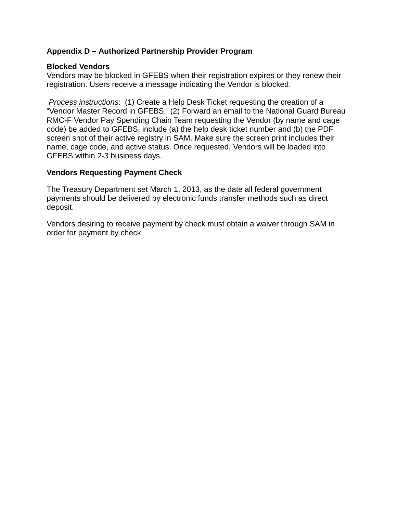#### **Blocked Vendors**

Vendors may be blocked in GFEBS when their registration expires or they renew their registration. Users receive a message indicating the Vendor is blocked.

*Process instructions*: (1) Create a Help Desk Ticket requesting the creation of a "Vendor Master Record in GFEBS. (2) Forward an email to the National Guard Bureau RMC-F Vendor Pay Spending Chain Team requesting the Vendor (by name and cage code) be added to GFEBS, include (a) the help desk ticket number and (b) the PDF screen shot of their active registry in SAM. Make sure the screen print includes their name, cage code, and active status. Once requested, Vendors will be loaded into GFEBS within 2-3 business days.

#### **Vendors Requesting Payment Check**

The Treasury Department set March 1, 2013, as the date all federal government payments should be delivered by electronic funds transfer methods such as direct deposit.

Vendors desiring to receive payment by check must obtain a waiver through SAM in order for payment by check.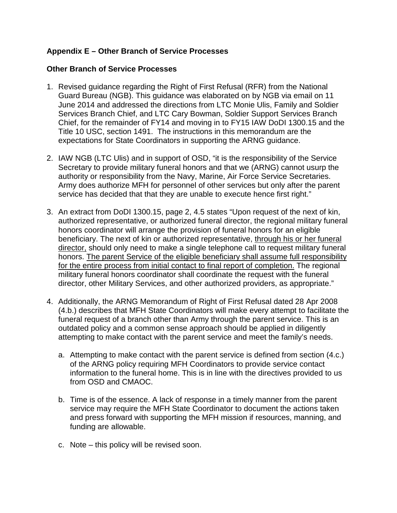## **Appendix E – Other Branch of Service Processes**

#### **Other Branch of Service Processes**

- 1. Revised guidance regarding the Right of First Refusal (RFR) from the National Guard Bureau (NGB). This guidance was elaborated on by NGB via email on 11 June 2014 and addressed the directions from LTC Monie Ulis, Family and Soldier Services Branch Chief, and LTC Cary Bowman, Soldier Support Services Branch Chief, for the remainder of FY14 and moving in to FY15 IAW DoDI 1300.15 and the Title 10 USC, section 1491. The instructions in this memorandum are the expectations for State Coordinators in supporting the ARNG guidance.
- 2. IAW NGB (LTC Ulis) and in support of OSD, "it is the responsibility of the Service Secretary to provide military funeral honors and that we (ARNG) cannot usurp the authority or responsibility from the Navy, Marine, Air Force Service Secretaries. Army does authorize MFH for personnel of other services but only after the parent service has decided that that they are unable to execute hence first right."
- 3. An extract from DoDI 1300.15, page 2, 4.5 states "Upon request of the next of kin, authorized representative, or authorized funeral director, the regional military funeral honors coordinator will arrange the provision of funeral honors for an eligible beneficiary. The next of kin or authorized representative, through his or her funeral director, should only need to make a single telephone call to request military funeral honors. The parent Service of the eligible beneficiary shall assume full responsibility for the entire process from initial contact to final report of completion. The regional military funeral honors coordinator shall coordinate the request with the funeral director, other Military Services, and other authorized providers, as appropriate."
- 4. Additionally, the ARNG Memorandum of Right of First Refusal dated 28 Apr 2008 (4.b.) describes that MFH State Coordinators will make every attempt to facilitate the funeral request of a branch other than Army through the parent service. This is an outdated policy and a common sense approach should be applied in diligently attempting to make contact with the parent service and meet the family's needs.
	- a. Attempting to make contact with the parent service is defined from section (4.c.) of the ARNG policy requiring MFH Coordinators to provide service contact information to the funeral home. This is in line with the directives provided to us from OSD and CMAOC.
	- b. Time is of the essence. A lack of response in a timely manner from the parent service may require the MFH State Coordinator to document the actions taken and press forward with supporting the MFH mission if resources, manning, and funding are allowable.
	- c. Note this policy will be revised soon.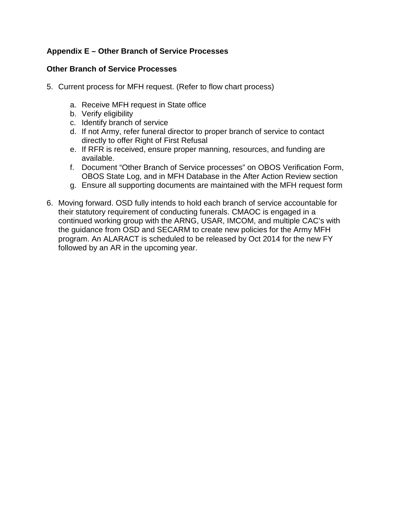# **Appendix E – Other Branch of Service Processes**

## **Other Branch of Service Processes**

- 5. Current process for MFH request. (Refer to flow chart process)
	- a. Receive MFH request in State office
	- b. Verify eligibility
	- c. Identify branch of service
	- d. If not Army, refer funeral director to proper branch of service to contact directly to offer Right of First Refusal
	- e. If RFR is received, ensure proper manning, resources, and funding are available.
	- f. Document "Other Branch of Service processes" on OBOS Verification Form, OBOS State Log, and in MFH Database in the After Action Review section
	- g. Ensure all supporting documents are maintained with the MFH request form
- 6. Moving forward. OSD fully intends to hold each branch of service accountable for their statutory requirement of conducting funerals. CMAOC is engaged in a continued working group with the ARNG, USAR, IMCOM, and multiple CAC's with the guidance from OSD and SECARM to create new policies for the Army MFH program. An ALARACT is scheduled to be released by Oct 2014 for the new FY followed by an AR in the upcoming year.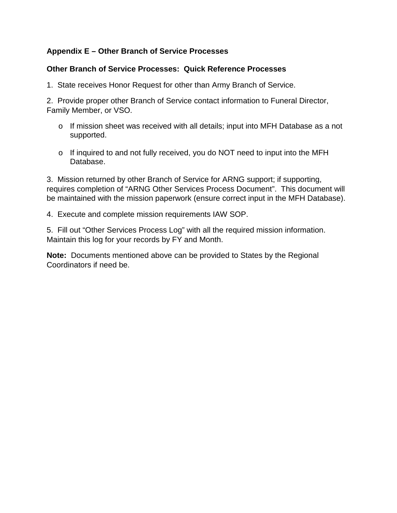# **Appendix E – Other Branch of Service Processes**

#### **Other Branch of Service Processes: Quick Reference Processes**

1. State receives Honor Request for other than Army Branch of Service.

2. Provide proper other Branch of Service contact information to Funeral Director, Family Member, or VSO.

- o If mission sheet was received with all details; input into MFH Database as a not supported.
- o If inquired to and not fully received, you do NOT need to input into the MFH **Database**

3. Mission returned by other Branch of Service for ARNG support; if supporting, requires completion of "ARNG Other Services Process Document". This document will be maintained with the mission paperwork (ensure correct input in the MFH Database).

4. Execute and complete mission requirements IAW SOP.

5. Fill out "Other Services Process Log" with all the required mission information. Maintain this log for your records by FY and Month.

**Note:** Documents mentioned above can be provided to States by the Regional Coordinators if need be.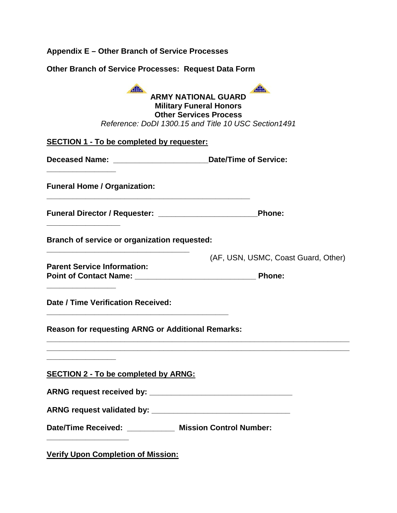| Appendix E – Other Branch of Service Processes                                                       |                                                                                                                                                                |
|------------------------------------------------------------------------------------------------------|----------------------------------------------------------------------------------------------------------------------------------------------------------------|
| <b>Other Branch of Service Processes: Request Data Form</b>                                          |                                                                                                                                                                |
| Alla                                                                                                 | Alla<br><b>ARMY NATIONAL GUARD</b><br><b>Military Funeral Honors</b><br><b>Other Services Process</b><br>Reference: DoDI 1300.15 and Title 10 USC Section 1491 |
| <b>SECTION 1 - To be completed by requester:</b>                                                     |                                                                                                                                                                |
| Deceased Name: Date/Time of Service:                                                                 |                                                                                                                                                                |
| <b>Funeral Home / Organization:</b>                                                                  |                                                                                                                                                                |
|                                                                                                      | <b>Phone:</b>                                                                                                                                                  |
| Branch of service or organization requested:                                                         |                                                                                                                                                                |
| <b>Parent Service Information:</b><br>Point of Contact Name: Names                                   | (AF, USN, USMC, Coast Guard, Other)<br><b>Phone:</b>                                                                                                           |
| <b>Date / Time Verification Received:</b>                                                            |                                                                                                                                                                |
| <b>Reason for requesting ARNG or Additional Remarks:</b>                                             |                                                                                                                                                                |
| <b>SECTION 2 - To be completed by ARNG:</b>                                                          |                                                                                                                                                                |
| Date/Time Received: ___________ Mission Control Number:<br><b>Verify Upon Completion of Mission:</b> |                                                                                                                                                                |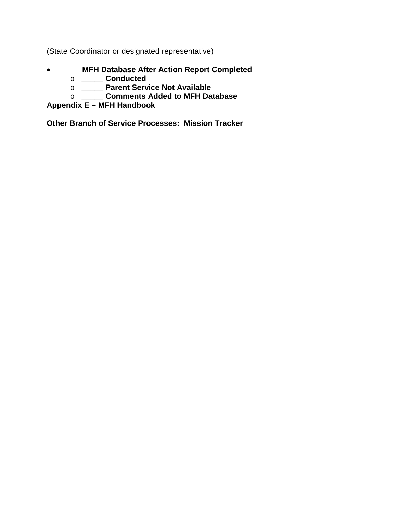(State Coordinator or designated representative)

- **\_\_\_\_\_ MFH Database After Action Report Completed**
	- o **\_\_\_\_\_ Conducted**
	- o **\_\_\_\_\_ Parent Service Not Available**
	- o **\_\_\_\_\_ Comments Added to MFH Database**

# **Appendix E – MFH Handbook**

**Other Branch of Service Processes: Mission Tracker**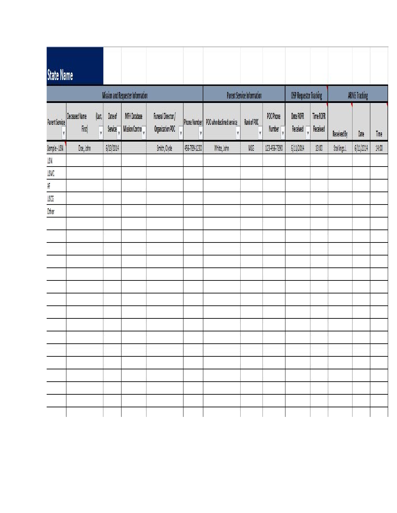| <b>State Name</b> |                                |                    |                    |                                          |                                        |                          |                               |                                   |                                     |                                         |                       |                    |                      |       |
|-------------------|--------------------------------|--------------------|--------------------|------------------------------------------|----------------------------------------|--------------------------|-------------------------------|-----------------------------------|-------------------------------------|-----------------------------------------|-----------------------|--------------------|----------------------|-------|
|                   |                                |                    |                    | <b>Mission and Requester Information</b> |                                        |                          |                               | <b>Parent Service Information</b> |                                     | <b>OSP Requestor Tracking</b>           |                       |                    | <b>ARNG Tracking</b> |       |
| Parent Service    | <b>Deceased Name</b><br>First) | $\vert$ Last,<br>۷ | Date of<br>Service | <b>MFH Database</b><br>Mission Contro    | Funeral Director /<br>Organization POC | <b>Phone Number</b><br>N | POC who declined service<br>٧ | Rank of POC<br>V                  | POC Phone<br>Number $\vert$ $\vert$ | Date ROFR<br>Received<br>$\overline{v}$ | Time ROFR<br>Received | <b>Received By</b> | Date                 | Time  |
| Sample-USN        | Doe, John                      |                    | 6/13/2014          |                                          | Smith, Clyde                           | 456-789-1230             | White, John                   | MSG                               | 123-456-7890                        | 6/11/2014                               | 13:00                 | Stallings J.       | 6/11/2014            | 14:00 |
| USN               |                                |                    |                    |                                          |                                        |                          |                               |                                   |                                     |                                         |                       |                    |                      |       |
| USMC              |                                |                    |                    |                                          |                                        |                          |                               |                                   |                                     |                                         |                       |                    |                      |       |
| AF                |                                |                    |                    |                                          |                                        |                          |                               |                                   |                                     |                                         |                       |                    |                      |       |
| USCG              |                                |                    |                    |                                          |                                        |                          |                               |                                   |                                     |                                         |                       |                    |                      |       |
| Other             |                                |                    |                    |                                          |                                        |                          |                               |                                   |                                     |                                         |                       |                    |                      |       |
|                   |                                |                    |                    |                                          |                                        |                          |                               |                                   |                                     |                                         |                       |                    |                      |       |
|                   |                                |                    |                    |                                          |                                        |                          |                               |                                   |                                     |                                         |                       |                    |                      |       |
|                   |                                |                    |                    |                                          |                                        |                          |                               |                                   |                                     |                                         |                       |                    |                      |       |
|                   |                                |                    |                    |                                          |                                        |                          |                               |                                   |                                     |                                         |                       |                    |                      |       |
|                   |                                |                    |                    |                                          |                                        |                          |                               |                                   |                                     |                                         |                       |                    |                      |       |
|                   |                                |                    |                    |                                          |                                        |                          |                               |                                   |                                     |                                         |                       |                    |                      |       |
|                   |                                |                    |                    |                                          |                                        |                          |                               |                                   |                                     |                                         |                       |                    |                      |       |
|                   |                                |                    |                    |                                          |                                        |                          |                               |                                   |                                     |                                         |                       |                    |                      |       |
|                   |                                |                    |                    |                                          |                                        |                          |                               |                                   |                                     |                                         |                       |                    |                      |       |
|                   |                                |                    |                    |                                          |                                        |                          |                               |                                   |                                     |                                         |                       |                    |                      |       |
|                   |                                |                    |                    |                                          |                                        |                          |                               |                                   |                                     |                                         |                       |                    |                      |       |
|                   |                                |                    |                    |                                          |                                        |                          |                               |                                   |                                     |                                         |                       |                    |                      |       |
|                   |                                |                    |                    |                                          |                                        |                          |                               |                                   |                                     |                                         |                       |                    |                      |       |
|                   |                                |                    |                    |                                          |                                        |                          |                               |                                   |                                     |                                         |                       |                    |                      |       |
|                   |                                |                    |                    |                                          |                                        |                          |                               |                                   |                                     |                                         |                       |                    |                      |       |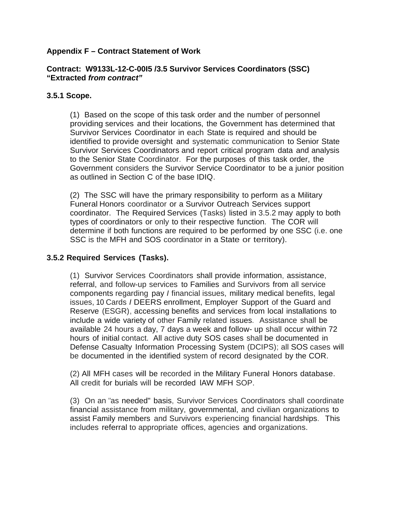#### **Contract: W9133L-12-C-00I5 /3.5 Survivor Services Coordinators (SSC) "Extracted** *from contract"*

#### **3.5.1 Scope.**

(1) Based on the scope of this task order and the number of personnel providing services and their locations, the Government has determined that Survivor Services Coordinator in each State is required and should be identified to provide oversight and systematic communication to Senior State Survivor Services Coordinators and report critical program data and analysis to the Senior State Coordinator. For the purposes of this task order, the Government considers the Survivor Service Coordinator to be a junior position as outlined in Section C of the base IDIQ.

(2) The SSC will have the primary responsibility to perform as a Military Funeral Honors coordinator or a Survivor Outreach Services support coordinator. The Required Services (Tasks) listed in 3.5.2 may apply to both types of coordinators or only to their respective function. The COR will determine if both functions are required to be performed by one SSC (i.e. one SSC is the MFH and SOS coordinator in a State or territory).

#### **3.5.2 Required Services (Tasks).**

(1) Survivor Services Coordinators shall provide information, assistance, referral, and follow-up services to Families and Survivors from all service components regarding pay *I* financial issues, military medical benefits, legal issues, 10 Cards *I* DEERS enrollment, Employer Support of the Guard and Reserve (ESGR), accessing benefits and services from local installations to include a wide variety of other Family related issues. Assistance shall be available 24 hours a day, 7 days a week and follow- up shall occur within 72 hours of initial contact. All active duty SOS cases shall be documented in Defense Casualty Information Processing System (DCIPS); all SOS cases will be documented in the identified system of record designated by the COR.

(2) All MFH cases will be recorded in the Military Funeral Honors database. All credit for burials will be recorded lAW MFH SOP.

(3) On an "as needed" basis, Survivor Services Coordinators shall coordinate financial assistance from military, governmental, and civilian organizations to assist Family members and Survivors experiencing financial hardships. This includes referral to appropriate offices, agencies and organizations.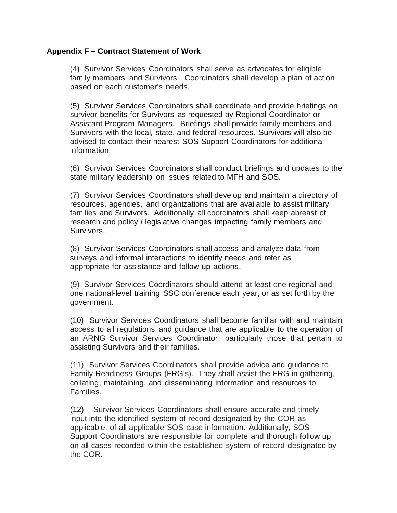(4) Survivor Services Coordinators shall serve as advocates for eligible family members and Survivors. Coordinators shall develop a plan of action based on each customer's needs.

(5) Survivor Services Coordinators shall coordinate and provide briefings on survivor benefits for Survivors as requested by Regional Coordinator or Assistant Program Managers. Briefings shall provide family members and Survivors with the local, state, and federal resources. Survivors will also be advised to contact their nearest SOS Support Coordinators for additional information.

(6) Survivor Services Coordinators shall conduct briefings and updates to the state military leadership on issues related to MFH and SOS.

(7) Survivor Services Coordinators shall develop and maintain a directory of resources, agencies, and organizations that are available to assist military families and Survivors. Additionally all coordinators shall keep abreast of research and policy *I* legislative changes impacting family members and Survivors.

(8) Survivor Services Coordinators shall access and analyze data from surveys and informal interactions to identify needs and refer as appropriate for assistance and follow-up actions.

(9) Survivor Services Coordinators should attend at least one regional and one national-level training SSC conference each year, or as set forth by the government.

(10) Survivor Services Coordinators shall become familiar with and maintain access to all regulations and guidance that are applicable to the operation of an ARNG Survivor Services Coordinator, particularly those that pertain to assisting Survivors and their families.

(11) Survivor Services Coordinators shall provide advice and guidance to Family Readiness Groups (FRG's). They shall assist the FRG in gathering, collating, maintaining, and disseminating information and resources to Families.

(12) Survivor Services Coordinators shall ensure accurate and timely input into the identified system of record designated by the COR as applicable, of all applicable SOS case information. Additionally, SOS Support Coordinators are responsible for complete and thorough follow up on all cases recorded within the established system of record designated by the COR.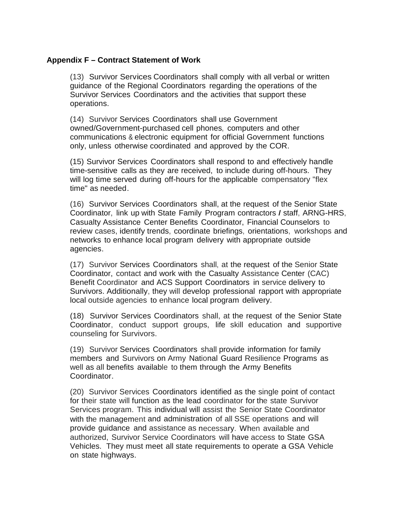(13) Survivor Services Coordinators shall comply with all verbal or written guidance of the Regional Coordinators regarding the operations of the Survivor Services Coordinators and the activities that support these operations.

(14) Survivor Services Coordinators shall use Government owned/Government-purchased cell phones, computers and other communications & electronic equipment for official Government functions only, unless otherwise coordinated and approved by the COR.

(15) Survivor Services Coordinators shall respond to and effectively handle time-sensitive calls as they are received, to include during off-hours. They will log time served during off-hours for the applicable compensatory "flex time" as needed.

(16) Survivor Services Coordinators shall, at the request of the Senior State Coordinator, link up with State Family Program contractors *I* staff, ARNG-HRS, Casualty Assistance Center Benefits Coordinator, Financial Counselors to review cases, identify trends, coordinate briefings, orientations, workshops and networks to enhance local program delivery with appropriate outside agencies.

(17) Survivor Services Coordinators shall, at the request of the Senior State Coordinator, contact and work with the Casualty Assistance Center (CAC) Benefit Coordinator and ACS Support Coordinators in service delivery to Survivors. Additionally, they will develop professional rapport with appropriate local outside agencies to enhance local program delivery.

(18) Survivor Services Coordinators shall, at the request of the Senior State Coordinator, conduct support groups, life skill education and supportive counseling for Survivors.

(19) Survivor Services Coordinators shall provide information for family members and Survivors on Army National Guard Resilience Programs as well as all benefits available to them through the Army Benefits Coordinator.

(20) Survivor Services Coordinators identified as the single point of contact for their state will function as the lead coordinator for the state Survivor Services program. This individual will assist the Senior State Coordinator with the management and administration of all SSE operations and will provide guidance and assistance as necessary. When available and authorized, Survivor Service Coordinators will have access to State GSA Vehicles. They must meet all state requirements to operate a GSA Vehicle on state highways.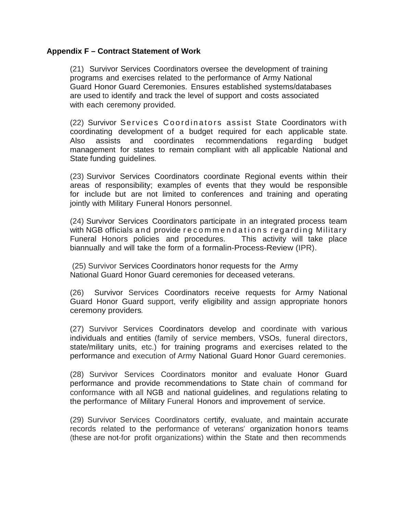(21) Survivor Services Coordinators oversee the development of training programs and exercises related to the performance of Army National Guard Honor Guard Ceremonies. Ensures established systems/databases are used to identify and track the level of support and costs associated with each ceremony provided.

(22) Survivor Services Coordinators assist State Coordinators with coordinating development of a budget required for each applicable state. Also assists and coordinates recommendations regarding budget management for states to remain compliant with all applicable National and State funding guidelines.

(23) Survivor Services Coordinators coordinate Regional events within their areas of responsibility; examples of events that they would be responsible for include but are not limited to conferences and training and operating jointly with Military Funeral Honors personnel.

(24) Survivor Services Coordinators participate in an integrated process team with NGB officials and provide recommendations regarding Military Funeral Honors policies and procedures. This activity will take place biannually and will take the form of a formalin-Process-Review (IPR).

(25) Survivor Services Coordinators honor requests for the Army National Guard Honor Guard ceremonies for deceased veterans.

(26) Survivor Services Coordinators receive requests for Army National Guard Honor Guard support, verify eligibility and assign appropriate honors ceremony providers.

(27) Survivor Services Coordinators develop and coordinate with various individuals and entities (family of service members, VSOs, funeral directors, state/military units, etc.) for training programs and exercises related to the performance and execution of Army National Guard Honor Guard ceremonies.

(28) Survivor Services Coordinators monitor and evaluate Honor Guard performance and provide recommendations to State chain of command for conformance with all NGB and national guidelines, and regulations relating to the performance of Military Funeral Honors and improvement of service.

(29) Survivor Services Coordinators certify, evaluate, and maintain accurate records related to the performance of veterans' organization honors teams (these are not-for profit organizations) within the State and then recommends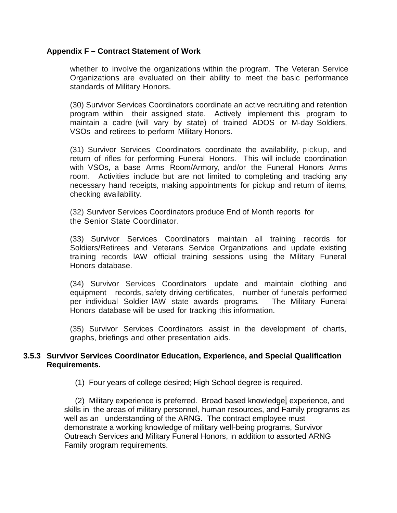whether to involve the organizations within the program. The Veteran Service Organizations are evaluated on their ability to meet the basic performance standards of Military Honors.

(30) Survivor Services Coordinators coordinate an active recruiting and retention program within their assigned state. Actively implement this program to maintain a cadre (will vary by state) of trained ADOS or M-day Soldiers, VSOs and retirees to perform Military Honors.

(31) Survivor Services Coordinators coordinate the availability, pickup, and return of rifles for performing Funeral Honors. This will include coordination with VSOs, a base Arms Room/Armory, and/or the Funeral Honors Arms room. Activities include but are not limited to completing and tracking any necessary hand receipts, making appointments for pickup and return of items, checking availability.

(32) Survivor Services Coordinators produce End of Month reports for the Senior State Coordinator.

(33) Survivor Services Coordinators maintain all training records for Soldiers/Retirees and Veterans Service Organizations and update existing training records lAW official training sessions using the Military Funeral Honors database.

(34) Survivor Services Coordinators update and maintain clothing and equipment records, safety driving certificates, number of funerals performed per individual Soldier lAW state awards programs. The Military Funeral Honors database will be used for tracking this information.

(35) Survivor Services Coordinators assist in the development of charts, graphs, briefings and other presentation aids.

#### **3.5.3 Survivor Services Coordinator Education, Experience, and Special Qualification Requirements.**

(1) Four years of college desired; High School degree is required.

 (2) Military experience is preferred. Broad based knowledge, experience, and skills in the areas of military personnel, human resources, and Family programs as well as an understanding of the ARNG. The contract employee must demonstrate a working knowledge of military well-being programs, Survivor Outreach Services and Military Funeral Honors, in addition to assorted ARNG Family program requirements.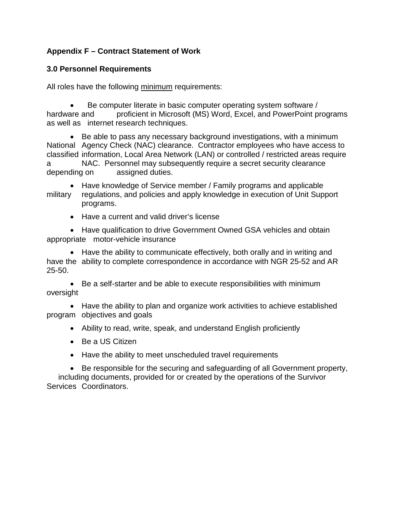## **3.0 Personnel Requirements**

All roles have the following minimum requirements:

• Be computer literate in basic computer operating system software / hardware and proficient in Microsoft (MS) Word, Excel, and PowerPoint programs as well as internet research techniques.

• Be able to pass any necessary background investigations, with a minimum National Agency Check (NAC) clearance. Contractor employees who have access to classified information, Local Area Network (LAN) or controlled / restricted areas require a NAC. Personnel may subsequently require a secret security clearance depending on assigned duties.

• Have knowledge of Service member / Family programs and applicable military regulations, and policies and apply knowledge in execution of Unit Support programs.

• Have a current and valid driver's license

• Have qualification to drive Government Owned GSA vehicles and obtain appropriate motor-vehicle insurance

• Have the ability to communicate effectively, both orally and in writing and have the ability to complete correspondence in accordance with NGR 25-52 and AR 25-50.

• Be a self-starter and be able to execute responsibilities with minimum oversight

• Have the ability to plan and organize work activities to achieve established program objectives and goals

- Ability to read, write, speak, and understand English proficiently
- Be a US Citizen
- Have the ability to meet unscheduled travel requirements

• Be responsible for the securing and safeguarding of all Government property, including documents, provided for or created by the operations of the Survivor Services Coordinators.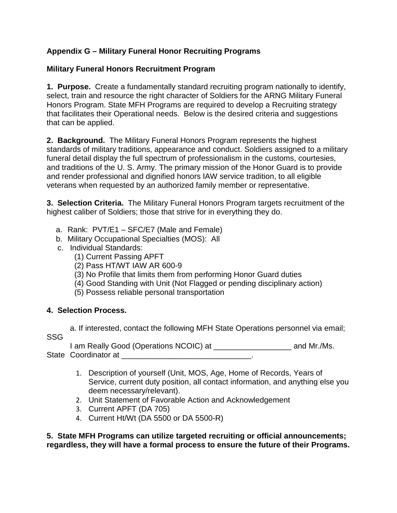## **Appendix G – Military Funeral Honor Recruiting Programs**

## **Military Funeral Honors Recruitment Program**

**1. Purpose.** Create a fundamentally standard recruiting program nationally to identify, select, train and resource the right character of Soldiers for the ARNG Military Funeral Honors Program. State MFH Programs are required to develop a Recruiting strategy that facilitates their Operational needs. Below is the desired criteria and suggestions that can be applied.

**2. Background.** The Military Funeral Honors Program represents the highest standards of military traditions, appearance and conduct. Soldiers assigned to a military funeral detail display the full spectrum of professionalism in the customs, courtesies, and traditions of the U. S. Army. The primary mission of the Honor Guard is to provide and render professional and dignified honors IAW service tradition, to all eligible veterans when requested by an authorized family member or representative.

**3. Selection Criteria.** The Military Funeral Honors Program targets recruitment of the highest caliber of Soldiers; those that strive for in everything they do.

- a. Rank: PVT/E1 SFC/E7 (Male and Female)
- b. Military Occupational Specialties (MOS): All
- c. Individual Standards:
	- (1) Current Passing APFT
	- (2) Pass HT/WT IAW AR 600-9
	- (3) No Profile that limits them from performing Honor Guard duties
	- (4) Good Standing with Unit (Not Flagged or pending disciplinary action)
	- (5) Possess reliable personal transportation

## **4. Selection Process.**

a. If interested, contact the following MFH State Operations personnel via email; SSG

I am Really Good (Operations NCOIC) at  $\qquad \qquad$  and Mr./Ms. State Coordinator at \_\_\_\_\_\_\_\_\_\_\_\_\_\_\_\_\_\_\_\_\_\_\_\_\_\_\_\_\_\_\_\_\_.

- 1. Description of yourself (Unit, MOS, Age, Home of Records, Years of Service, current duty position, all contact information, and anything else you deem necessary/relevant).
- 2. Unit Statement of Favorable Action and Acknowledgement
- 3. Current APFT (DA 705)
- 4. Current Ht/Wt (DA 5500 or DA 5500-R)

**5. State MFH Programs can utilize targeted recruiting or official announcements; regardless, they will have a formal process to ensure the future of their Programs.**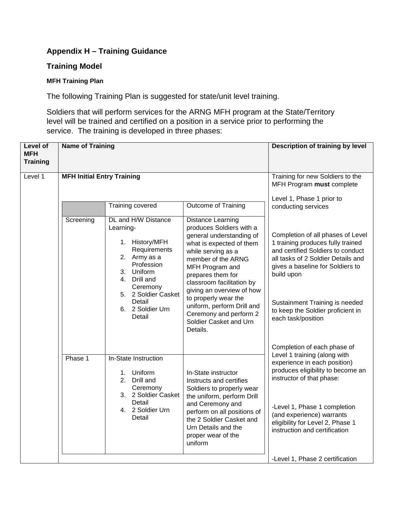## **Training Model**

#### **MFH Training Plan**

The following Training Plan is suggested for state/unit level training.

Soldiers that will perform services for the ARNG MFH program at the State/Territory level will be trained and certified on a position in a service prior to performing the service. The training is developed in three phases:

| <b>Level of</b><br><b>MFH</b><br><b>Training</b> | <b>Name of Training</b>           |                                                                                                                                                                                                                 |                                                                                                                                                                                                                                                                                                                                                                           | Description of training by level                                                                                                                                                                                                                                                                 |
|--------------------------------------------------|-----------------------------------|-----------------------------------------------------------------------------------------------------------------------------------------------------------------------------------------------------------------|---------------------------------------------------------------------------------------------------------------------------------------------------------------------------------------------------------------------------------------------------------------------------------------------------------------------------------------------------------------------------|--------------------------------------------------------------------------------------------------------------------------------------------------------------------------------------------------------------------------------------------------------------------------------------------------|
| Level 1                                          | <b>MFH Initial Entry Training</b> |                                                                                                                                                                                                                 |                                                                                                                                                                                                                                                                                                                                                                           | Training for new Soldiers to the<br>MFH Program must complete                                                                                                                                                                                                                                    |
|                                                  |                                   | Training covered                                                                                                                                                                                                | Outcome of Training                                                                                                                                                                                                                                                                                                                                                       | Level 1, Phase 1 prior to<br>conducting services                                                                                                                                                                                                                                                 |
|                                                  | Screening                         | DL and H/W Distance<br>Learning-<br>1. History/MFH<br>Requirements<br>2. Army as a<br>Profession<br>Uniform<br>3.<br>Drill and<br>4.<br>Ceremony<br>5. 2 Soldier Casket<br>Detail<br>6. 2 Soldier Urn<br>Detail | Distance Learning<br>produces Soldiers with a<br>general understanding of<br>what is expected of them<br>while serving as a<br>member of the ARNG<br>MFH Program and<br>prepares them for<br>classroom facilitation by<br>giving an overview of how<br>to properly wear the<br>uniform, perform Drill and<br>Ceremony and perform 2<br>Soldier Casket and Urn<br>Details. | Completion of all phases of Level<br>1 training produces fully trained<br>and certified Soldiers to conduct<br>all tasks of 2 Soldier Details and<br>gives a baseline for Soldiers to<br>build upon<br>Sustainment Training is needed<br>to keep the Soldier proficient in<br>each task/position |
|                                                  | Phase 1                           | In-State Instruction<br>Uniform<br>1.<br>2.<br>Drill and<br>Ceremony<br>3. 2 Soldier Casket<br>Detail<br>4. 2 Soldier Urn<br>Detail                                                                             | In-State instructor<br>Instructs and certifies<br>Soldiers to properly wear<br>the uniform, perform Drill<br>and Ceremony and<br>perform on all positions of<br>the 2 Soldier Casket and<br>Urn Details and the<br>proper wear of the<br>uniform                                                                                                                          | Completion of each phase of<br>Level 1 training (along with<br>experience in each position)<br>produces eligibility to become an<br>instructor of that phase:<br>-Level 1, Phase 1 completion<br>(and experience) warrants<br>eligibility for Level 2, Phase 1<br>instruction and certification  |
|                                                  |                                   |                                                                                                                                                                                                                 |                                                                                                                                                                                                                                                                                                                                                                           | -Level 1, Phase 2 certification                                                                                                                                                                                                                                                                  |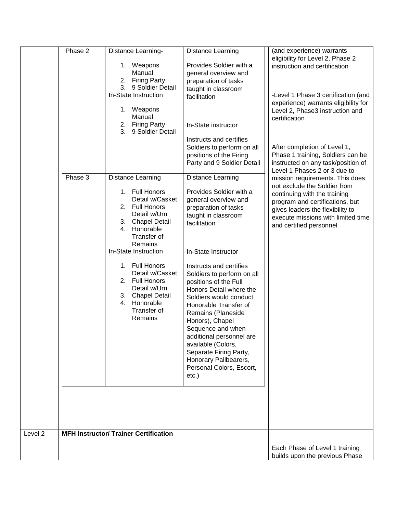|         | Phase 2<br>Phase 3 | Distance Learning-<br>1. Weapons<br>Manual<br>2. Firing Party<br>3.<br>9 Soldier Detail<br>In-State Instruction<br>1. Weapons<br>Manual<br>2. Firing Party<br>9 Soldier Detail<br>3 <sub>1</sub><br><b>Distance Learning</b><br>1. Full Honors<br>Detail w/Casket<br>2. Full Honors<br>Detail w/Urn<br>Chapel Detail<br>3.<br>Honorable<br>4.<br>Transfer of<br>Remains<br>In-State Instruction<br>1. Full Honors<br>Detail w/Casket<br>2. Full Honors<br>Detail w/Urn<br>3. Chapel Detail<br>4. Honorable<br>Transfer of<br>Remains | Distance Learning<br>Provides Soldier with a<br>general overview and<br>preparation of tasks<br>taught in classroom<br>facilitation<br>In-State instructor<br>Instructs and certifies<br>Soldiers to perform on all<br>positions of the Firing<br>Party and 9 Soldier Detail<br>Distance Learning<br>Provides Soldier with a<br>general overview and<br>preparation of tasks<br>taught in classroom<br>facilitation<br>In-State Instructor<br>Instructs and certifies<br>Soldiers to perform on all<br>positions of the Full<br>Honors Detail where the<br>Soldiers would conduct<br>Honorable Transfer of<br>Remains (Planeside<br>Honors), Chapel<br>Sequence and when<br>additional personnel are<br>available (Colors,<br>Separate Firing Party,<br>Honorary Pallbearers,<br>Personal Colors, Escort,<br>etc.) | (and experience) warrants<br>eligibility for Level 2, Phase 2<br>instruction and certification<br>-Level 1 Phase 3 certification (and<br>experience) warrants eligibility for<br>Level 2, Phase3 instruction and<br>certification<br>After completion of Level 1,<br>Phase 1 training, Soldiers can be<br>instructed on any task/position of<br>Level 1 Phases 2 or 3 due to<br>mission requirements. This does<br>not exclude the Soldier from<br>continuing with the training<br>program and certifications, but<br>gives leaders the flexibility to<br>execute missions with limited time<br>and certified personnel |
|---------|--------------------|--------------------------------------------------------------------------------------------------------------------------------------------------------------------------------------------------------------------------------------------------------------------------------------------------------------------------------------------------------------------------------------------------------------------------------------------------------------------------------------------------------------------------------------|--------------------------------------------------------------------------------------------------------------------------------------------------------------------------------------------------------------------------------------------------------------------------------------------------------------------------------------------------------------------------------------------------------------------------------------------------------------------------------------------------------------------------------------------------------------------------------------------------------------------------------------------------------------------------------------------------------------------------------------------------------------------------------------------------------------------|-------------------------------------------------------------------------------------------------------------------------------------------------------------------------------------------------------------------------------------------------------------------------------------------------------------------------------------------------------------------------------------------------------------------------------------------------------------------------------------------------------------------------------------------------------------------------------------------------------------------------|
| Level 2 |                    | <b>MFH Instructor/ Trainer Certification</b>                                                                                                                                                                                                                                                                                                                                                                                                                                                                                         |                                                                                                                                                                                                                                                                                                                                                                                                                                                                                                                                                                                                                                                                                                                                                                                                                    | Each Phase of Level 1 training                                                                                                                                                                                                                                                                                                                                                                                                                                                                                                                                                                                          |
|         |                    |                                                                                                                                                                                                                                                                                                                                                                                                                                                                                                                                      |                                                                                                                                                                                                                                                                                                                                                                                                                                                                                                                                                                                                                                                                                                                                                                                                                    | builds upon the previous Phase                                                                                                                                                                                                                                                                                                                                                                                                                                                                                                                                                                                          |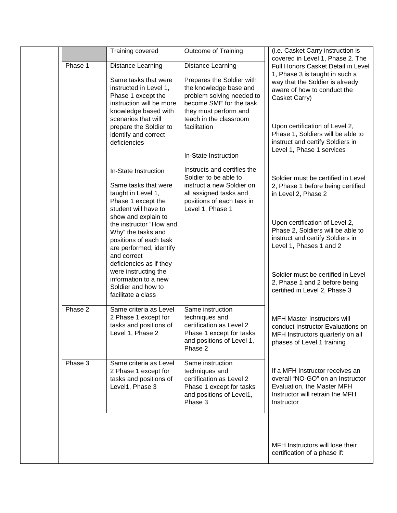|         | Training covered                                                                                                                                                                                                                         | <b>Outcome of Training</b>                                                                                                                                                                                 | (i.e. Casket Carry instruction is                                                                                                                                                                                                                                                                                                   |
|---------|------------------------------------------------------------------------------------------------------------------------------------------------------------------------------------------------------------------------------------------|------------------------------------------------------------------------------------------------------------------------------------------------------------------------------------------------------------|-------------------------------------------------------------------------------------------------------------------------------------------------------------------------------------------------------------------------------------------------------------------------------------------------------------------------------------|
| Phase 1 | Distance Learning<br>Same tasks that were<br>instructed in Level 1,<br>Phase 1 except the<br>instruction will be more<br>knowledge based with<br>scenarios that will<br>prepare the Soldier to<br>identify and correct<br>deficiencies   | <b>Distance Learning</b><br>Prepares the Soldier with<br>the knowledge base and<br>problem solving needed to<br>become SME for the task<br>they must perform and<br>teach in the classroom<br>facilitation | covered in Level 1, Phase 2. The<br>Full Honors Casket Detail in Level<br>1, Phase 3 is taught in such a<br>way that the Soldier is already<br>aware of how to conduct the<br>Casket Carry)<br>Upon certification of Level 2,<br>Phase 1, Soldiers will be able to<br>instruct and certify Soldiers in<br>Level 1, Phase 1 services |
|         | In-State Instruction<br>Same tasks that were<br>taught in Level 1,<br>Phase 1 except the<br>student will have to<br>show and explain to                                                                                                  | In-State Instruction<br>Instructs and certifies the<br>Soldier to be able to<br>instruct a new Soldier on<br>all assigned tasks and<br>positions of each task in<br>Level 1, Phase 1                       | Soldier must be certified in Level<br>2, Phase 1 before being certified<br>in Level 2, Phase 2                                                                                                                                                                                                                                      |
|         | the instructor "How and<br>Why" the tasks and<br>positions of each task<br>are performed, identify<br>and correct<br>deficiencies as if they<br>were instructing the<br>information to a new<br>Soldier and how to<br>facilitate a class |                                                                                                                                                                                                            | Upon certification of Level 2,<br>Phase 2, Soldiers will be able to<br>instruct and certify Soldiers in<br>Level 1, Phases 1 and 2<br>Soldier must be certified in Level<br>2, Phase 1 and 2 before being<br>certified in Level 2, Phase 3                                                                                          |
| Phase 2 | Same criteria as Level<br>2 Phase 1 except for<br>tasks and positions of<br>Level 1, Phase 2                                                                                                                                             | Same instruction<br>techniques and<br>certification as Level 2<br>Phase 1 except for tasks<br>and positions of Level 1,<br>Phase 2                                                                         | <b>MFH Master Instructors will</b><br>conduct Instructor Evaluations on<br>MFH Instructors quarterly on all<br>phases of Level 1 training                                                                                                                                                                                           |
| Phase 3 | Same criteria as Level<br>2 Phase 1 except for<br>tasks and positions of<br>Level1, Phase 3                                                                                                                                              | Same instruction<br>techniques and<br>certification as Level 2<br>Phase 1 except for tasks<br>and positions of Level1,<br>Phase 3                                                                          | If a MFH Instructor receives an<br>overall "NO-GO" on an Instructor<br>Evaluation, the Master MFH<br>Instructor will retrain the MFH<br>Instructor                                                                                                                                                                                  |
|         |                                                                                                                                                                                                                                          |                                                                                                                                                                                                            | MFH Instructors will lose their<br>certification of a phase if:                                                                                                                                                                                                                                                                     |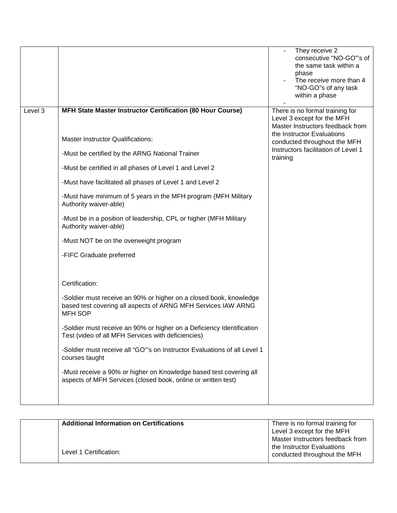|         |                                                                                                                                                                                                                                                                                                                                                                                                                                                                                                                                                                                                                                                                                                                              | They receive 2<br>consecutive "NO-GO"'s of<br>the same task within a<br>phase<br>The receive more than 4<br>"NO-GO"s of any task<br>within a phase                                                                 |
|---------|------------------------------------------------------------------------------------------------------------------------------------------------------------------------------------------------------------------------------------------------------------------------------------------------------------------------------------------------------------------------------------------------------------------------------------------------------------------------------------------------------------------------------------------------------------------------------------------------------------------------------------------------------------------------------------------------------------------------------|--------------------------------------------------------------------------------------------------------------------------------------------------------------------------------------------------------------------|
| Level 3 | MFH State Master Instructor Certification (80 Hour Course)<br><b>Master Instructor Qualifications:</b><br>-Must be certified by the ARNG National Trainer<br>-Must be certified in all phases of Level 1 and Level 2<br>-Must have facilitated all phases of Level 1 and Level 2<br>-Must have minimum of 5 years in the MFH program (MFH Military<br>Authority waiver-able)<br>-Must be in a position of leadership, CPL or higher (MFH Military<br>Authority waiver-able)<br>-Must NOT be on the overweight program<br>-FIFC Graduate preferred<br>Certification:<br>-Soldier must receive an 90% or higher on a closed book, knowledge<br>based test covering all aspects of ARNG MFH Services IAW ARNG<br><b>MFH SOP</b> | There is no formal training for<br>Level 3 except for the MFH<br>Master Instructors feedback from<br>the Instructor Evaluations<br>conducted throughout the MFH<br>Instructors facilitation of Level 1<br>training |
|         | -Soldier must receive an 90% or higher on a Deficiency Identification<br>Test (video of all MFH Services with deficiencies)<br>-Soldier must receive all "GO"'s on Instructor Evaluations of all Level 1<br>courses taught                                                                                                                                                                                                                                                                                                                                                                                                                                                                                                   |                                                                                                                                                                                                                    |
|         | -Must receive a 90% or higher on Knowledge based test covering all<br>aspects of MFH Services (closed book, online or written test)                                                                                                                                                                                                                                                                                                                                                                                                                                                                                                                                                                                          |                                                                                                                                                                                                                    |

| <b>Additional Information on Certifications</b> | There is no formal training for<br>Level 3 except for the MFH                                  |
|-------------------------------------------------|------------------------------------------------------------------------------------------------|
| Level 1 Certification:                          | Master Instructors feedback from<br>the Instructor Evaluations<br>conducted throughout the MFH |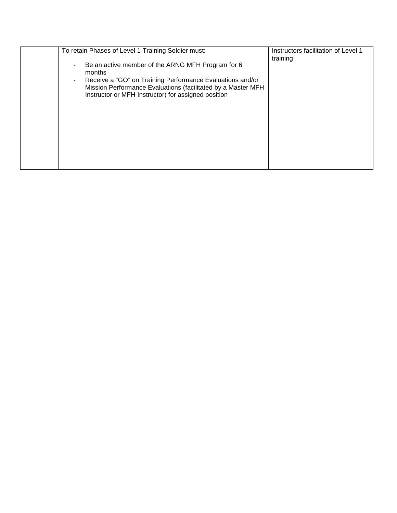| To retain Phases of Level 1 Training Soldier must:                                                                                                                                                                                              | Instructors facilitation of Level 1 |
|-------------------------------------------------------------------------------------------------------------------------------------------------------------------------------------------------------------------------------------------------|-------------------------------------|
| Be an active member of the ARNG MFH Program for 6<br>months<br>Receive a "GO" on Training Performance Evaluations and/or<br>Mission Performance Evaluations (facilitated by a Master MFH<br>Instructor or MFH Instructor) for assigned position | training                            |
|                                                                                                                                                                                                                                                 |                                     |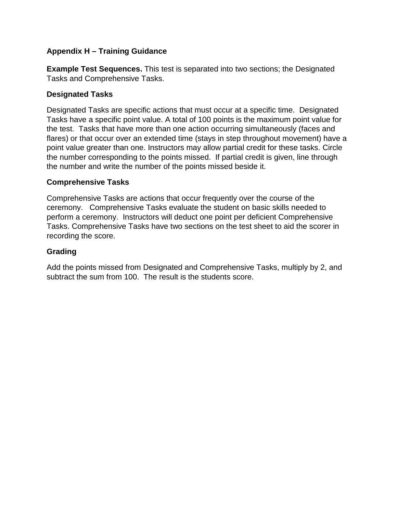**Example Test Sequences.** This test is separated into two sections; the Designated Tasks and Comprehensive Tasks.

## **Designated Tasks**

Designated Tasks are specific actions that must occur at a specific time. Designated Tasks have a specific point value. A total of 100 points is the maximum point value for the test. Tasks that have more than one action occurring simultaneously (faces and flares) or that occur over an extended time (stays in step throughout movement) have a point value greater than one. Instructors may allow partial credit for these tasks. Circle the number corresponding to the points missed. If partial credit is given, line through the number and write the number of the points missed beside it.

### **Comprehensive Tasks**

Comprehensive Tasks are actions that occur frequently over the course of the ceremony. Comprehensive Tasks evaluate the student on basic skills needed to perform a ceremony. Instructors will deduct one point per deficient Comprehensive Tasks. Comprehensive Tasks have two sections on the test sheet to aid the scorer in recording the score.

## **Grading**

Add the points missed from Designated and Comprehensive Tasks, multiply by 2, and subtract the sum from 100. The result is the students score.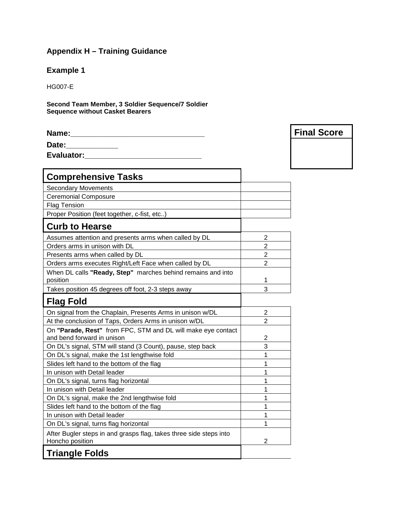# **Example 1**

HG007-E

**Second Team Member, 3 Soldier Sequence/7 Soldier Sequence without Casket Bearers**

| Name:      | <b>Final Score</b> |
|------------|--------------------|
| Date:      |                    |
| Evaluator: |                    |

| <b>Comprehensive Tasks</b>                                                                 |                |
|--------------------------------------------------------------------------------------------|----------------|
| <b>Secondary Movements</b>                                                                 |                |
| <b>Ceremonial Composure</b>                                                                |                |
| <b>Flag Tension</b>                                                                        |                |
| Proper Position (feet together, c-fist, etc)                                               |                |
| <b>Curb to Hearse</b>                                                                      |                |
| Assumes attention and presents arms when called by DL                                      | 2              |
| Orders arms in unison with DL                                                              | $\overline{2}$ |
| Presents arms when called by DL                                                            | $\overline{2}$ |
| Orders arms executes Right/Left Face when called by DL                                     | $\overline{2}$ |
| When DL calls "Ready, Step" marches behind remains and into<br>position                    | 1              |
| Takes position 45 degrees off foot, 2-3 steps away                                         | 3              |
| <b>Flag Fold</b>                                                                           |                |
| On signal from the Chaplain, Presents Arms in unison w/DL                                  | 2              |
| At the conclusion of Taps, Orders Arms in unison w/DL                                      | $\overline{2}$ |
| On "Parade, Rest" from FPC, STM and DL will make eye contact<br>and bend forward in unison | 2              |
| On DL's signal, STM will stand (3 Count), pause, step back                                 | 3              |
| On DL's signal, make the 1st lengthwise fold                                               | 1              |
| Slides left hand to the bottom of the flag                                                 | 1              |
| In unison with Detail leader                                                               | 1              |
| On DL's signal, turns flag horizontal                                                      | 1              |
| In unison with Detail leader                                                               | 1              |
| On DL's signal, make the 2nd lengthwise fold                                               | 1              |
| Slides left hand to the bottom of the flag                                                 | 1              |
| In unison with Detail leader                                                               | 1              |
| On DL's signal, turns flag horizontal                                                      | 1              |
| After Bugler steps in and grasps flag, takes three side steps into<br>Honcho position      | 2              |
| <b>Triangle Folds</b>                                                                      |                |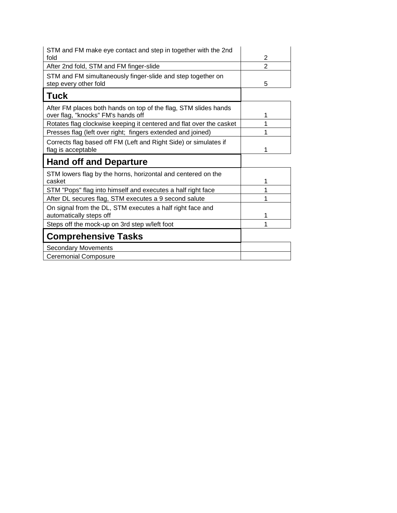| STM and FM make eye contact and step in together with the 2nd<br>fold                                 | 2              |
|-------------------------------------------------------------------------------------------------------|----------------|
| After 2nd fold, STM and FM finger-slide                                                               | $\overline{2}$ |
| STM and FM simultaneously finger-slide and step together on<br>step every other fold                  | 5              |
| Tuck                                                                                                  |                |
| After FM places both hands on top of the flag, STM slides hands<br>over flag, "knocks" FM's hands off | 1              |
| Rotates flag clockwise keeping it centered and flat over the casket                                   |                |
| Presses flag (left over right; fingers extended and joined)                                           |                |
| Corrects flag based off FM (Left and Right Side) or simulates if<br>flag is acceptable                | 1              |
|                                                                                                       |                |
| <b>Hand off and Departure</b>                                                                         |                |
| STM lowers flag by the horns, horizontal and centered on the<br>casket                                | 1              |
| STM "Pops" flag into himself and executes a half right face                                           |                |
| After DL secures flag, STM executes a 9 second salute                                                 |                |
| On signal from the DL, STM executes a half right face and<br>automatically steps off                  | 1              |
| Steps off the mock-up on 3rd step w/left foot                                                         | 1              |
| <b>Comprehensive Tasks</b>                                                                            |                |
| <b>Secondary Movements</b>                                                                            |                |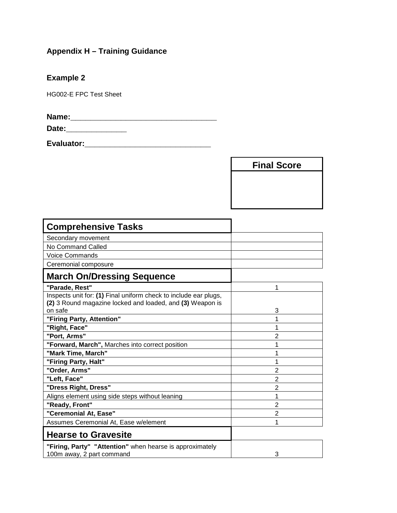**Example 2**

HG002-E FPC Test Sheet

**Name:\_\_\_\_\_\_\_\_\_\_\_\_\_\_\_\_\_\_\_\_\_\_\_\_\_\_\_\_\_**

**Date:\_\_\_\_\_\_\_\_\_\_\_\_**

**Evaluator:\_\_\_\_\_\_\_\_\_\_\_\_\_\_\_\_\_\_\_\_\_\_\_\_\_**

**Final Score**

| <b>Comprehensive Tasks</b>                                                                                                    |                |
|-------------------------------------------------------------------------------------------------------------------------------|----------------|
| Secondary movement                                                                                                            |                |
| No Command Called                                                                                                             |                |
| <b>Voice Commands</b>                                                                                                         |                |
| Ceremonial composure                                                                                                          |                |
| <b>March On/Dressing Sequence</b>                                                                                             |                |
| "Parade, Rest"                                                                                                                | 1              |
| Inspects unit for: (1) Final uniform check to include ear plugs,<br>(2) 3 Round magazine locked and loaded, and (3) Weapon is |                |
| on safe                                                                                                                       | 3              |
| "Firing Party, Attention"                                                                                                     | 1              |
| "Right, Face"                                                                                                                 | 1              |
| "Port, Arms"                                                                                                                  | $\overline{2}$ |
| "Forward, March", Marches into correct position                                                                               | 1              |
| "Mark Time, March"                                                                                                            | 1              |
| "Firing Party, Halt"                                                                                                          | 1              |
| "Order, Arms"                                                                                                                 | $\overline{2}$ |
| "Left, Face"                                                                                                                  | $\overline{2}$ |
| "Dress Right, Dress"                                                                                                          | $\overline{2}$ |
| Aligns element using side steps without leaning                                                                               | 1              |
| "Ready, Front"                                                                                                                | 2              |
| "Ceremonial At, Ease"                                                                                                         | $\overline{2}$ |
| Assumes Ceremonial At, Ease w/element                                                                                         | 1              |
| <b>Hearse to Gravesite</b>                                                                                                    |                |
| "Firing, Party" "Attention" when hearse is approximately                                                                      |                |
| 100m away, 2 part command                                                                                                     | 3              |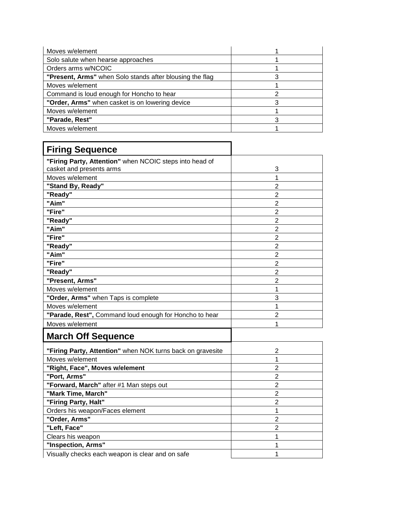| Moves w/element                                          |  |
|----------------------------------------------------------|--|
| Solo salute when hearse approaches                       |  |
| Orders arms w/NCOIC                                      |  |
| "Present, Arms" when Solo stands after blousing the flag |  |
| Moves w/element                                          |  |
| Command is loud enough for Honcho to hear                |  |
| "Order, Arms" when casket is on lowering device          |  |
| Moves w/element                                          |  |
| "Parade, Rest"                                           |  |
| Moves w/element                                          |  |

| <b>Firing Sequence</b>                                     |                |
|------------------------------------------------------------|----------------|
| "Firing Party, Attention" when NCOIC steps into head of    |                |
| casket and presents arms                                   | 3              |
| Moves w/element                                            | 1              |
| "Stand By, Ready"                                          | $\overline{2}$ |
| "Ready"                                                    | $\overline{2}$ |
| "Aim"                                                      | $\overline{2}$ |
| "Fire"                                                     | $\overline{2}$ |
| "Ready"                                                    | $\overline{2}$ |
| "Aim"                                                      | $\overline{2}$ |
| "Fire"                                                     | $\overline{2}$ |
| "Ready"                                                    | 2              |
| "Aim"                                                      | 2              |
| "Fire"                                                     | $\overline{2}$ |
| "Ready"                                                    | $\overline{2}$ |
| "Present, Arms"                                            | $\overline{2}$ |
| Moves w/element                                            | 1              |
| "Order, Arms" when Taps is complete                        | 3              |
| Moves w/element                                            | 1              |
| "Parade, Rest", Command loud enough for Honcho to hear     | $\overline{2}$ |
| Moves w/element                                            | 1              |
| <b>March Off Sequence</b>                                  |                |
| "Firing Party, Attention" when NOK turns back on gravesite | $\overline{2}$ |
| Moves w/element                                            | 1              |
| "Right, Face", Moves w/element                             | $\overline{2}$ |
| "Port, Arms"                                               | $\overline{2}$ |
| "Forward, March" after #1 Man steps out                    | $\overline{2}$ |
| "Mark Time, March"                                         | $\overline{2}$ |
| "Firing Party, Halt"                                       | $\overline{2}$ |

Orders his weapon/Faces element 1<br>
"Order, Arms" 2 **"Order, Arms"** 2 **"Left, Face"** 2 **Clears his weapon** 1 **"Inspection, Arms"**<br>Visually checks each weapon is clear and on safe 1

Visually checks each weapon is clear and on safe 1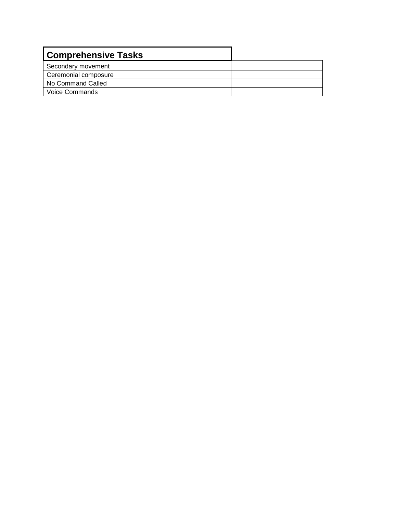| <b>Comprehensive Tasks</b> |  |
|----------------------------|--|
| Secondary movement         |  |
| Ceremonial composure       |  |
| No Command Called          |  |
| <b>Voice Commands</b>      |  |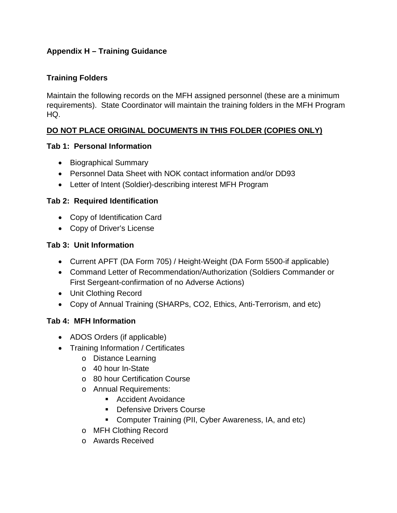## **Training Folders**

Maintain the following records on the MFH assigned personnel (these are a minimum requirements). State Coordinator will maintain the training folders in the MFH Program HQ.

# **DO NOT PLACE ORIGINAL DOCUMENTS IN THIS FOLDER (COPIES ONLY)**

## **Tab 1: Personal Information**

- Biographical Summary
- Personnel Data Sheet with NOK contact information and/or DD93
- Letter of Intent (Soldier)-describing interest MFH Program

## **Tab 2: Required Identification**

- Copy of Identification Card
- Copy of Driver's License

## **Tab 3: Unit Information**

- Current APFT (DA Form 705) / Height-Weight (DA Form 5500-if applicable)
- Command Letter of Recommendation/Authorization (Soldiers Commander or First Sergeant-confirmation of no Adverse Actions)
- Unit Clothing Record
- Copy of Annual Training (SHARPs, CO2, Ethics, Anti-Terrorism, and etc)

# **Tab 4: MFH Information**

- ADOS Orders (if applicable)
- Training Information / Certificates
	- o Distance Learning
	- o 40 hour In-State
	- o 80 hour Certification Course
	- o Annual Requirements:
		- Accident Avoidance
		- **Defensive Drivers Course**
		- Computer Training (PII, Cyber Awareness, IA, and etc)
	- o MFH Clothing Record
	- o Awards Received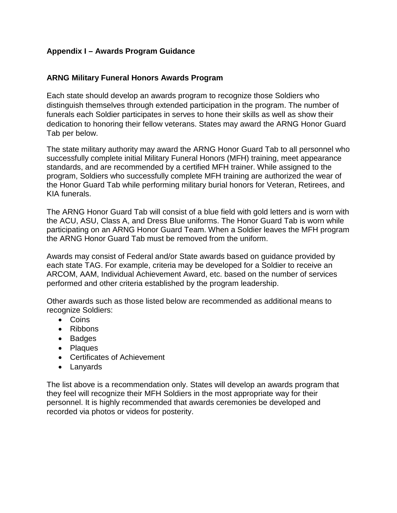## **Appendix I – Awards Program Guidance**

#### **ARNG Military Funeral Honors Awards Program**

Each state should develop an awards program to recognize those Soldiers who distinguish themselves through extended participation in the program. The number of funerals each Soldier participates in serves to hone their skills as well as show their dedication to honoring their fellow veterans. States may award the ARNG Honor Guard Tab per below.

The state military authority may award the ARNG Honor Guard Tab to all personnel who successfully complete initial Military Funeral Honors (MFH) training, meet appearance standards, and are recommended by a certified MFH trainer. While assigned to the program, Soldiers who successfully complete MFH training are authorized the wear of the Honor Guard Tab while performing military burial honors for Veteran, Retirees, and KIA funerals.

The ARNG Honor Guard Tab will consist of a blue field with gold letters and is worn with the ACU, ASU, Class A, and Dress Blue uniforms. The Honor Guard Tab is worn while participating on an ARNG Honor Guard Team. When a Soldier leaves the MFH program the ARNG Honor Guard Tab must be removed from the uniform.

Awards may consist of Federal and/or State awards based on guidance provided by each state TAG. For example, criteria may be developed for a Soldier to receive an ARCOM, AAM, Individual Achievement Award, etc. based on the number of services performed and other criteria established by the program leadership.

Other awards such as those listed below are recommended as additional means to recognize Soldiers:

- Coins
- Ribbons
- Badges
- Plaques
- Certificates of Achievement
- Lanyards

The list above is a recommendation only. States will develop an awards program that they feel will recognize their MFH Soldiers in the most appropriate way for their personnel. It is highly recommended that awards ceremonies be developed and recorded via photos or videos for posterity.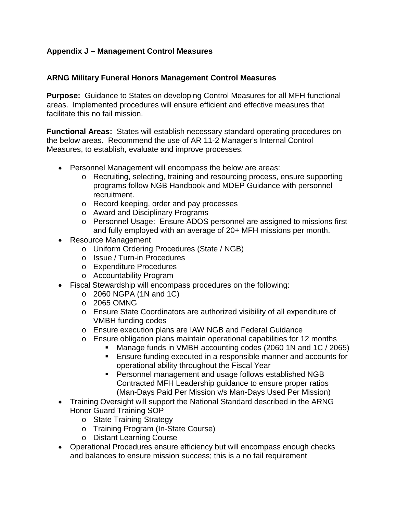# **Appendix J – Management Control Measures**

#### **ARNG Military Funeral Honors Management Control Measures**

**Purpose:** Guidance to States on developing Control Measures for all MFH functional areas. Implemented procedures will ensure efficient and effective measures that facilitate this no fail mission.

**Functional Areas:** States will establish necessary standard operating procedures on the below areas. Recommend the use of AR 11-2 Manager's Internal Control Measures, to establish, evaluate and improve processes.

- Personnel Management will encompass the below are areas:
	- o Recruiting, selecting, training and resourcing process, ensure supporting programs follow NGB Handbook and MDEP Guidance with personnel recruitment.
	- o Record keeping, order and pay processes
	- o Award and Disciplinary Programs
	- o Personnel Usage: Ensure ADOS personnel are assigned to missions first and fully employed with an average of 20+ MFH missions per month.
- Resource Management
	- o Uniform Ordering Procedures (State / NGB)
	- o Issue / Turn-in Procedures
	- o Expenditure Procedures
	- o Accountability Program
- Fiscal Stewardship will encompass procedures on the following:
	- $\circ$  2060 NGPA (1N and 1C)
	- o 2065 OMNG
	- o Ensure State Coordinators are authorized visibility of all expenditure of VMBH funding codes
	- o Ensure execution plans are IAW NGB and Federal Guidance
	- o Ensure obligation plans maintain operational capabilities for 12 months
		- **Manage funds in VMBH accounting codes (2060 1N and 1C / 2065)** 
			- Ensure funding executed in a responsible manner and accounts for operational ability throughout the Fiscal Year
			- Personnel management and usage follows established NGB Contracted MFH Leadership guidance to ensure proper ratios (Man-Days Paid Per Mission v/s Man-Days Used Per Mission)
- Training Oversight will support the National Standard described in the ARNG Honor Guard Training SOP
	- o State Training Strategy
	- o Training Program (In-State Course)
	- o Distant Learning Course
- Operational Procedures ensure efficiency but will encompass enough checks and balances to ensure mission success; this is a no fail requirement